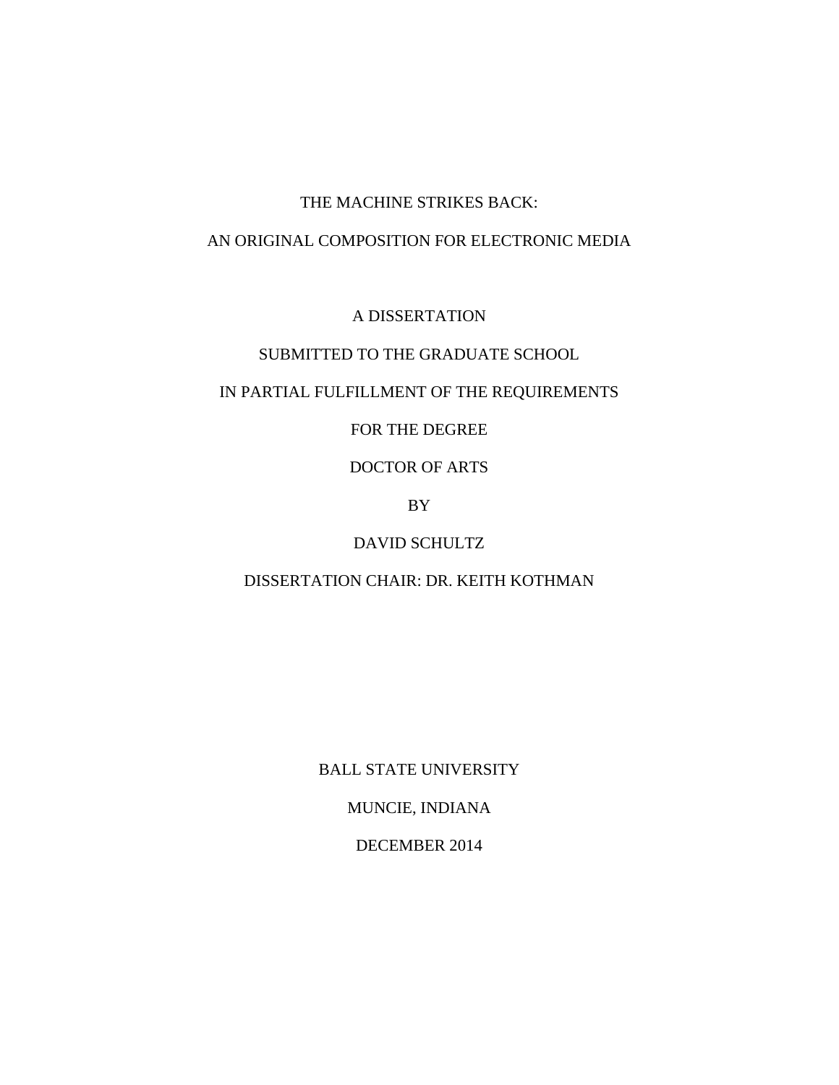# THE MACHINE STRIKES BACK:

### AN ORIGINAL COMPOSITION FOR ELECTRONIC MEDIA

A DISSERTATION

# SUBMITTED TO THE GRADUATE SCHOOL

# IN PARTIAL FULFILLMENT OF THE REQUIREMENTS

FOR THE DEGREE

DOCTOR OF ARTS

BY

DAVID SCHULTZ

DISSERTATION CHAIR: DR. KEITH KOTHMAN

BALL STATE UNIVERSITY

MUNCIE, INDIANA

DECEMBER 2014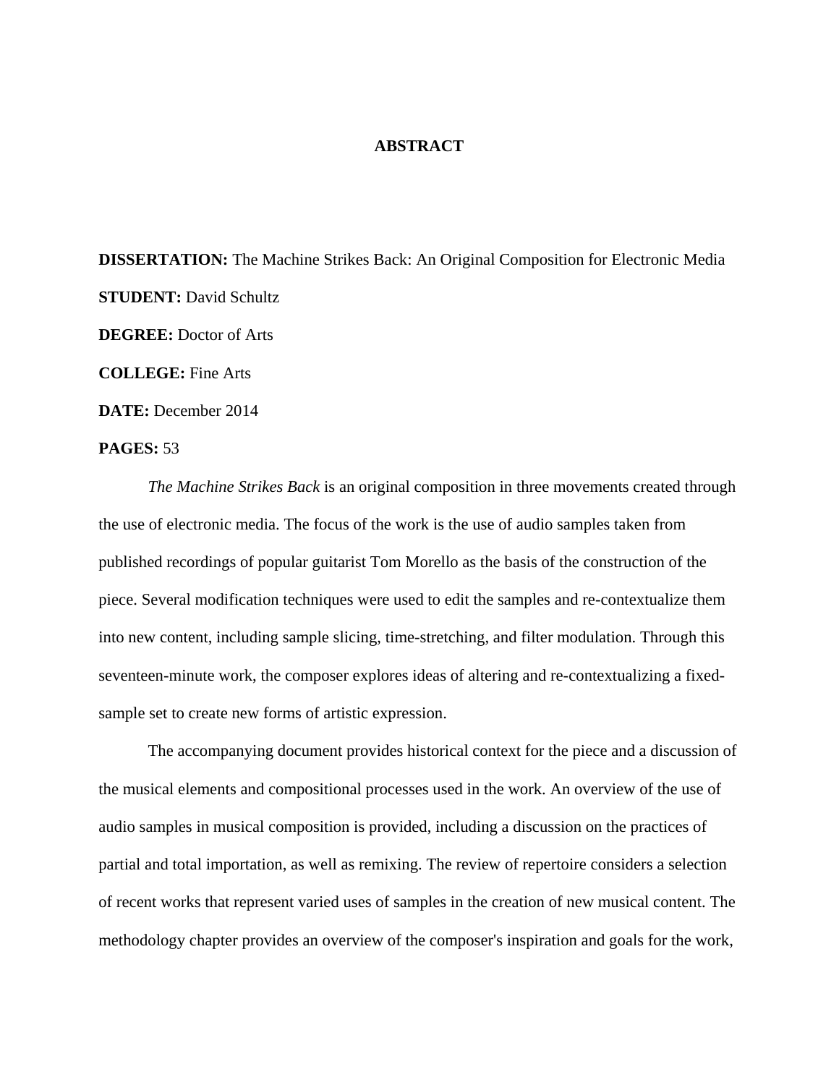#### **ABSTRACT**

**DISSERTATION:** The Machine Strikes Back: An Original Composition for Electronic Media **STUDENT:** David Schultz **DEGREE:** Doctor of Arts **COLLEGE:** Fine Arts **DATE:** December 2014

#### **PAGES:** 53

*The Machine Strikes Back* is an original composition in three movements created through the use of electronic media. The focus of the work is the use of audio samples taken from published recordings of popular guitarist Tom Morello as the basis of the construction of the piece. Several modification techniques were used to edit the samples and re-contextualize them into new content, including sample slicing, time-stretching, and filter modulation. Through this seventeen-minute work, the composer explores ideas of altering and re-contextualizing a fixedsample set to create new forms of artistic expression.

 The accompanying document provides historical context for the piece and a discussion of the musical elements and compositional processes used in the work. An overview of the use of audio samples in musical composition is provided, including a discussion on the practices of partial and total importation, as well as remixing. The review of repertoire considers a selection of recent works that represent varied uses of samples in the creation of new musical content. The methodology chapter provides an overview of the composer's inspiration and goals for the work,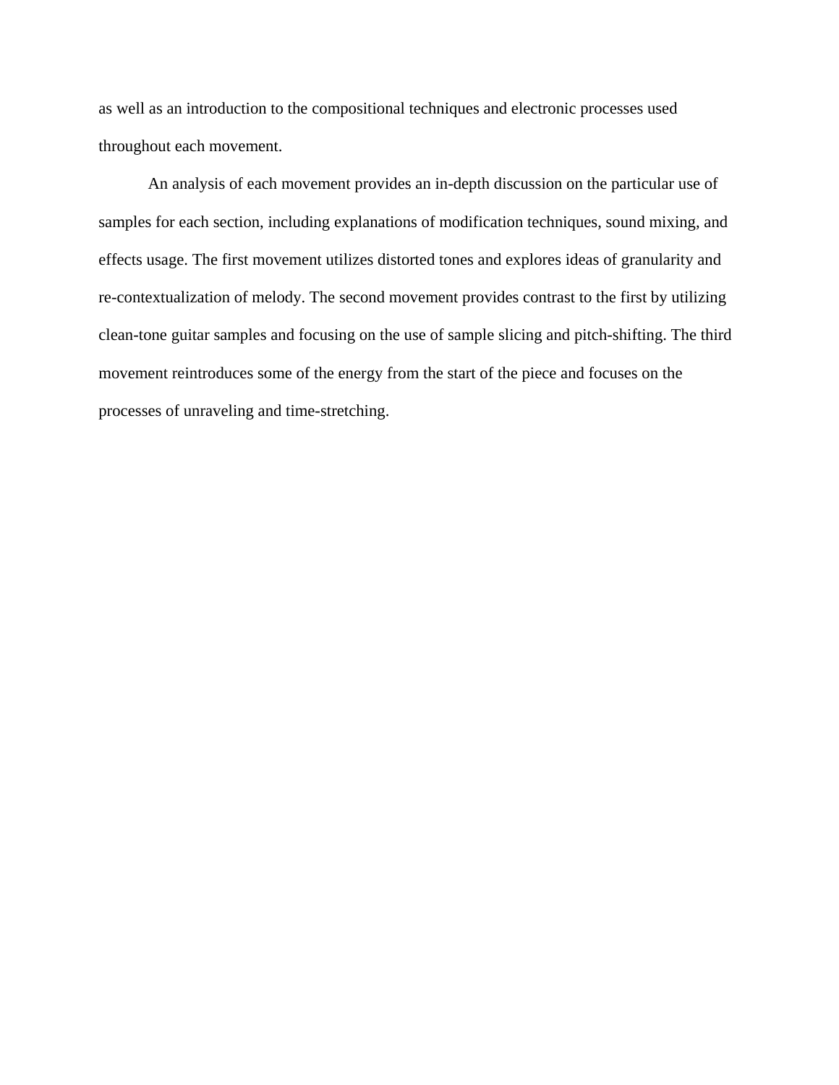as well as an introduction to the compositional techniques and electronic processes used throughout each movement.

 An analysis of each movement provides an in-depth discussion on the particular use of samples for each section, including explanations of modification techniques, sound mixing, and effects usage. The first movement utilizes distorted tones and explores ideas of granularity and re-contextualization of melody. The second movement provides contrast to the first by utilizing clean-tone guitar samples and focusing on the use of sample slicing and pitch-shifting. The third movement reintroduces some of the energy from the start of the piece and focuses on the processes of unraveling and time-stretching.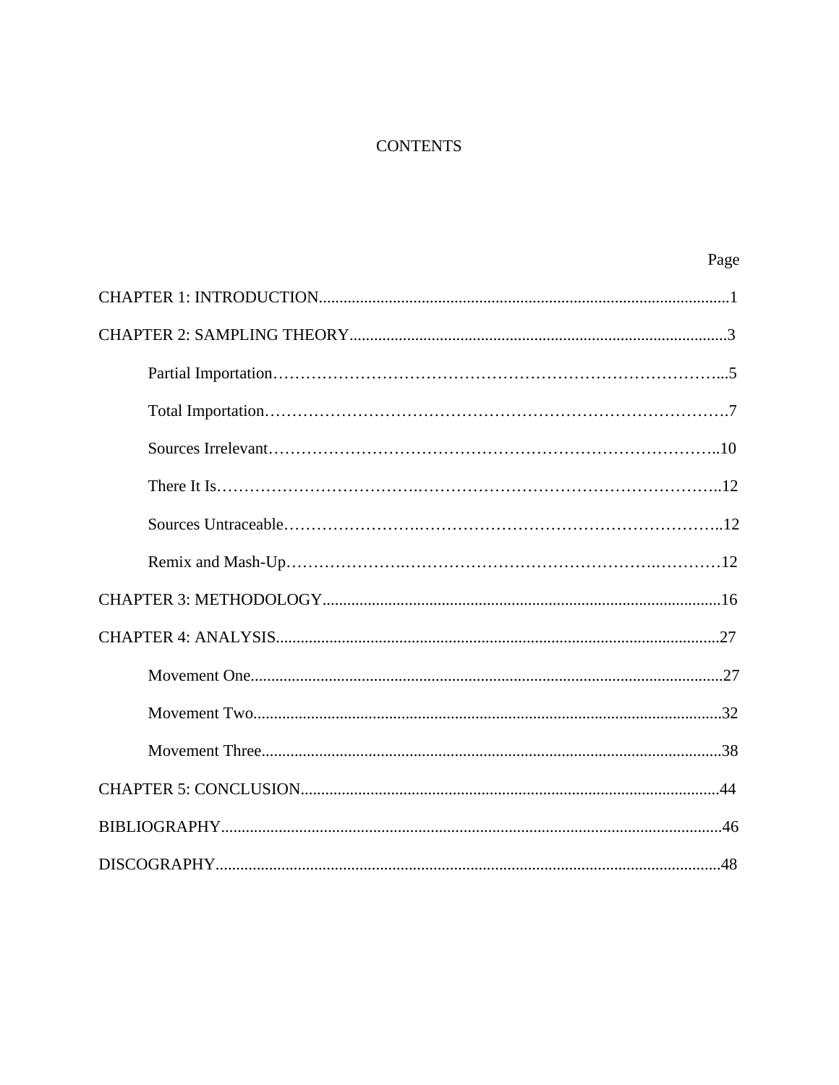# **CONTENTS**

| Page |
|------|
|      |
|      |
|      |
|      |
|      |
|      |
|      |
|      |
|      |
|      |
|      |
|      |
|      |
|      |
|      |
|      |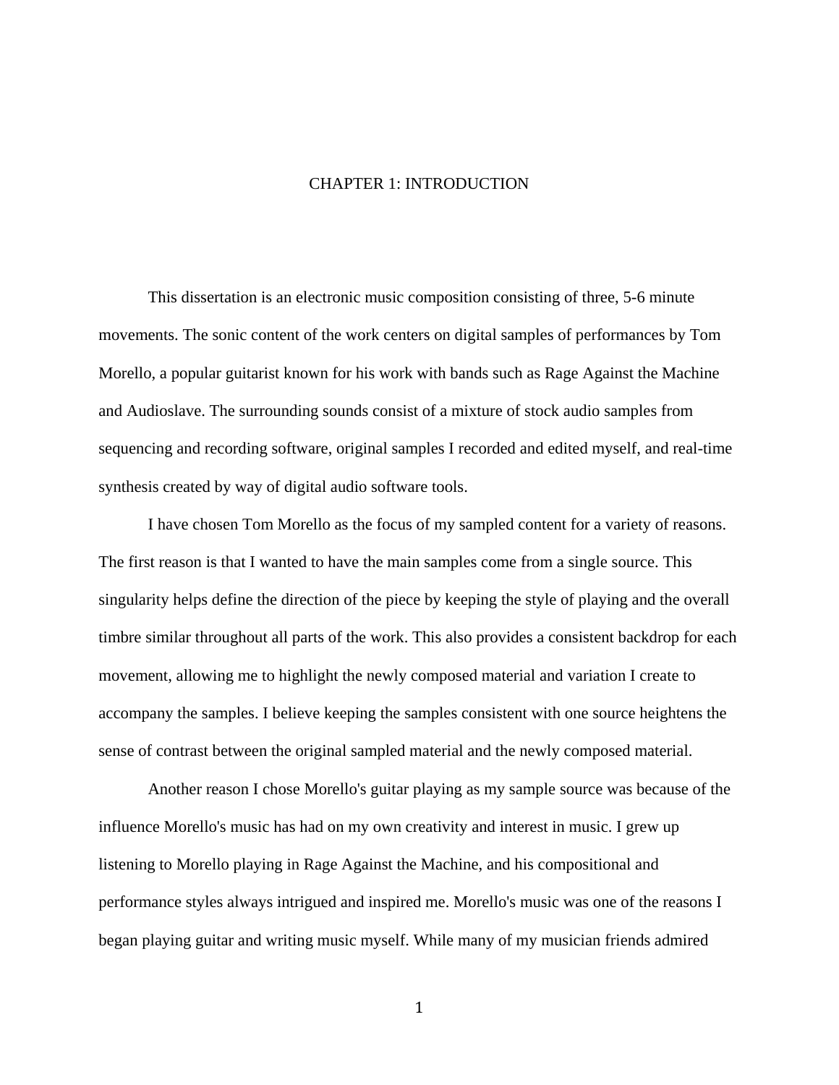### CHAPTER 1: INTRODUCTION

 This dissertation is an electronic music composition consisting of three, 5-6 minute movements. The sonic content of the work centers on digital samples of performances by Tom Morello, a popular guitarist known for his work with bands such as Rage Against the Machine and Audioslave. The surrounding sounds consist of a mixture of stock audio samples from sequencing and recording software, original samples I recorded and edited myself, and real-time synthesis created by way of digital audio software tools.

 I have chosen Tom Morello as the focus of my sampled content for a variety of reasons. The first reason is that I wanted to have the main samples come from a single source. This singularity helps define the direction of the piece by keeping the style of playing and the overall timbre similar throughout all parts of the work. This also provides a consistent backdrop for each movement, allowing me to highlight the newly composed material and variation I create to accompany the samples. I believe keeping the samples consistent with one source heightens the sense of contrast between the original sampled material and the newly composed material.

 Another reason I chose Morello's guitar playing as my sample source was because of the influence Morello's music has had on my own creativity and interest in music. I grew up listening to Morello playing in Rage Against the Machine, and his compositional and performance styles always intrigued and inspired me. Morello's music was one of the reasons I began playing guitar and writing music myself. While many of my musician friends admired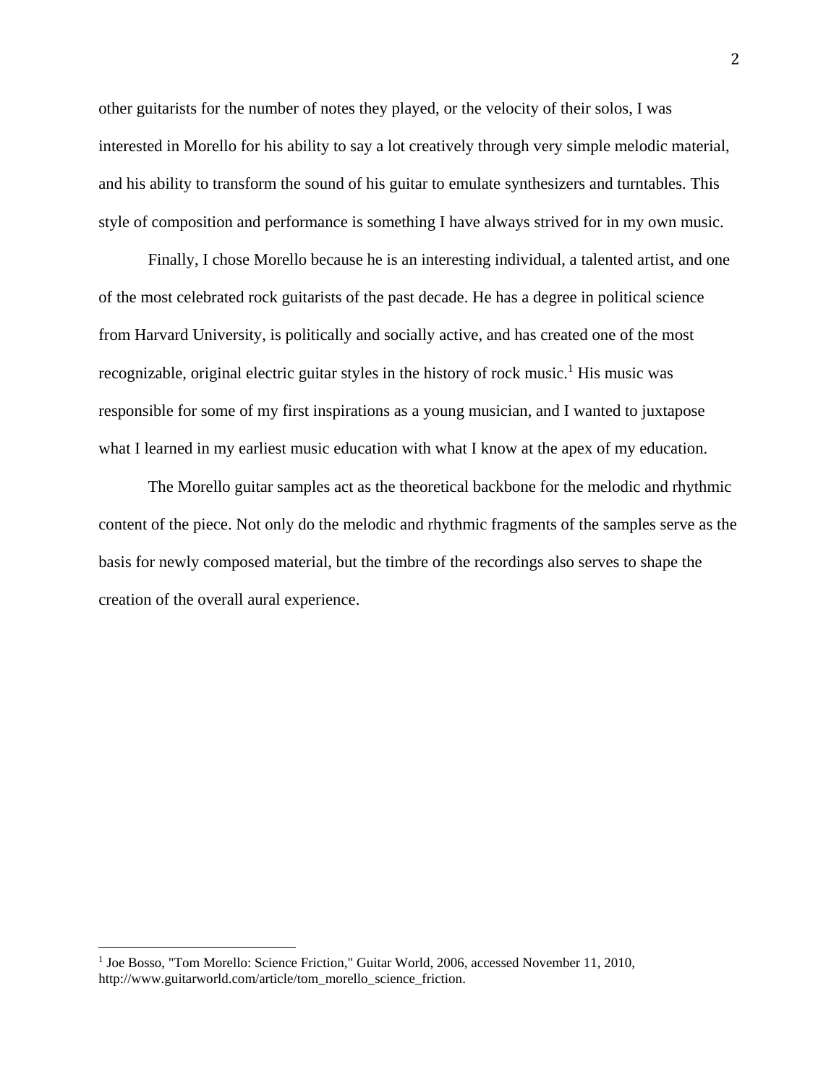other guitarists for the number of notes they played, or the velocity of their solos, I was interested in Morello for his ability to say a lot creatively through very simple melodic material, and his ability to transform the sound of his guitar to emulate synthesizers and turntables. This style of composition and performance is something I have always strived for in my own music.

 Finally, I chose Morello because he is an interesting individual, a talented artist, and one of the most celebrated rock guitarists of the past decade. He has a degree in political science from Harvard University, is politically and socially active, and has created one of the most recognizable, original electric guitar styles in the history of rock music.<sup>1</sup> His music was responsible for some of my first inspirations as a young musician, and I wanted to juxtapose what I learned in my earliest music education with what I know at the apex of my education.

 The Morello guitar samples act as the theoretical backbone for the melodic and rhythmic content of the piece. Not only do the melodic and rhythmic fragments of the samples serve as the basis for newly composed material, but the timbre of the recordings also serves to shape the creation of the overall aural experience.

 1 Joe Bosso, "Tom Morello: Science Friction," Guitar World, 2006, accessed November 11, 2010, http://www.guitarworld.com/article/tom\_morello\_science\_friction.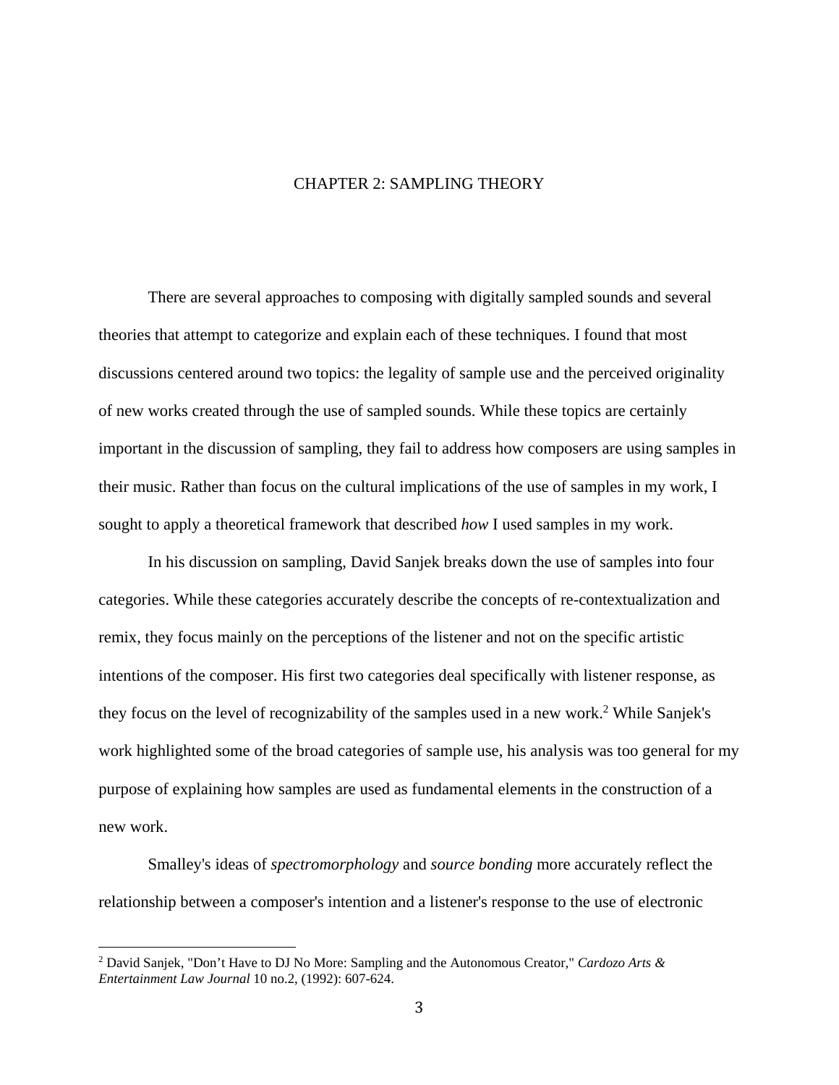### CHAPTER 2: SAMPLING THEORY

 There are several approaches to composing with digitally sampled sounds and several theories that attempt to categorize and explain each of these techniques. I found that most discussions centered around two topics: the legality of sample use and the perceived originality of new works created through the use of sampled sounds. While these topics are certainly important in the discussion of sampling, they fail to address how composers are using samples in their music. Rather than focus on the cultural implications of the use of samples in my work, I sought to apply a theoretical framework that described *how* I used samples in my work.

 In his discussion on sampling, David Sanjek breaks down the use of samples into four categories. While these categories accurately describe the concepts of re-contextualization and remix, they focus mainly on the perceptions of the listener and not on the specific artistic intentions of the composer. His first two categories deal specifically with listener response, as they focus on the level of recognizability of the samples used in a new work.<sup>2</sup> While Sanjek's work highlighted some of the broad categories of sample use, his analysis was too general for my purpose of explaining how samples are used as fundamental elements in the construction of a new work.

Smalley's ideas of *spectromorphology* and *source bonding* more accurately reflect the relationship between a composer's intention and a listener's response to the use of electronic

<sup>2</sup> David Sanjek, "Don't Have to DJ No More: Sampling and the Autonomous Creator," *Cardozo Arts & Entertainment Law Journal* 10 no.2, (1992): 607-624.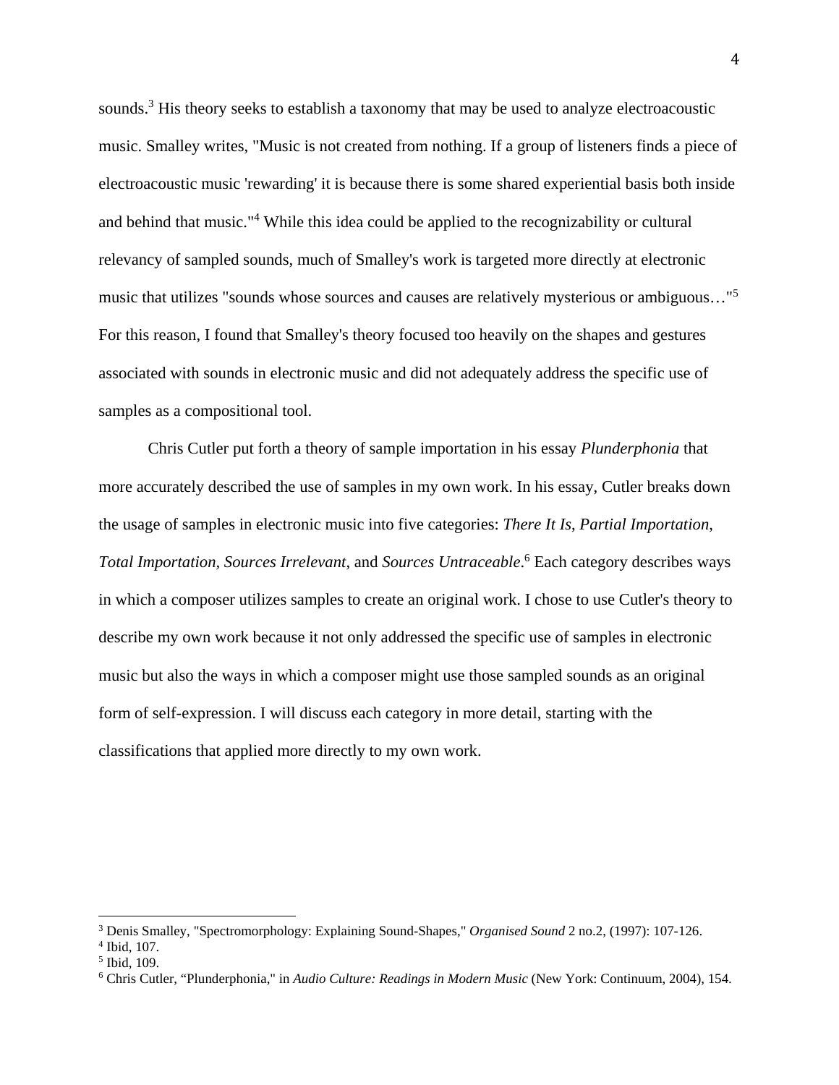sounds.<sup>3</sup> His theory seeks to establish a taxonomy that may be used to analyze electroacoustic music. Smalley writes, "Music is not created from nothing. If a group of listeners finds a piece of electroacoustic music 'rewarding' it is because there is some shared experiential basis both inside and behind that music."<sup>4</sup> While this idea could be applied to the recognizability or cultural relevancy of sampled sounds, much of Smalley's work is targeted more directly at electronic music that utilizes "sounds whose sources and causes are relatively mysterious or ambiguous…"<sup>5</sup> For this reason, I found that Smalley's theory focused too heavily on the shapes and gestures associated with sounds in electronic music and did not adequately address the specific use of samples as a compositional tool.

Chris Cutler put forth a theory of sample importation in his essay *Plunderphonia* that more accurately described the use of samples in my own work. In his essay, Cutler breaks down the usage of samples in electronic music into five categories: *There It Is*, *Partial Importation*, *Total Importation, Sources Irrelevant*, and *Sources Untraceable*. 6 Each category describes ways in which a composer utilizes samples to create an original work. I chose to use Cutler's theory to describe my own work because it not only addressed the specific use of samples in electronic music but also the ways in which a composer might use those sampled sounds as an original form of self-expression. I will discuss each category in more detail, starting with the classifications that applied more directly to my own work.

<sup>&</sup>lt;sup>3</sup> Denis Smalley, "Spectromorphology: Explaining Sound-Shapes," *Organised Sound* 2 no.2, (1997): 107-126.<br><sup>4</sup> Ibid 107

 $4$  Ibid, 107.

<sup>5</sup> Ibid, 109.

<sup>6</sup> Chris Cutler, "Plunderphonia," in *Audio Culture: Readings in Modern Music* (New York: Continuum, 2004), 154.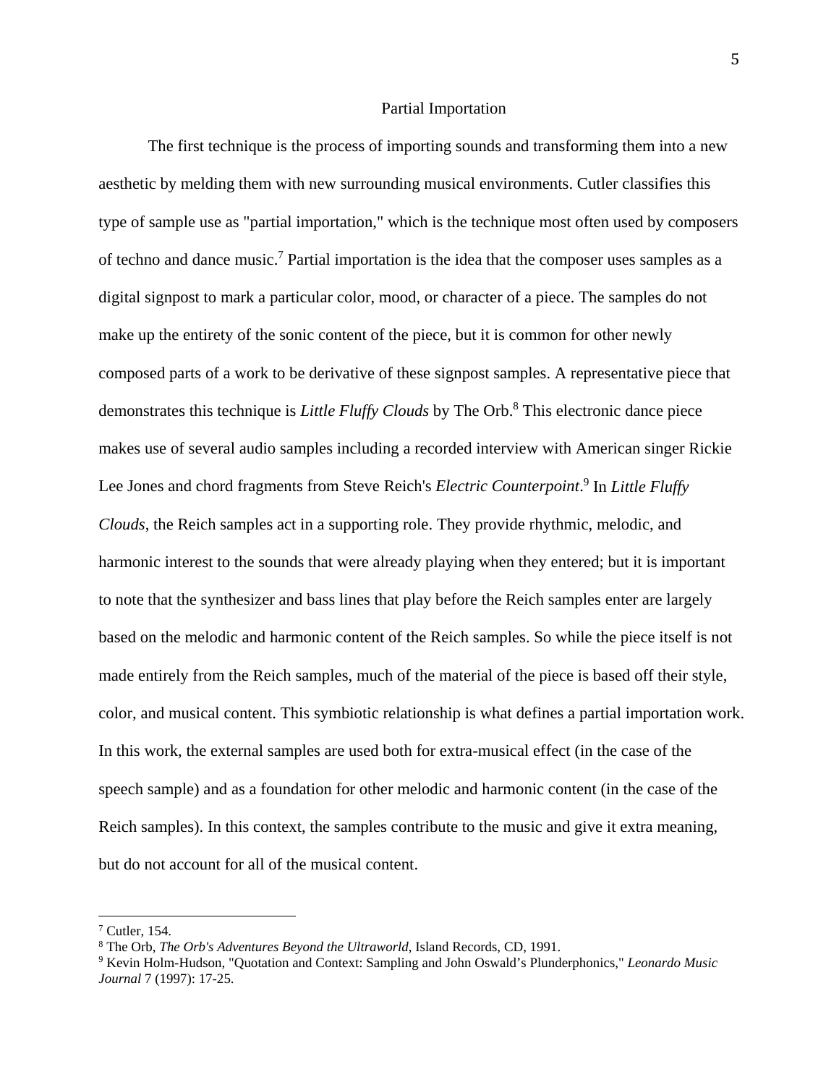#### Partial Importation

The first technique is the process of importing sounds and transforming them into a new aesthetic by melding them with new surrounding musical environments. Cutler classifies this type of sample use as "partial importation," which is the technique most often used by composers of techno and dance music.<sup>7</sup> Partial importation is the idea that the composer uses samples as a digital signpost to mark a particular color, mood, or character of a piece. The samples do not make up the entirety of the sonic content of the piece, but it is common for other newly composed parts of a work to be derivative of these signpost samples. A representative piece that demonstrates this technique is *Little Fluffy Clouds* by The Orb.8 This electronic dance piece makes use of several audio samples including a recorded interview with American singer Rickie Lee Jones and chord fragments from Steve Reich's *Electric Counterpoint*.<sup>9</sup> In *Little Fluffy Clouds*, the Reich samples act in a supporting role. They provide rhythmic, melodic, and harmonic interest to the sounds that were already playing when they entered; but it is important to note that the synthesizer and bass lines that play before the Reich samples enter are largely based on the melodic and harmonic content of the Reich samples. So while the piece itself is not made entirely from the Reich samples, much of the material of the piece is based off their style, color, and musical content. This symbiotic relationship is what defines a partial importation work. In this work, the external samples are used both for extra-musical effect (in the case of the speech sample) and as a foundation for other melodic and harmonic content (in the case of the Reich samples). In this context, the samples contribute to the music and give it extra meaning, but do not account for all of the musical content.

 $<sup>7</sup>$  Cutler, 154.</sup>

<sup>&</sup>lt;sup>8</sup> The Orb, *The Orb's Adventures Beyond the Ultraworld*, Island Records, CD, 1991.<br><sup>9</sup> Keyin Holm-Hudson, "Quotation and Context: Sampling and John Oswald's Plunds

Kevin Holm-Hudson, "Quotation and Context: Sampling and John Oswald's Plunderphonics," *Leonardo Music Journal* 7 (1997): 17-25.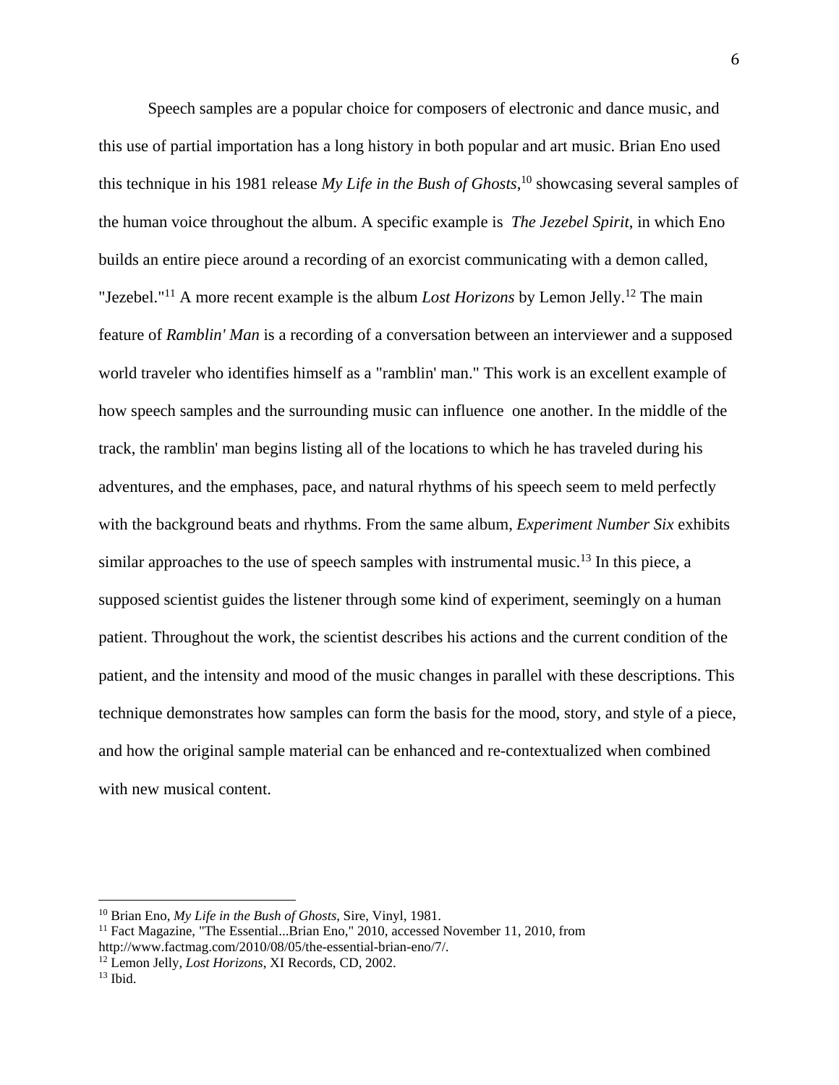Speech samples are a popular choice for composers of electronic and dance music, and this use of partial importation has a long history in both popular and art music. Brian Eno used this technique in his 1981 release *My Life in the Bush of Ghosts*, 10 showcasing several samples of the human voice throughout the album. A specific example is *The Jezebel Spirit*, in which Eno builds an entire piece around a recording of an exorcist communicating with a demon called, "Jezebel."<sup>11</sup> A more recent example is the album *Lost Horizons* by Lemon Jelly.<sup>12</sup> The main feature of *Ramblin' Man* is a recording of a conversation between an interviewer and a supposed world traveler who identifies himself as a "ramblin' man." This work is an excellent example of how speech samples and the surrounding music can influence one another. In the middle of the track, the ramblin' man begins listing all of the locations to which he has traveled during his adventures, and the emphases, pace, and natural rhythms of his speech seem to meld perfectly with the background beats and rhythms. From the same album, *Experiment Number Six* exhibits similar approaches to the use of speech samples with instrumental music.<sup>13</sup> In this piece, a supposed scientist guides the listener through some kind of experiment, seemingly on a human patient. Throughout the work, the scientist describes his actions and the current condition of the patient, and the intensity and mood of the music changes in parallel with these descriptions. This technique demonstrates how samples can form the basis for the mood, story, and style of a piece, and how the original sample material can be enhanced and re-contextualized when combined with new musical content.

<sup>&</sup>lt;sup>10</sup> Brian Eno, *My Life in the Bush of Ghosts*, Sire, Vinyl, 1981.<br><sup>11</sup> Fact Magazine, "The Essential...Brian Eno," 2010, accessed November 11, 2010, from http://www.factmag.com/2010/08/05/the-essential-brian-eno/7/.

<sup>&</sup>lt;sup>12</sup> Lemon Jelly, *Lost Horizons*, XI Records, CD, 2002. <sup>13</sup> Ibid.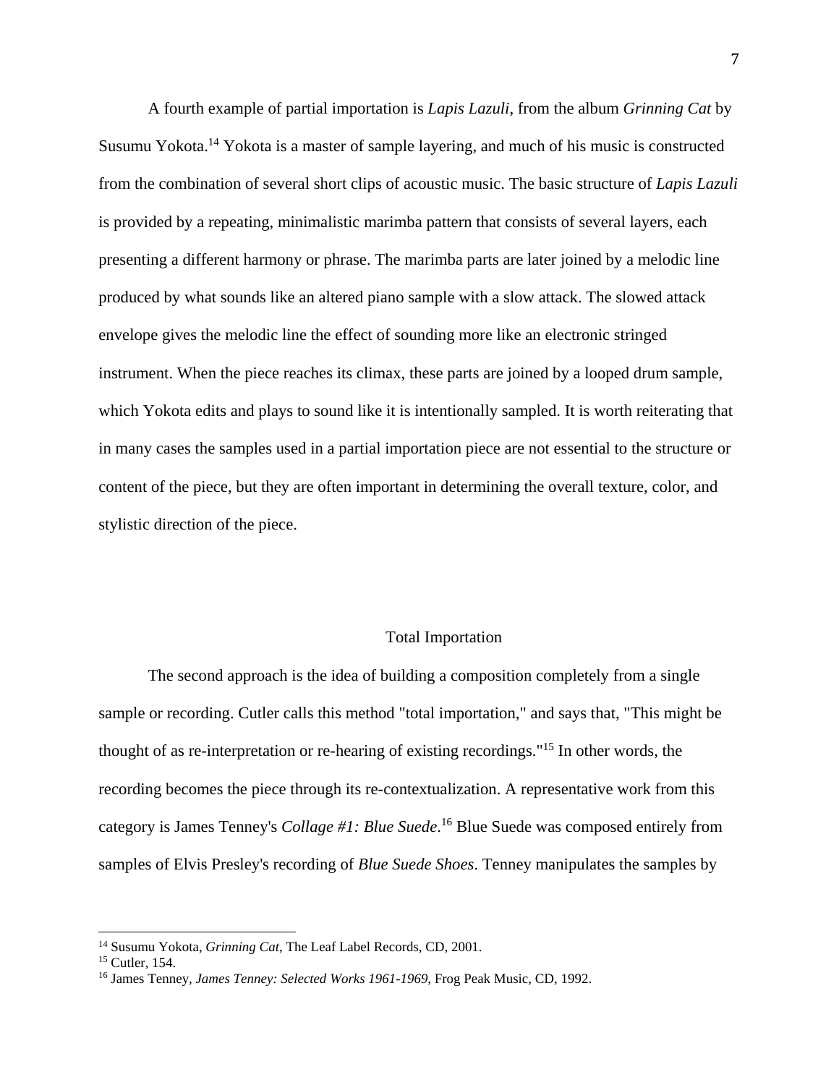A fourth example of partial importation is *Lapis Lazuli*, from the album *Grinning Cat* by Susumu Yokota.14 Yokota is a master of sample layering, and much of his music is constructed from the combination of several short clips of acoustic music. The basic structure of *Lapis Lazuli* is provided by a repeating, minimalistic marimba pattern that consists of several layers, each presenting a different harmony or phrase. The marimba parts are later joined by a melodic line produced by what sounds like an altered piano sample with a slow attack. The slowed attack envelope gives the melodic line the effect of sounding more like an electronic stringed instrument. When the piece reaches its climax, these parts are joined by a looped drum sample, which Yokota edits and plays to sound like it is intentionally sampled. It is worth reiterating that in many cases the samples used in a partial importation piece are not essential to the structure or content of the piece, but they are often important in determining the overall texture, color, and stylistic direction of the piece.

### Total Importation

The second approach is the idea of building a composition completely from a single sample or recording. Cutler calls this method "total importation," and says that, "This might be thought of as re-interpretation or re-hearing of existing recordings."15 In other words, the recording becomes the piece through its re-contextualization. A representative work from this category is James Tenney's *Collage #1: Blue Suede*. 16 Blue Suede was composed entirely from samples of Elvis Presley's recording of *Blue Suede Shoes*. Tenney manipulates the samples by

<sup>&</sup>lt;sup>14</sup> Susumu Yokota, *Grinning Cat*, The Leaf Label Records, CD, 2001.<br><sup>15</sup> Cutler, 154.

<sup>16</sup> James Tenney*, James Tenney: Selected Works 1961-1969*, Frog Peak Music, CD, 1992.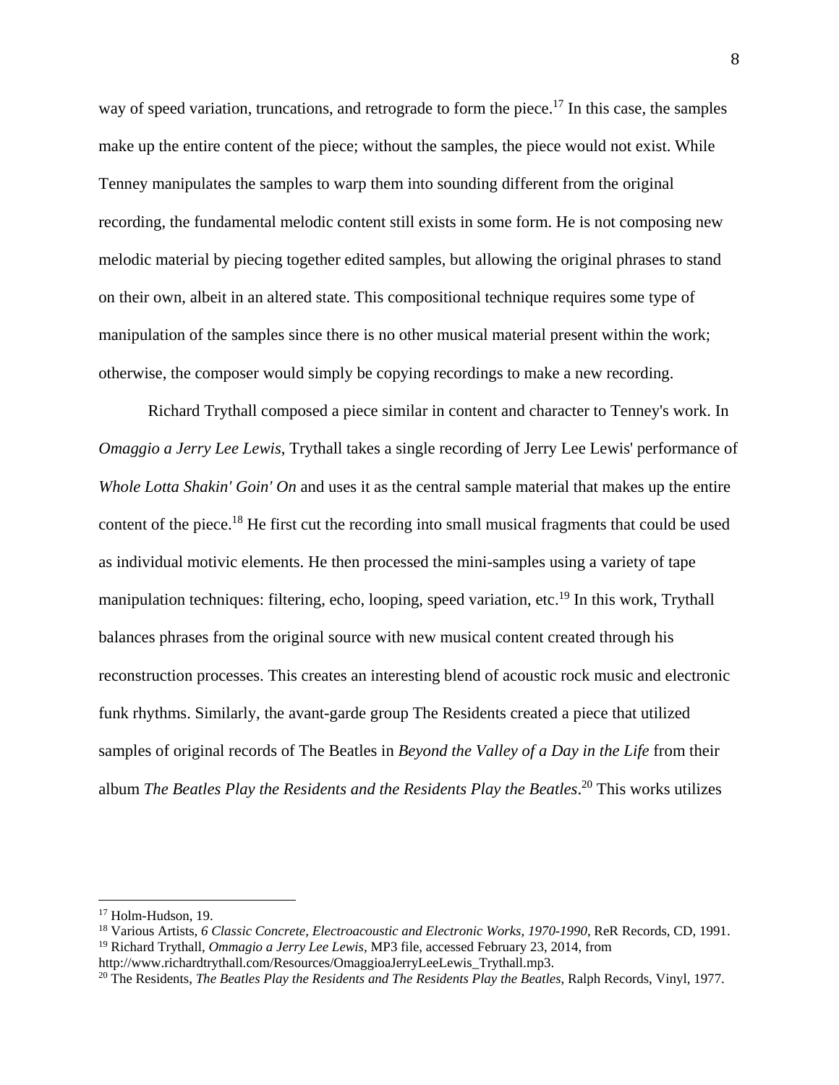way of speed variation, truncations, and retrograde to form the piece.<sup>17</sup> In this case, the samples make up the entire content of the piece; without the samples, the piece would not exist. While Tenney manipulates the samples to warp them into sounding different from the original recording, the fundamental melodic content still exists in some form. He is not composing new melodic material by piecing together edited samples, but allowing the original phrases to stand on their own, albeit in an altered state. This compositional technique requires some type of manipulation of the samples since there is no other musical material present within the work; otherwise, the composer would simply be copying recordings to make a new recording.

Richard Trythall composed a piece similar in content and character to Tenney's work. In *Omaggio a Jerry Lee Lewis*, Trythall takes a single recording of Jerry Lee Lewis' performance of *Whole Lotta Shakin' Goin' On* and uses it as the central sample material that makes up the entire content of the piece.18 He first cut the recording into small musical fragments that could be used as individual motivic elements. He then processed the mini-samples using a variety of tape manipulation techniques: filtering, echo, looping, speed variation, etc.<sup>19</sup> In this work, Trythall balances phrases from the original source with new musical content created through his reconstruction processes. This creates an interesting blend of acoustic rock music and electronic funk rhythms. Similarly, the avant-garde group The Residents created a piece that utilized samples of original records of The Beatles in *Beyond the Valley of a Day in the Life* from their album *The Beatles Play the Residents and the Residents Play the Beatles*. 20 This works utilizes

<sup>17</sup> Holm-Hudson, 19.

<sup>18</sup> Various Artists, *6 Classic Concrete, Electroacoustic and Electronic Works, 1970-1990*, ReR Records, CD, 1991. 19 Richard Trythall, *Ommagio a Jerry Lee Lewis,* MP3 file, accessed February 23, 2014, from

http://www.richardtrythall.com/Resources/OmaggioaJerryLeeLewis\_Trythall.mp3. 20 The Residents, *The Beatles Play the Residents and The Residents Play the Beatles*, Ralph Records, Vinyl, 1977.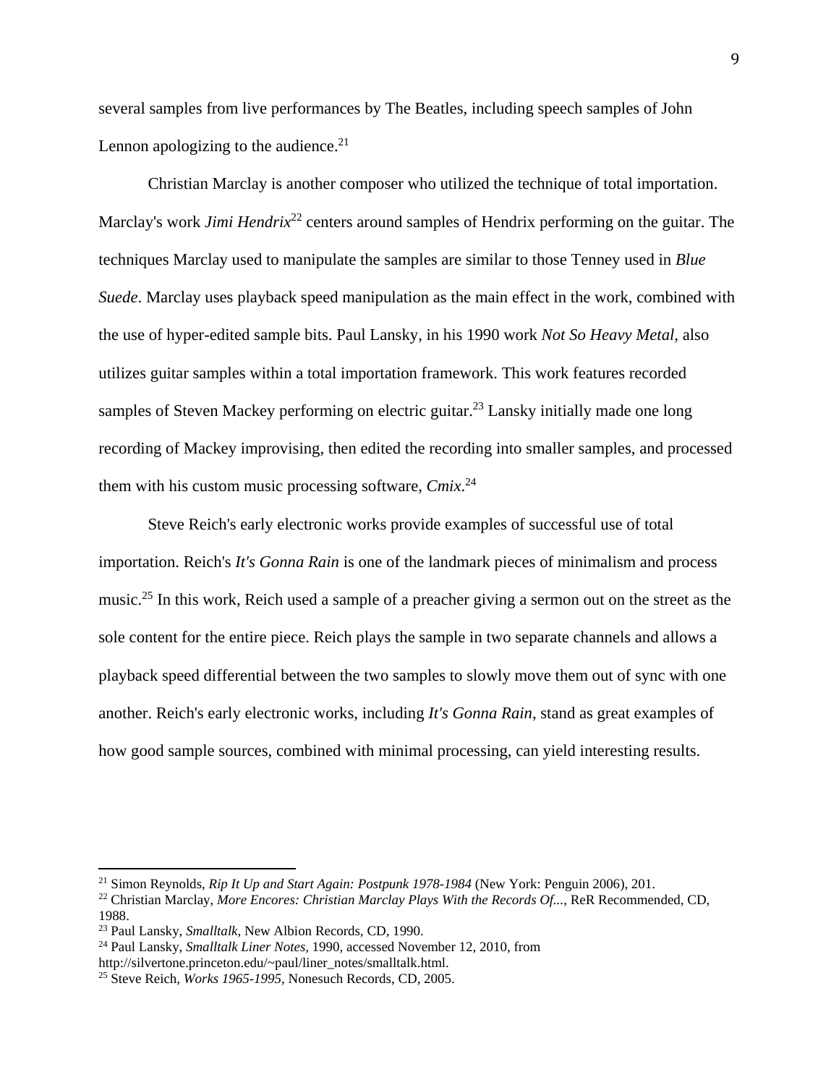several samples from live performances by The Beatles, including speech samples of John Lennon apologizing to the audience. $21$ 

Christian Marclay is another composer who utilized the technique of total importation. Marclay's work *Jimi Hendrix*<sup>22</sup> centers around samples of Hendrix performing on the guitar. The techniques Marclay used to manipulate the samples are similar to those Tenney used in *Blue Suede*. Marclay uses playback speed manipulation as the main effect in the work, combined with the use of hyper-edited sample bits. Paul Lansky, in his 1990 work *Not So Heavy Metal,* also utilizes guitar samples within a total importation framework. This work features recorded samples of Steven Mackey performing on electric guitar.<sup>23</sup> Lansky initially made one long recording of Mackey improvising, then edited the recording into smaller samples, and processed them with his custom music processing software, *Cmix*. 24

Steve Reich's early electronic works provide examples of successful use of total importation. Reich's *It's Gonna Rain* is one of the landmark pieces of minimalism and process music.<sup>25</sup> In this work, Reich used a sample of a preacher giving a sermon out on the street as the sole content for the entire piece. Reich plays the sample in two separate channels and allows a playback speed differential between the two samples to slowly move them out of sync with one another. Reich's early electronic works, including *It's Gonna Rain*, stand as great examples of how good sample sources, combined with minimal processing, can yield interesting results.

<sup>&</sup>lt;sup>21</sup> Simon Reynolds, *Rip It Up and Start Again: Postpunk 1978-1984* (New York: Penguin 2006), 201.<br><sup>22</sup> Christian Marclay, *More Encores: Christian Marclay Plays With the Records Of...*, ReR Recommended, CD, 1988.<br><sup>23</sup> Paul Lansky, *Smalltalk*, New Albion Records, CD, 1990.

<sup>&</sup>lt;sup>24</sup> Paul Lansky, *Smalltalk Liner Notes*, 1990. accessed November 12, 2010, from

http://silvertone.princeton.edu/~paul/liner\_notes/smalltalk.html.

<sup>25</sup> Steve Reich, *Works 1965-1995*, Nonesuch Records, CD, 2005.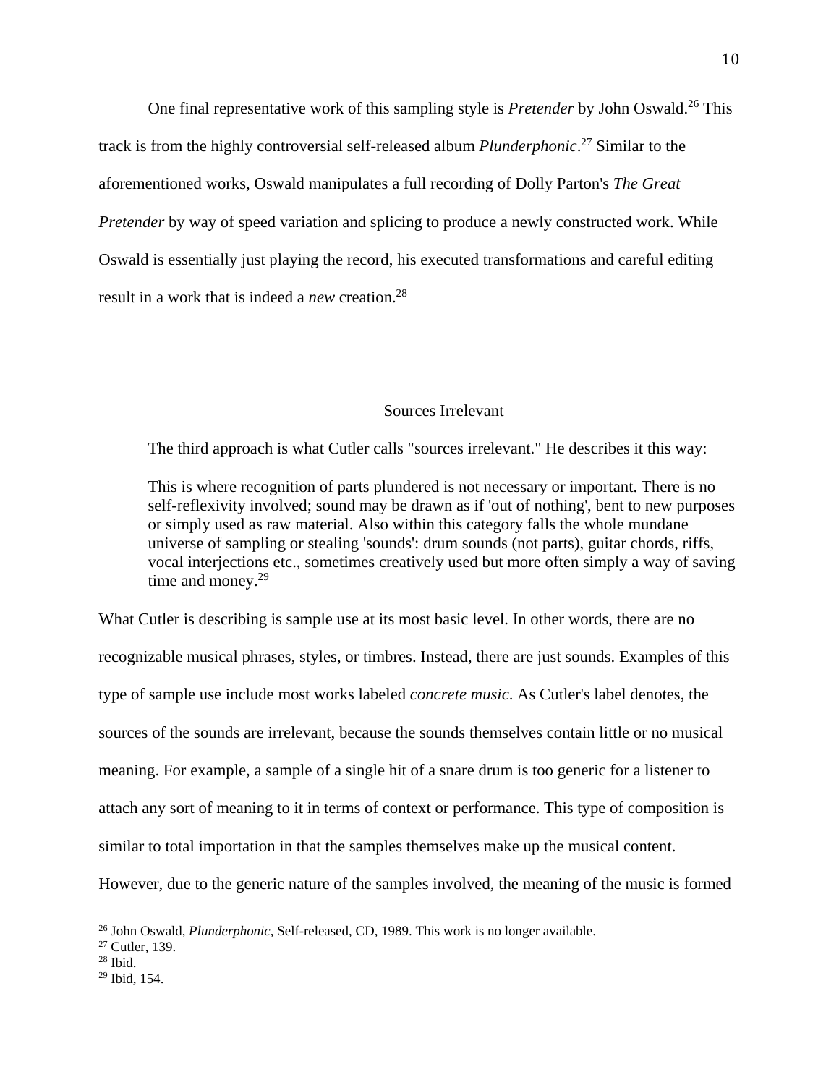One final representative work of this sampling style is *Pretender* by John Oswald.<sup>26</sup> This track is from the highly controversial self-released album *Plunderphonic*. 27 Similar to the aforementioned works, Oswald manipulates a full recording of Dolly Parton's *The Great Pretender* by way of speed variation and splicing to produce a newly constructed work. While Oswald is essentially just playing the record, his executed transformations and careful editing result in a work that is indeed a *new* creation.28

### Sources Irrelevant

The third approach is what Cutler calls "sources irrelevant." He describes it this way:

This is where recognition of parts plundered is not necessary or important. There is no self-reflexivity involved; sound may be drawn as if 'out of nothing', bent to new purposes or simply used as raw material. Also within this category falls the whole mundane universe of sampling or stealing 'sounds': drum sounds (not parts), guitar chords, riffs, vocal interjections etc., sometimes creatively used but more often simply a way of saving time and money. $29$ 

What Cutler is describing is sample use at its most basic level. In other words, there are no recognizable musical phrases, styles, or timbres. Instead, there are just sounds. Examples of this type of sample use include most works labeled *concrete music*. As Cutler's label denotes, the sources of the sounds are irrelevant, because the sounds themselves contain little or no musical meaning. For example, a sample of a single hit of a snare drum is too generic for a listener to attach any sort of meaning to it in terms of context or performance. This type of composition is similar to total importation in that the samples themselves make up the musical content. However, due to the generic nature of the samples involved, the meaning of the music is formed

<sup>&</sup>lt;sup>26</sup> John Oswald, *Plunderphonic*, Self-released, CD, 1989. This work is no longer available.<br><sup>27</sup> Cutler, 139.

 $28$  Ibid.

 $29$  Ibid, 154.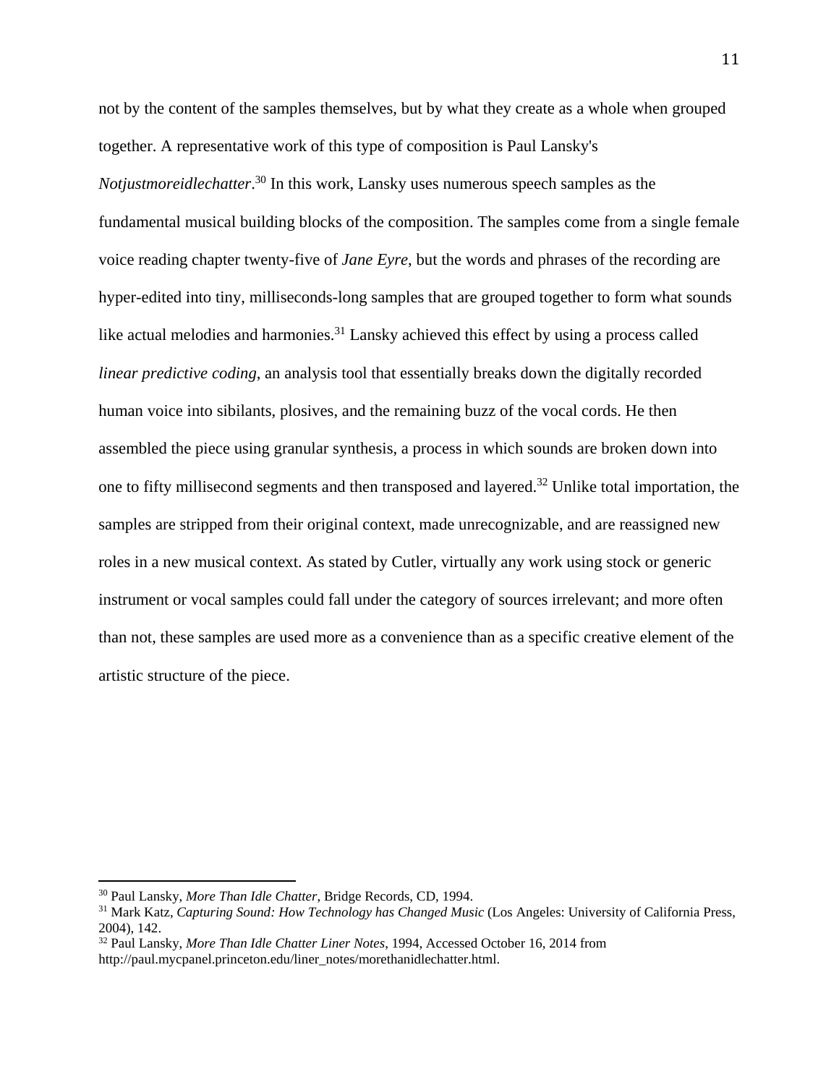not by the content of the samples themselves, but by what they create as a whole when grouped together. A representative work of this type of composition is Paul Lansky's *Notjustmoreidlechatter*. 30 In this work, Lansky uses numerous speech samples as the fundamental musical building blocks of the composition. The samples come from a single female voice reading chapter twenty-five of *Jane Eyre*, but the words and phrases of the recording are hyper-edited into tiny, milliseconds-long samples that are grouped together to form what sounds like actual melodies and harmonies.<sup>31</sup> Lansky achieved this effect by using a process called *linear predictive coding*, an analysis tool that essentially breaks down the digitally recorded human voice into sibilants, plosives, and the remaining buzz of the vocal cords. He then assembled the piece using granular synthesis, a process in which sounds are broken down into one to fifty millisecond segments and then transposed and layered.32 Unlike total importation, the samples are stripped from their original context, made unrecognizable, and are reassigned new roles in a new musical context. As stated by Cutler, virtually any work using stock or generic instrument or vocal samples could fall under the category of sources irrelevant; and more often than not, these samples are used more as a convenience than as a specific creative element of the artistic structure of the piece.

<sup>&</sup>lt;sup>30</sup> Paul Lansky, *More Than Idle Chatter*, Bridge Records, CD, 1994.<br><sup>31</sup> Mark Katz, *Capturing Sound: How Technology has Changed Music* (Los Angeles: University of California Press, 2004), 142.

<sup>32</sup> Paul Lansky, *More Than Idle Chatter Liner Notes*, 1994, Accessed October 16, 2014 from http://paul.mycpanel.princeton.edu/liner\_notes/morethanidlechatter.html.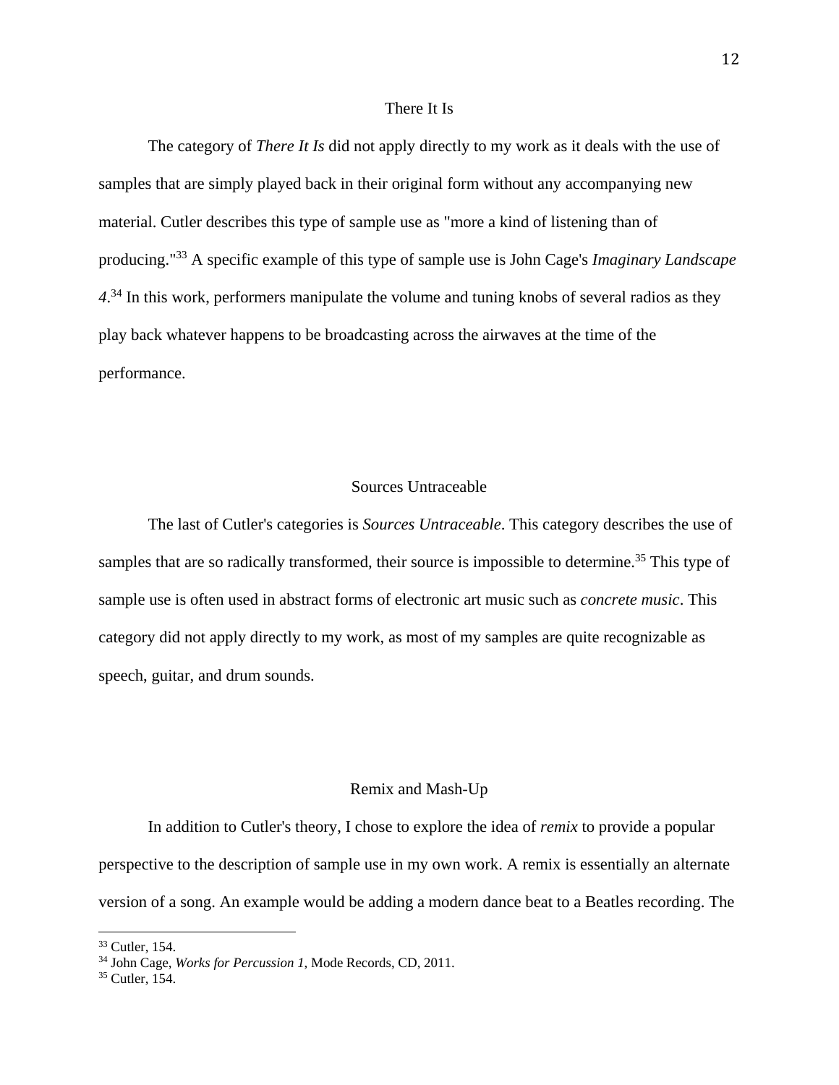#### There It Is

 The category of *There It Is* did not apply directly to my work as it deals with the use of samples that are simply played back in their original form without any accompanying new material. Cutler describes this type of sample use as "more a kind of listening than of producing."33 A specific example of this type of sample use is John Cage's *Imaginary Landscape*  4.<sup>34</sup> In this work, performers manipulate the volume and tuning knobs of several radios as they play back whatever happens to be broadcasting across the airwaves at the time of the performance.

#### Sources Untraceable

 The last of Cutler's categories is *Sources Untraceable*. This category describes the use of samples that are so radically transformed, their source is impossible to determine.<sup>35</sup> This type of sample use is often used in abstract forms of electronic art music such as *concrete music*. This category did not apply directly to my work, as most of my samples are quite recognizable as speech, guitar, and drum sounds.

#### Remix and Mash-Up

In addition to Cutler's theory, I chose to explore the idea of *remix* to provide a popular perspective to the description of sample use in my own work. A remix is essentially an alternate version of a song. An example would be adding a modern dance beat to a Beatles recording. The

<sup>33</sup> Cutler, 154.

<sup>&</sup>lt;sup>34</sup> John Cage, *Works for Percussion 1*, Mode Records, CD, 2011.<br><sup>35</sup> Cutler, 154.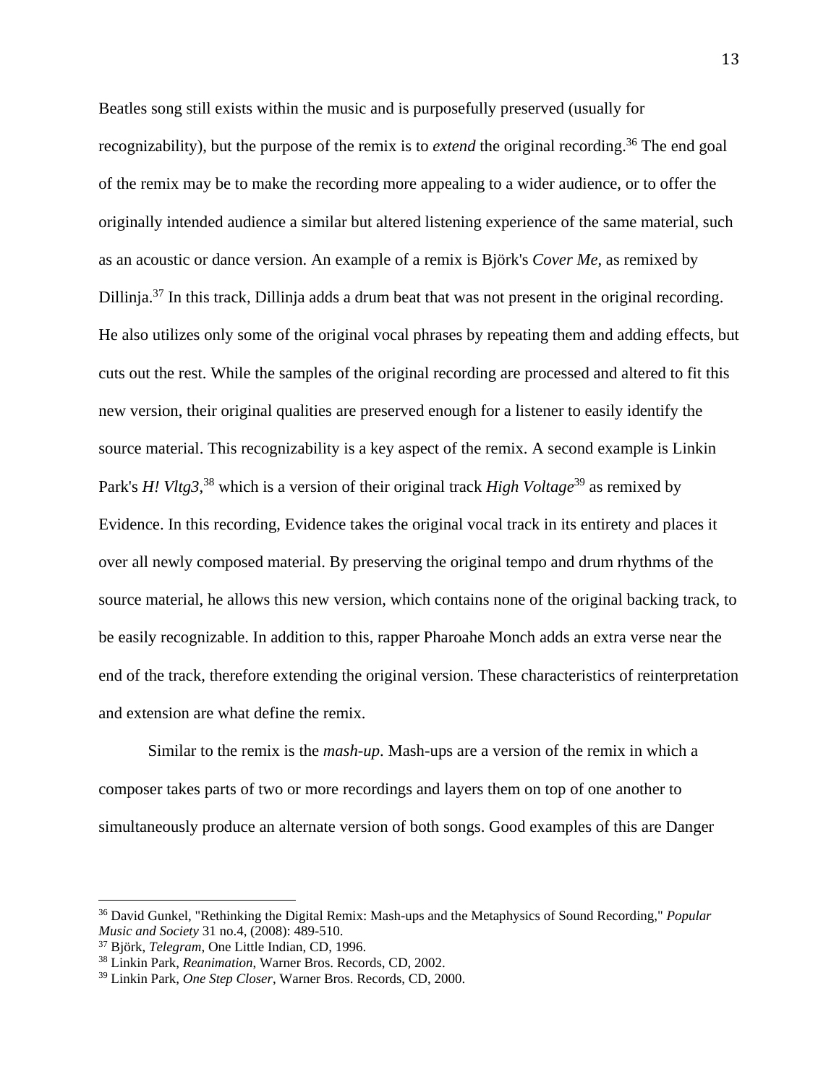Beatles song still exists within the music and is purposefully preserved (usually for recognizability), but the purpose of the remix is to *extend* the original recording.<sup>36</sup> The end goal of the remix may be to make the recording more appealing to a wider audience, or to offer the originally intended audience a similar but altered listening experience of the same material, such as an acoustic or dance version. An example of a remix is Björk's *Cover Me*, as remixed by Dillinja.<sup>37</sup> In this track, Dillinja adds a drum beat that was not present in the original recording. He also utilizes only some of the original vocal phrases by repeating them and adding effects, but cuts out the rest. While the samples of the original recording are processed and altered to fit this new version, their original qualities are preserved enough for a listener to easily identify the source material. This recognizability is a key aspect of the remix. A second example is Linkin Park's *H! Vltg3*,<sup>38</sup> which is a version of their original track *High Voltage*<sup>39</sup> as remixed by Evidence. In this recording, Evidence takes the original vocal track in its entirety and places it over all newly composed material. By preserving the original tempo and drum rhythms of the source material, he allows this new version, which contains none of the original backing track, to be easily recognizable. In addition to this, rapper Pharoahe Monch adds an extra verse near the end of the track, therefore extending the original version. These characteristics of reinterpretation and extension are what define the remix.

 Similar to the remix is the *mash-up*. Mash-ups are a version of the remix in which a composer takes parts of two or more recordings and layers them on top of one another to simultaneously produce an alternate version of both songs. Good examples of this are Danger

<sup>36</sup> David Gunkel, "Rethinking the Digital Remix: Mash-ups and the Metaphysics of Sound Recording," *Popular Music and Society 31 no.4, (2008): 489-510.*<br><sup>37</sup> Björk, *Telegram*, One Little Indian, CD, 1996.<br><sup>38</sup> Linkin Park, *Reanimation*, Warner Bros. Records, CD, 2002.

<sup>39</sup> Linkin Park, *One Step Closer*, Warner Bros. Records, CD, 2000.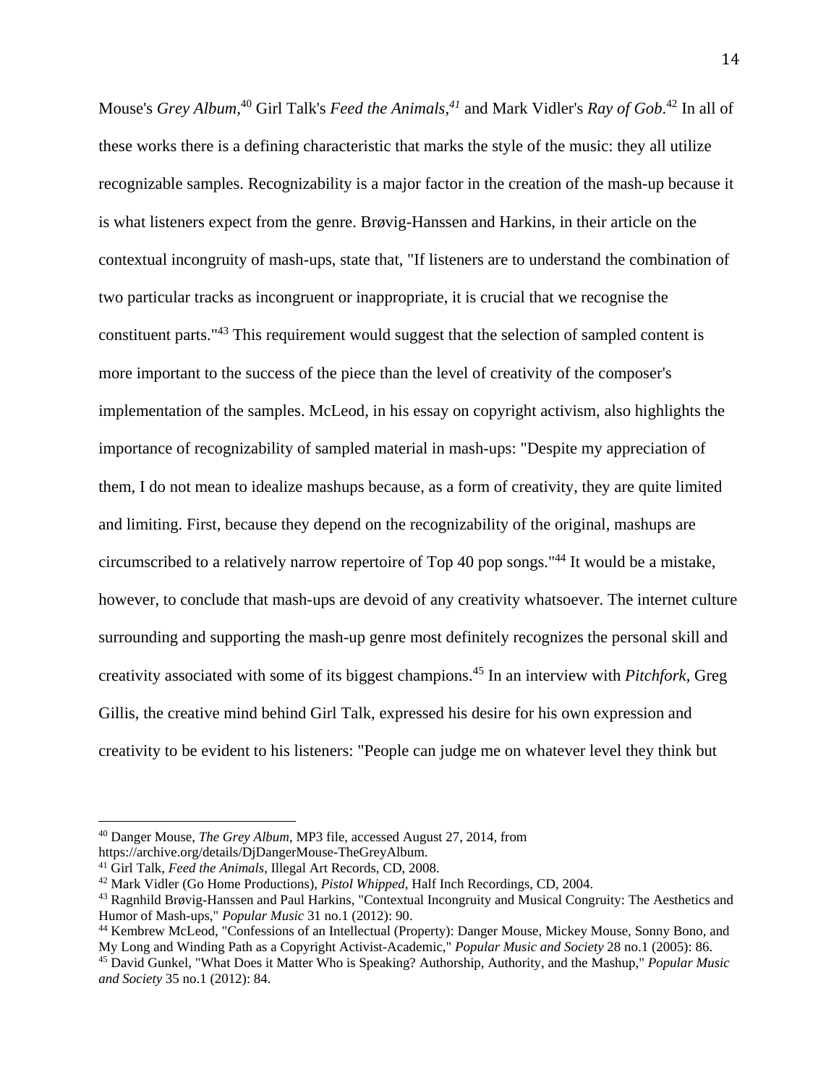Mouse's *Grey Album,*40 Girl Talk's *Feed the Animals,41* and Mark Vidler's *Ray of Gob*. 42 In all of these works there is a defining characteristic that marks the style of the music: they all utilize recognizable samples. Recognizability is a major factor in the creation of the mash-up because it is what listeners expect from the genre. Brøvig-Hanssen and Harkins, in their article on the contextual incongruity of mash-ups, state that, "If listeners are to understand the combination of two particular tracks as incongruent or inappropriate, it is crucial that we recognise the constituent parts."43 This requirement would suggest that the selection of sampled content is more important to the success of the piece than the level of creativity of the composer's implementation of the samples. McLeod, in his essay on copyright activism, also highlights the importance of recognizability of sampled material in mash-ups: "Despite my appreciation of them, I do not mean to idealize mashups because, as a form of creativity, they are quite limited and limiting. First, because they depend on the recognizability of the original, mashups are circumscribed to a relatively narrow repertoire of Top 40 pop songs."44 It would be a mistake, however, to conclude that mash-ups are devoid of any creativity whatsoever. The internet culture surrounding and supporting the mash-up genre most definitely recognizes the personal skill and creativity associated with some of its biggest champions.45 In an interview with *Pitchfork*, Greg Gillis, the creative mind behind Girl Talk, expressed his desire for his own expression and creativity to be evident to his listeners: "People can judge me on whatever level they think but

<sup>40</sup> Danger Mouse, *The Grey Album*, MP3 file, accessed August 27, 2014, from

https://archive.org/details/DjDangerMouse-TheGreyAlbum.<br><sup>41</sup> Girl Talk, *Feed the Animals*, Illegal Art Records, CD, 2008.

 $42$  Mark Vidler (Go Home Productions), *Pistol Whipped*, Half Inch Recordings, CD, 2004.<br> $43$  Ragnhild Brøvig-Hanssen and Paul Harkins, "Contextual Incongruity and Musical Congruity: The Aesthetics and

Humor of Mash-ups," *Popular Music* 31 no.1 (2012): 90.<br><sup>44</sup> Kembrew McLeod, "Confessions of an Intellectual (Property): Danger Mouse, Mickey Mouse, Sonny Bono, and<br>My Long and Winding Path as a Copyright Activist-Academic

<sup>&</sup>lt;sup>45</sup> David Gunkel, "What Does it Matter Who is Speaking? Authorship, Authority, and the Mashup," *Popular Music and Society* 35 no.1 (2012): 84.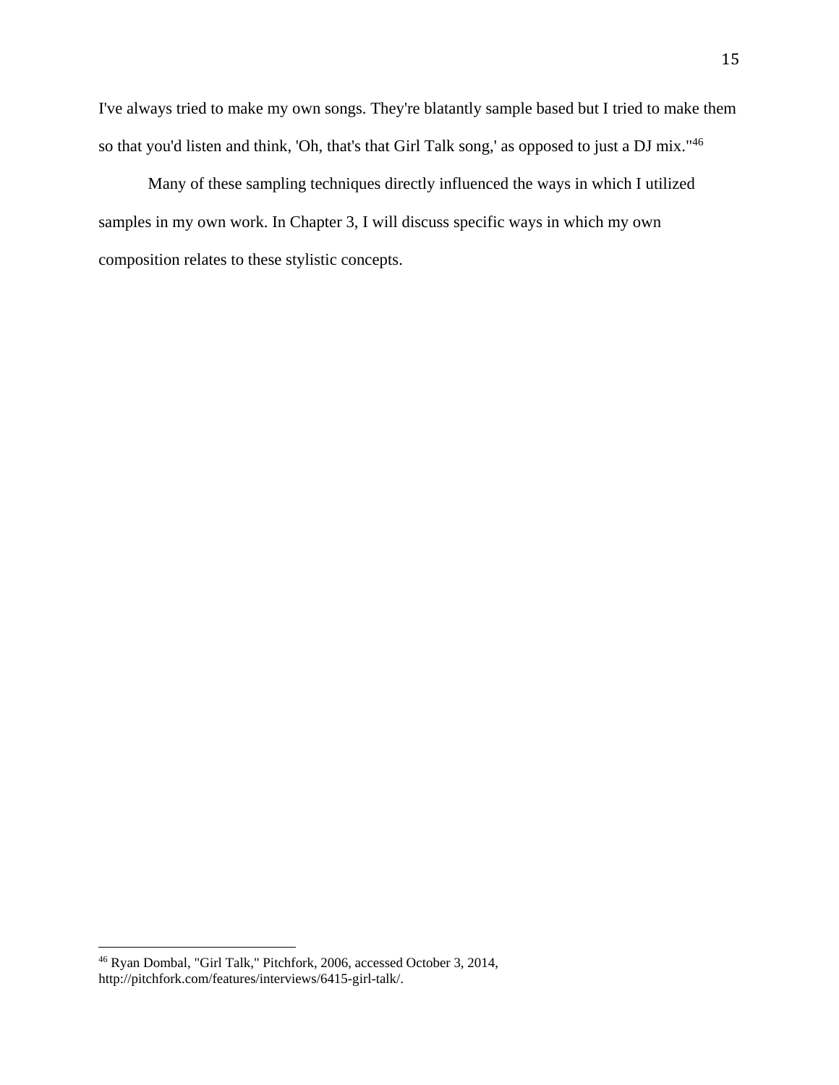I've always tried to make my own songs. They're blatantly sample based but I tried to make them so that you'd listen and think, 'Oh, that's that Girl Talk song,' as opposed to just a DJ mix."<sup>46</sup>

 Many of these sampling techniques directly influenced the ways in which I utilized samples in my own work. In Chapter 3, I will discuss specific ways in which my own composition relates to these stylistic concepts.

<sup>46</sup> Ryan Dombal, "Girl Talk," Pitchfork, 2006, accessed October 3, 2014, http://pitchfork.com/features/interviews/6415-girl-talk/.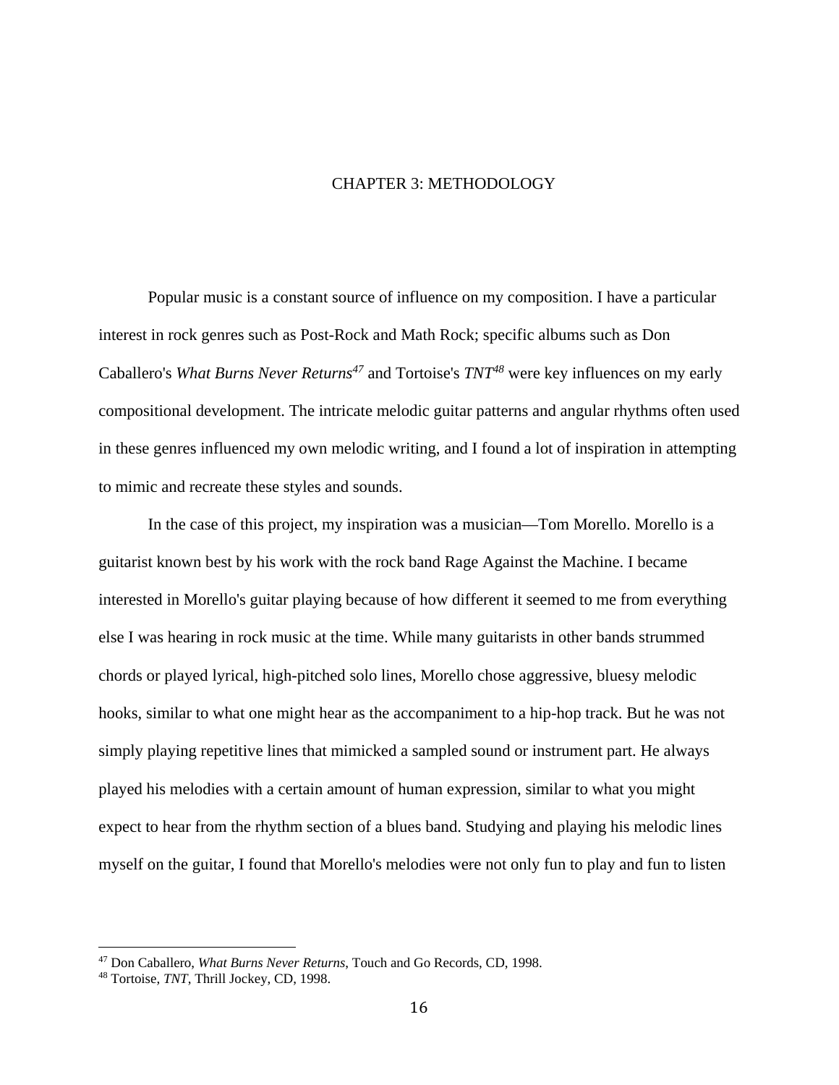# CHAPTER 3: METHODOLOGY

 Popular music is a constant source of influence on my composition. I have a particular interest in rock genres such as Post-Rock and Math Rock; specific albums such as Don Caballero's *What Burns Never Returns*<sup>47</sup> and Tortoise's *TNT*<sup>48</sup> were key influences on my early compositional development. The intricate melodic guitar patterns and angular rhythms often used in these genres influenced my own melodic writing, and I found a lot of inspiration in attempting to mimic and recreate these styles and sounds.

 In the case of this project, my inspiration was a musician—Tom Morello. Morello is a guitarist known best by his work with the rock band Rage Against the Machine. I became interested in Morello's guitar playing because of how different it seemed to me from everything else I was hearing in rock music at the time. While many guitarists in other bands strummed chords or played lyrical, high-pitched solo lines, Morello chose aggressive, bluesy melodic hooks, similar to what one might hear as the accompaniment to a hip-hop track. But he was not simply playing repetitive lines that mimicked a sampled sound or instrument part. He always played his melodies with a certain amount of human expression, similar to what you might expect to hear from the rhythm section of a blues band. Studying and playing his melodic lines myself on the guitar, I found that Morello's melodies were not only fun to play and fun to listen

<sup>47</sup> Don Caballero, *What Burns Never Returns*, Touch and Go Records, CD, 1998. 48 Tortoise, *TNT*, Thrill Jockey, CD, 1998.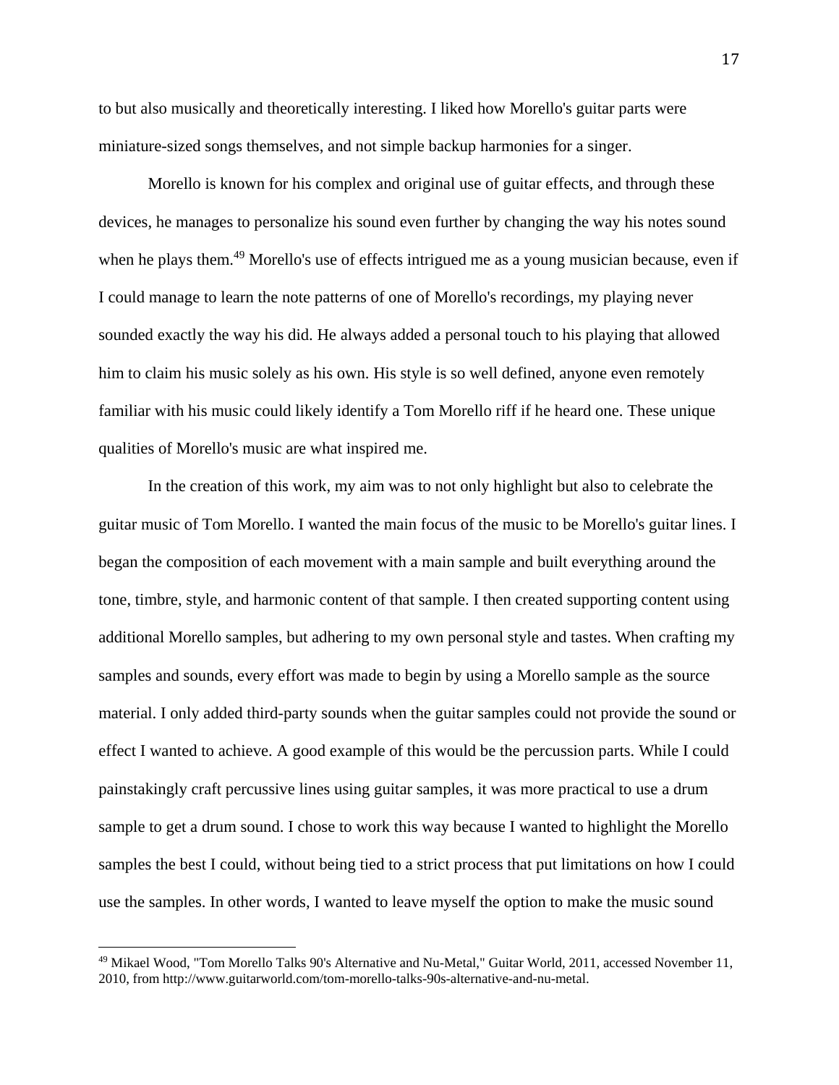to but also musically and theoretically interesting. I liked how Morello's guitar parts were miniature-sized songs themselves, and not simple backup harmonies for a singer.

 Morello is known for his complex and original use of guitar effects, and through these devices, he manages to personalize his sound even further by changing the way his notes sound when he plays them.<sup>49</sup> Morello's use of effects intrigued me as a young musician because, even if I could manage to learn the note patterns of one of Morello's recordings, my playing never sounded exactly the way his did. He always added a personal touch to his playing that allowed him to claim his music solely as his own. His style is so well defined, anyone even remotely familiar with his music could likely identify a Tom Morello riff if he heard one. These unique qualities of Morello's music are what inspired me.

 In the creation of this work, my aim was to not only highlight but also to celebrate the guitar music of Tom Morello. I wanted the main focus of the music to be Morello's guitar lines. I began the composition of each movement with a main sample and built everything around the tone, timbre, style, and harmonic content of that sample. I then created supporting content using additional Morello samples, but adhering to my own personal style and tastes. When crafting my samples and sounds, every effort was made to begin by using a Morello sample as the source material. I only added third-party sounds when the guitar samples could not provide the sound or effect I wanted to achieve. A good example of this would be the percussion parts. While I could painstakingly craft percussive lines using guitar samples, it was more practical to use a drum sample to get a drum sound. I chose to work this way because I wanted to highlight the Morello samples the best I could, without being tied to a strict process that put limitations on how I could use the samples. In other words, I wanted to leave myself the option to make the music sound

<sup>49</sup> Mikael Wood, "Tom Morello Talks 90's Alternative and Nu-Metal," Guitar World, 2011, accessed November 11, 2010, from http://www.guitarworld.com/tom-morello-talks-90s-alternative-and-nu-metal.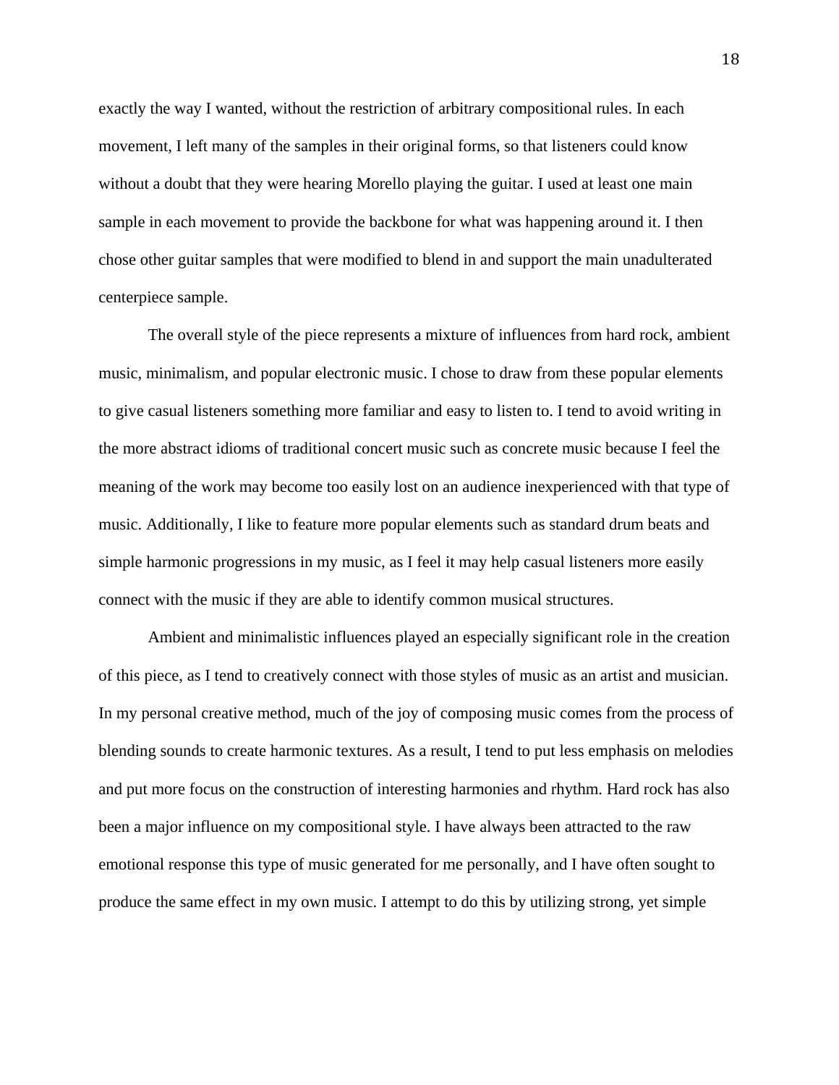exactly the way I wanted, without the restriction of arbitrary compositional rules. In each movement, I left many of the samples in their original forms, so that listeners could know without a doubt that they were hearing Morello playing the guitar. I used at least one main sample in each movement to provide the backbone for what was happening around it. I then chose other guitar samples that were modified to blend in and support the main unadulterated centerpiece sample.

 The overall style of the piece represents a mixture of influences from hard rock, ambient music, minimalism, and popular electronic music. I chose to draw from these popular elements to give casual listeners something more familiar and easy to listen to. I tend to avoid writing in the more abstract idioms of traditional concert music such as concrete music because I feel the meaning of the work may become too easily lost on an audience inexperienced with that type of music. Additionally, I like to feature more popular elements such as standard drum beats and simple harmonic progressions in my music, as I feel it may help casual listeners more easily connect with the music if they are able to identify common musical structures.

 Ambient and minimalistic influences played an especially significant role in the creation of this piece, as I tend to creatively connect with those styles of music as an artist and musician. In my personal creative method, much of the joy of composing music comes from the process of blending sounds to create harmonic textures. As a result, I tend to put less emphasis on melodies and put more focus on the construction of interesting harmonies and rhythm. Hard rock has also been a major influence on my compositional style. I have always been attracted to the raw emotional response this type of music generated for me personally, and I have often sought to produce the same effect in my own music. I attempt to do this by utilizing strong, yet simple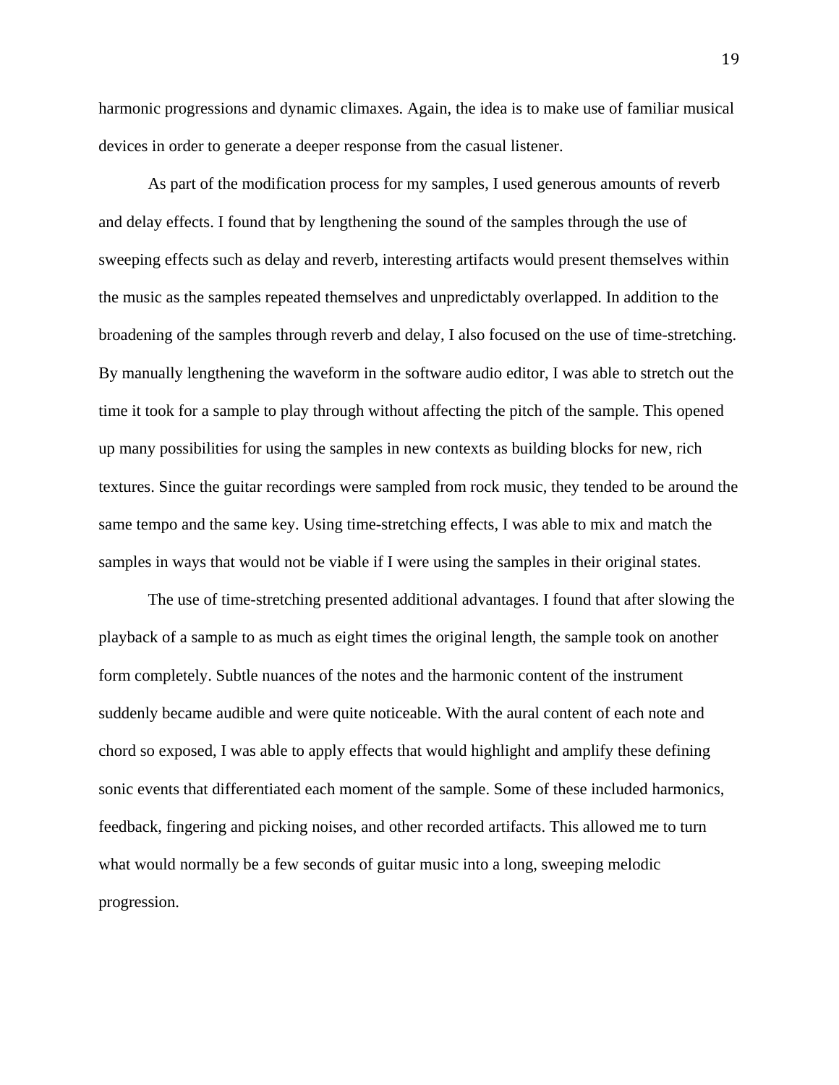harmonic progressions and dynamic climaxes. Again, the idea is to make use of familiar musical devices in order to generate a deeper response from the casual listener.

 As part of the modification process for my samples, I used generous amounts of reverb and delay effects. I found that by lengthening the sound of the samples through the use of sweeping effects such as delay and reverb, interesting artifacts would present themselves within the music as the samples repeated themselves and unpredictably overlapped. In addition to the broadening of the samples through reverb and delay, I also focused on the use of time-stretching. By manually lengthening the waveform in the software audio editor, I was able to stretch out the time it took for a sample to play through without affecting the pitch of the sample. This opened up many possibilities for using the samples in new contexts as building blocks for new, rich textures. Since the guitar recordings were sampled from rock music, they tended to be around the same tempo and the same key. Using time-stretching effects, I was able to mix and match the samples in ways that would not be viable if I were using the samples in their original states.

 The use of time-stretching presented additional advantages. I found that after slowing the playback of a sample to as much as eight times the original length, the sample took on another form completely. Subtle nuances of the notes and the harmonic content of the instrument suddenly became audible and were quite noticeable. With the aural content of each note and chord so exposed, I was able to apply effects that would highlight and amplify these defining sonic events that differentiated each moment of the sample. Some of these included harmonics, feedback, fingering and picking noises, and other recorded artifacts. This allowed me to turn what would normally be a few seconds of guitar music into a long, sweeping melodic progression.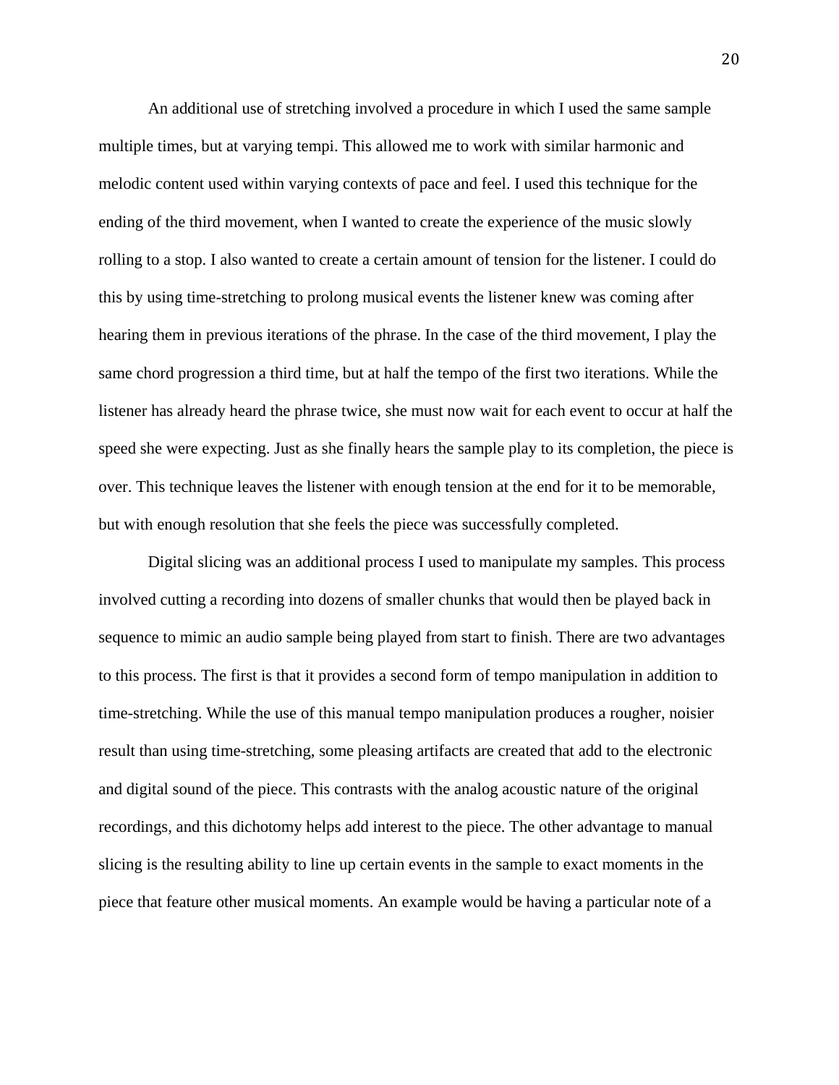An additional use of stretching involved a procedure in which I used the same sample multiple times, but at varying tempi. This allowed me to work with similar harmonic and melodic content used within varying contexts of pace and feel. I used this technique for the ending of the third movement, when I wanted to create the experience of the music slowly rolling to a stop. I also wanted to create a certain amount of tension for the listener. I could do this by using time-stretching to prolong musical events the listener knew was coming after hearing them in previous iterations of the phrase. In the case of the third movement, I play the same chord progression a third time, but at half the tempo of the first two iterations. While the listener has already heard the phrase twice, she must now wait for each event to occur at half the speed she were expecting. Just as she finally hears the sample play to its completion, the piece is over. This technique leaves the listener with enough tension at the end for it to be memorable, but with enough resolution that she feels the piece was successfully completed.

 Digital slicing was an additional process I used to manipulate my samples. This process involved cutting a recording into dozens of smaller chunks that would then be played back in sequence to mimic an audio sample being played from start to finish. There are two advantages to this process. The first is that it provides a second form of tempo manipulation in addition to time-stretching. While the use of this manual tempo manipulation produces a rougher, noisier result than using time-stretching, some pleasing artifacts are created that add to the electronic and digital sound of the piece. This contrasts with the analog acoustic nature of the original recordings, and this dichotomy helps add interest to the piece. The other advantage to manual slicing is the resulting ability to line up certain events in the sample to exact moments in the piece that feature other musical moments. An example would be having a particular note of a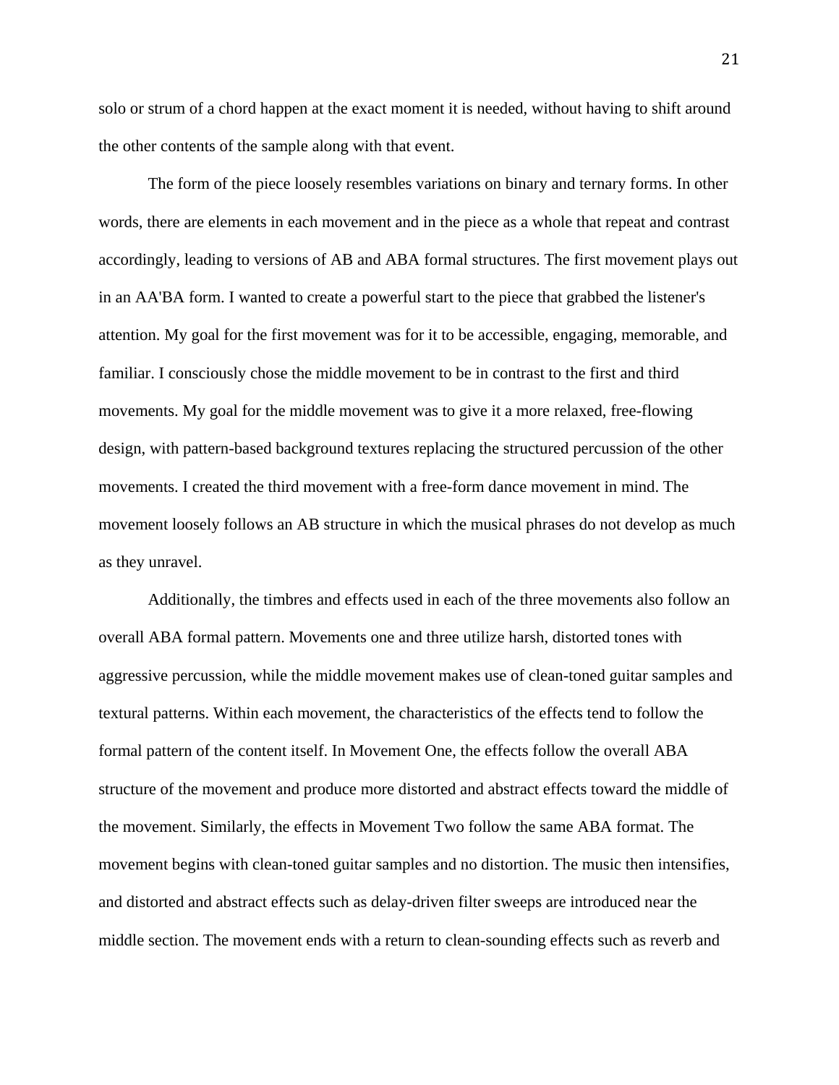solo or strum of a chord happen at the exact moment it is needed, without having to shift around the other contents of the sample along with that event.

 The form of the piece loosely resembles variations on binary and ternary forms. In other words, there are elements in each movement and in the piece as a whole that repeat and contrast accordingly, leading to versions of AB and ABA formal structures. The first movement plays out in an AA'BA form. I wanted to create a powerful start to the piece that grabbed the listener's attention. My goal for the first movement was for it to be accessible, engaging, memorable, and familiar. I consciously chose the middle movement to be in contrast to the first and third movements. My goal for the middle movement was to give it a more relaxed, free-flowing design, with pattern-based background textures replacing the structured percussion of the other movements. I created the third movement with a free-form dance movement in mind. The movement loosely follows an AB structure in which the musical phrases do not develop as much as they unravel.

 Additionally, the timbres and effects used in each of the three movements also follow an overall ABA formal pattern. Movements one and three utilize harsh, distorted tones with aggressive percussion, while the middle movement makes use of clean-toned guitar samples and textural patterns. Within each movement, the characteristics of the effects tend to follow the formal pattern of the content itself. In Movement One, the effects follow the overall ABA structure of the movement and produce more distorted and abstract effects toward the middle of the movement. Similarly, the effects in Movement Two follow the same ABA format. The movement begins with clean-toned guitar samples and no distortion. The music then intensifies, and distorted and abstract effects such as delay-driven filter sweeps are introduced near the middle section. The movement ends with a return to clean-sounding effects such as reverb and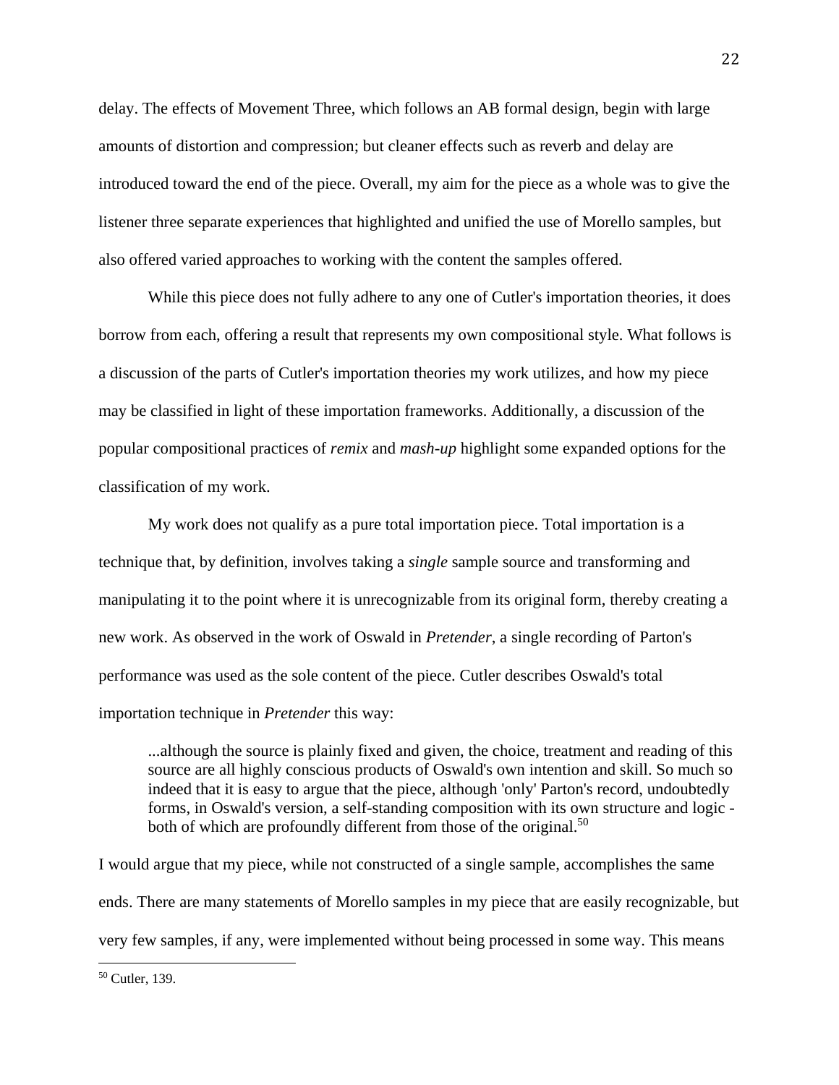delay. The effects of Movement Three, which follows an AB formal design, begin with large amounts of distortion and compression; but cleaner effects such as reverb and delay are introduced toward the end of the piece. Overall, my aim for the piece as a whole was to give the listener three separate experiences that highlighted and unified the use of Morello samples, but also offered varied approaches to working with the content the samples offered.

 While this piece does not fully adhere to any one of Cutler's importation theories, it does borrow from each, offering a result that represents my own compositional style. What follows is a discussion of the parts of Cutler's importation theories my work utilizes, and how my piece may be classified in light of these importation frameworks. Additionally, a discussion of the popular compositional practices of *remix* and *mash-up* highlight some expanded options for the classification of my work.

 My work does not qualify as a pure total importation piece. Total importation is a technique that, by definition, involves taking a *single* sample source and transforming and manipulating it to the point where it is unrecognizable from its original form, thereby creating a new work. As observed in the work of Oswald in *Pretender*, a single recording of Parton's performance was used as the sole content of the piece. Cutler describes Oswald's total importation technique in *Pretender* this way:

 ...although the source is plainly fixed and given, the choice, treatment and reading of this source are all highly conscious products of Oswald's own intention and skill. So much so indeed that it is easy to argue that the piece, although 'only' Parton's record, undoubtedly forms, in Oswald's version, a self-standing composition with its own structure and logic both of which are profoundly different from those of the original.<sup>50</sup>

I would argue that my piece, while not constructed of a single sample, accomplishes the same ends. There are many statements of Morello samples in my piece that are easily recognizable, but very few samples, if any, were implemented without being processed in some way. This means

 50 Cutler, 139.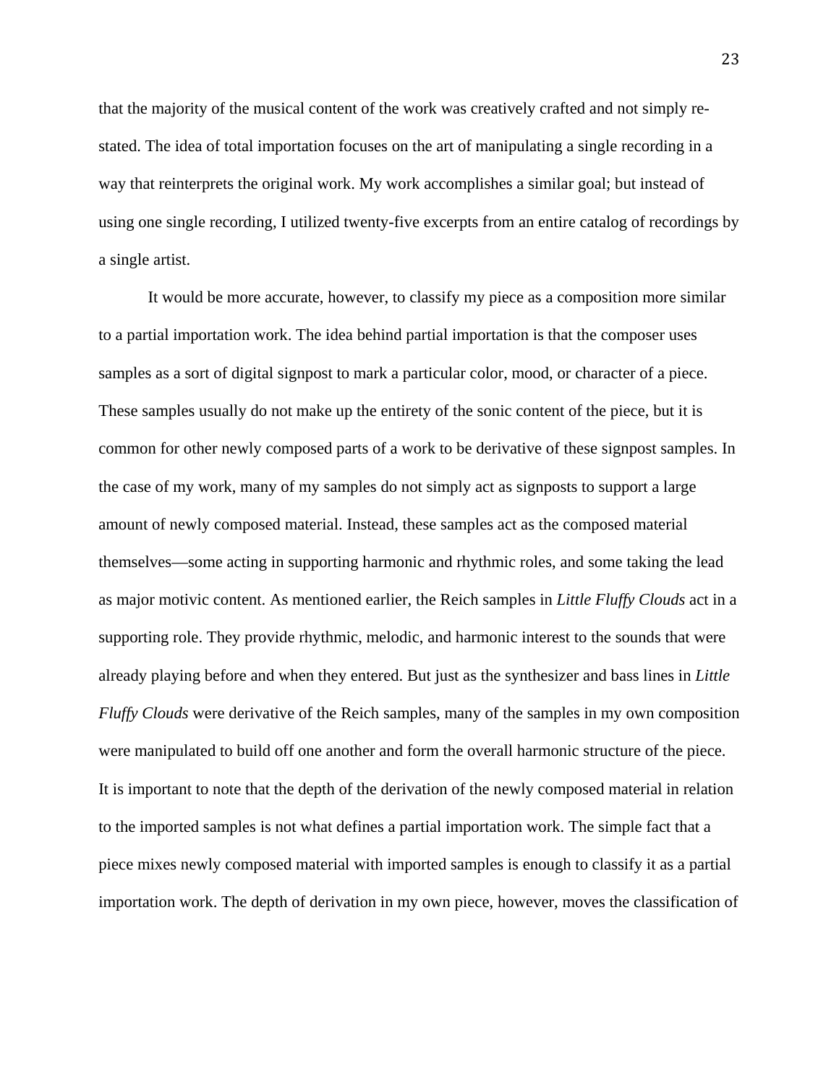that the majority of the musical content of the work was creatively crafted and not simply restated. The idea of total importation focuses on the art of manipulating a single recording in a way that reinterprets the original work. My work accomplishes a similar goal; but instead of using one single recording, I utilized twenty-five excerpts from an entire catalog of recordings by a single artist.

 It would be more accurate, however, to classify my piece as a composition more similar to a partial importation work. The idea behind partial importation is that the composer uses samples as a sort of digital signpost to mark a particular color, mood, or character of a piece. These samples usually do not make up the entirety of the sonic content of the piece, but it is common for other newly composed parts of a work to be derivative of these signpost samples. In the case of my work, many of my samples do not simply act as signposts to support a large amount of newly composed material. Instead, these samples act as the composed material themselves—some acting in supporting harmonic and rhythmic roles, and some taking the lead as major motivic content. As mentioned earlier, the Reich samples in *Little Fluffy Clouds* act in a supporting role. They provide rhythmic, melodic, and harmonic interest to the sounds that were already playing before and when they entered. But just as the synthesizer and bass lines in *Little Fluffy Clouds* were derivative of the Reich samples, many of the samples in my own composition were manipulated to build off one another and form the overall harmonic structure of the piece. It is important to note that the depth of the derivation of the newly composed material in relation to the imported samples is not what defines a partial importation work. The simple fact that a piece mixes newly composed material with imported samples is enough to classify it as a partial importation work. The depth of derivation in my own piece, however, moves the classification of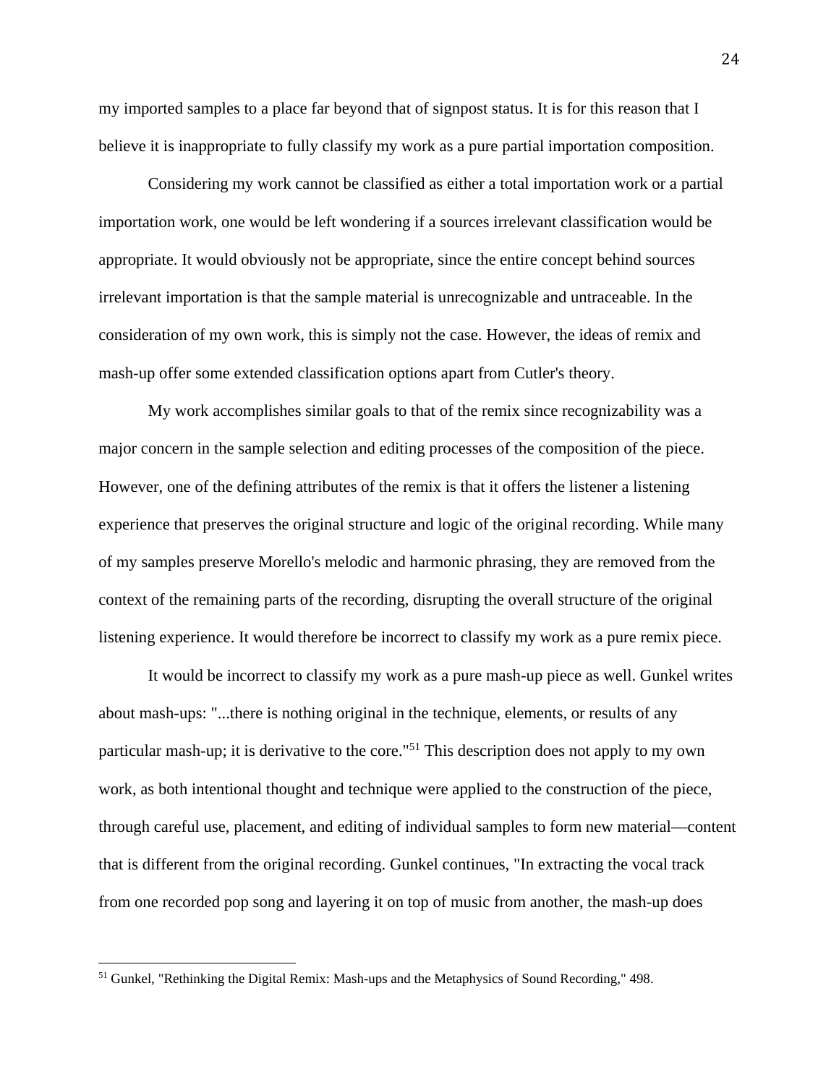my imported samples to a place far beyond that of signpost status. It is for this reason that I believe it is inappropriate to fully classify my work as a pure partial importation composition.

 Considering my work cannot be classified as either a total importation work or a partial importation work, one would be left wondering if a sources irrelevant classification would be appropriate. It would obviously not be appropriate, since the entire concept behind sources irrelevant importation is that the sample material is unrecognizable and untraceable. In the consideration of my own work, this is simply not the case. However, the ideas of remix and mash-up offer some extended classification options apart from Cutler's theory.

 My work accomplishes similar goals to that of the remix since recognizability was a major concern in the sample selection and editing processes of the composition of the piece. However, one of the defining attributes of the remix is that it offers the listener a listening experience that preserves the original structure and logic of the original recording. While many of my samples preserve Morello's melodic and harmonic phrasing, they are removed from the context of the remaining parts of the recording, disrupting the overall structure of the original listening experience. It would therefore be incorrect to classify my work as a pure remix piece.

 It would be incorrect to classify my work as a pure mash-up piece as well. Gunkel writes about mash-ups: "...there is nothing original in the technique, elements, or results of any particular mash-up; it is derivative to the core."51 This description does not apply to my own work, as both intentional thought and technique were applied to the construction of the piece, through careful use, placement, and editing of individual samples to form new material—content that is different from the original recording. Gunkel continues, "In extracting the vocal track from one recorded pop song and layering it on top of music from another, the mash-up does

<sup>&</sup>lt;sup>51</sup> Gunkel, "Rethinking the Digital Remix: Mash-ups and the Metaphysics of Sound Recording," 498.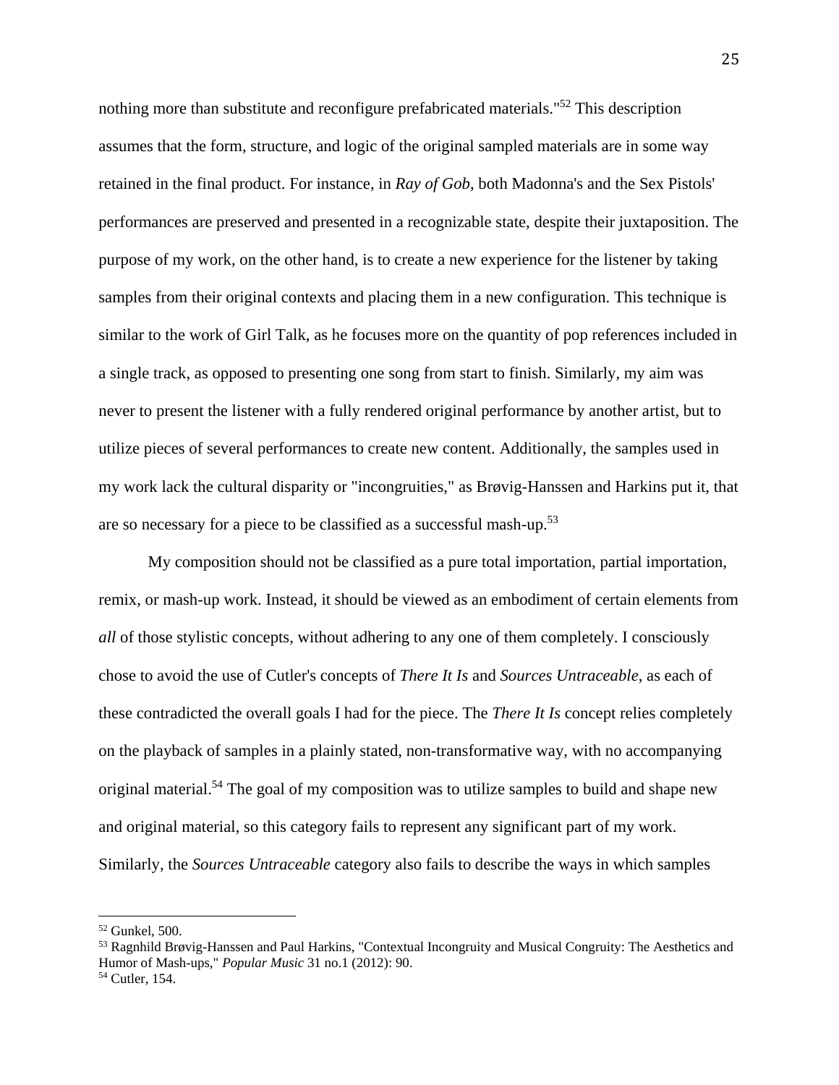nothing more than substitute and reconfigure prefabricated materials."<sup>52</sup> This description assumes that the form, structure, and logic of the original sampled materials are in some way retained in the final product. For instance, in *Ray of Gob*, both Madonna's and the Sex Pistols' performances are preserved and presented in a recognizable state, despite their juxtaposition. The purpose of my work, on the other hand, is to create a new experience for the listener by taking samples from their original contexts and placing them in a new configuration. This technique is similar to the work of Girl Talk, as he focuses more on the quantity of pop references included in a single track, as opposed to presenting one song from start to finish. Similarly, my aim was never to present the listener with a fully rendered original performance by another artist, but to utilize pieces of several performances to create new content. Additionally, the samples used in my work lack the cultural disparity or "incongruities," as Brøvig-Hanssen and Harkins put it, that are so necessary for a piece to be classified as a successful mash-up.53

 My composition should not be classified as a pure total importation, partial importation, remix, or mash-up work. Instead, it should be viewed as an embodiment of certain elements from *all* of those stylistic concepts, without adhering to any one of them completely. I consciously chose to avoid the use of Cutler's concepts of *There It Is* and *Sources Untraceable*, as each of these contradicted the overall goals I had for the piece. The *There It Is* concept relies completely on the playback of samples in a plainly stated, non-transformative way, with no accompanying original material.<sup>54</sup> The goal of my composition was to utilize samples to build and shape new and original material, so this category fails to represent any significant part of my work. Similarly, the *Sources Untraceable* category also fails to describe the ways in which samples

<sup>52</sup> Gunkel, 500.

<sup>53</sup> Ragnhild Brøvig-Hanssen and Paul Harkins, "Contextual Incongruity and Musical Congruity: The Aesthetics and Humor of Mash-ups," *Popular Music* 31 no.1 (2012): 90. 54 Cutler, 154.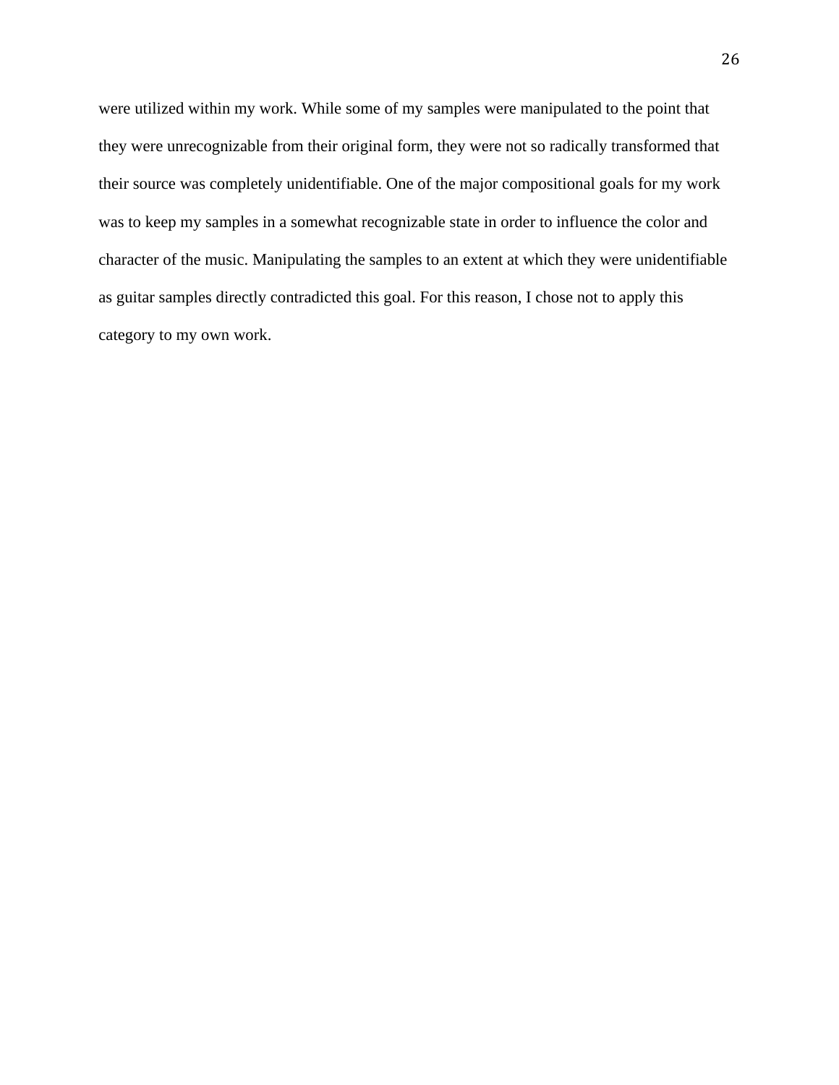were utilized within my work. While some of my samples were manipulated to the point that they were unrecognizable from their original form, they were not so radically transformed that their source was completely unidentifiable. One of the major compositional goals for my work was to keep my samples in a somewhat recognizable state in order to influence the color and character of the music. Manipulating the samples to an extent at which they were unidentifiable as guitar samples directly contradicted this goal. For this reason, I chose not to apply this category to my own work.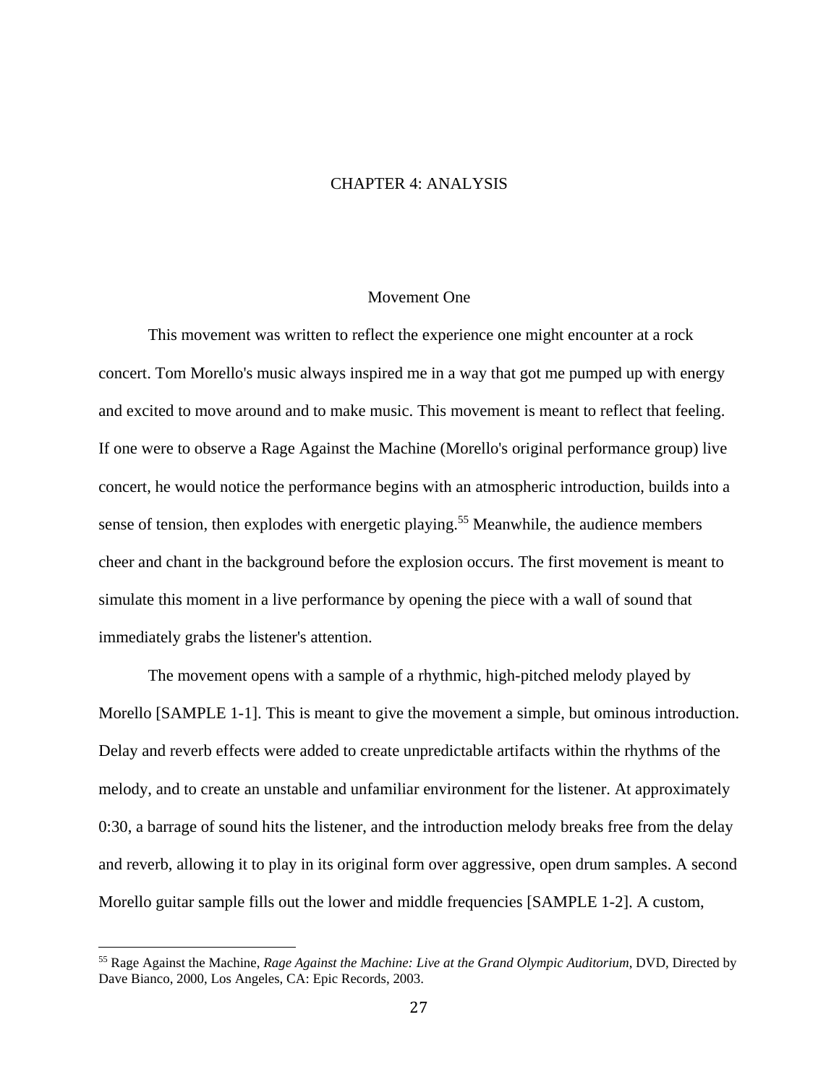### CHAPTER 4: ANALYSIS

#### Movement One

 This movement was written to reflect the experience one might encounter at a rock concert. Tom Morello's music always inspired me in a way that got me pumped up with energy and excited to move around and to make music. This movement is meant to reflect that feeling. If one were to observe a Rage Against the Machine (Morello's original performance group) live concert, he would notice the performance begins with an atmospheric introduction, builds into a sense of tension, then explodes with energetic playing.<sup>55</sup> Meanwhile, the audience members cheer and chant in the background before the explosion occurs. The first movement is meant to simulate this moment in a live performance by opening the piece with a wall of sound that immediately grabs the listener's attention.

 The movement opens with a sample of a rhythmic, high-pitched melody played by Morello [SAMPLE 1-1]. This is meant to give the movement a simple, but ominous introduction. Delay and reverb effects were added to create unpredictable artifacts within the rhythms of the melody, and to create an unstable and unfamiliar environment for the listener. At approximately 0:30, a barrage of sound hits the listener, and the introduction melody breaks free from the delay and reverb, allowing it to play in its original form over aggressive, open drum samples. A second Morello guitar sample fills out the lower and middle frequencies [SAMPLE 1-2]. A custom,

<sup>55</sup> Rage Against the Machine, *Rage Against the Machine: Live at the Grand Olympic Auditorium*, DVD, Directed by Dave Bianco, 2000, Los Angeles, CA: Epic Records, 2003.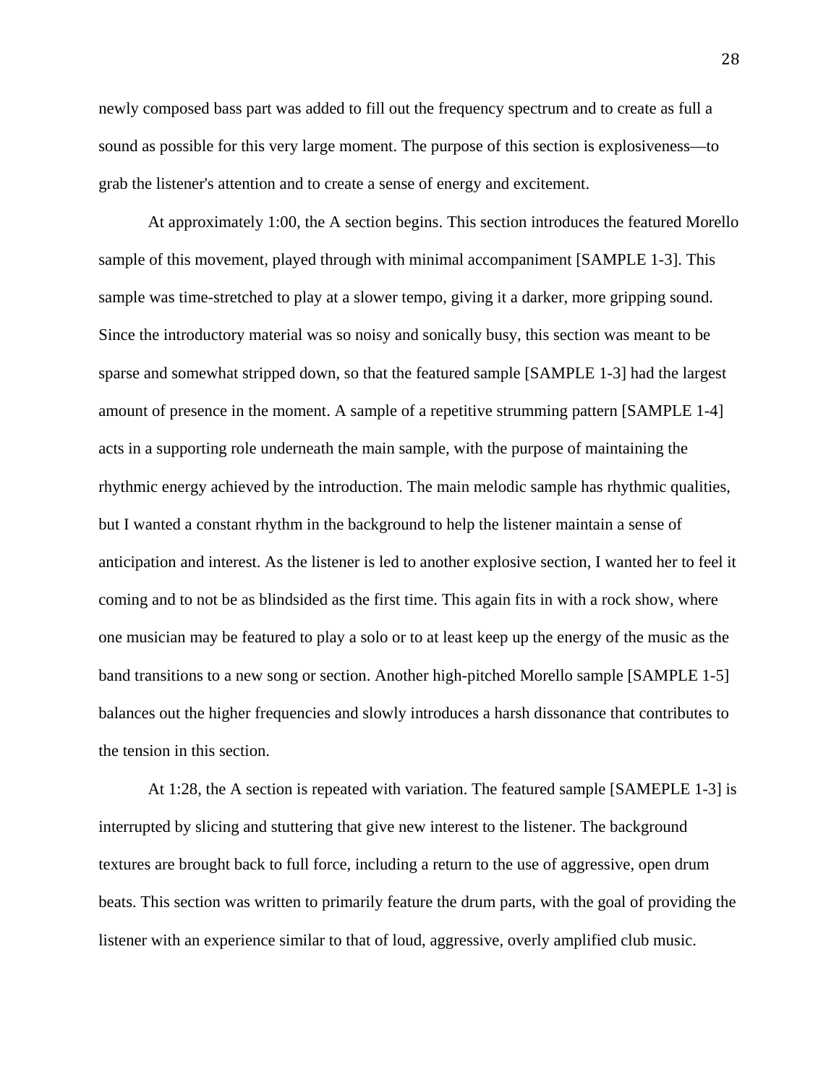newly composed bass part was added to fill out the frequency spectrum and to create as full a sound as possible for this very large moment. The purpose of this section is explosiveness—to grab the listener's attention and to create a sense of energy and excitement.

 At approximately 1:00, the A section begins. This section introduces the featured Morello sample of this movement, played through with minimal accompaniment [SAMPLE 1-3]. This sample was time-stretched to play at a slower tempo, giving it a darker, more gripping sound. Since the introductory material was so noisy and sonically busy, this section was meant to be sparse and somewhat stripped down, so that the featured sample [SAMPLE 1-3] had the largest amount of presence in the moment. A sample of a repetitive strumming pattern [SAMPLE 1-4] acts in a supporting role underneath the main sample, with the purpose of maintaining the rhythmic energy achieved by the introduction. The main melodic sample has rhythmic qualities, but I wanted a constant rhythm in the background to help the listener maintain a sense of anticipation and interest. As the listener is led to another explosive section, I wanted her to feel it coming and to not be as blindsided as the first time. This again fits in with a rock show, where one musician may be featured to play a solo or to at least keep up the energy of the music as the band transitions to a new song or section. Another high-pitched Morello sample [SAMPLE 1-5] balances out the higher frequencies and slowly introduces a harsh dissonance that contributes to the tension in this section.

 At 1:28, the A section is repeated with variation. The featured sample [SAMEPLE 1-3] is interrupted by slicing and stuttering that give new interest to the listener. The background textures are brought back to full force, including a return to the use of aggressive, open drum beats. This section was written to primarily feature the drum parts, with the goal of providing the listener with an experience similar to that of loud, aggressive, overly amplified club music.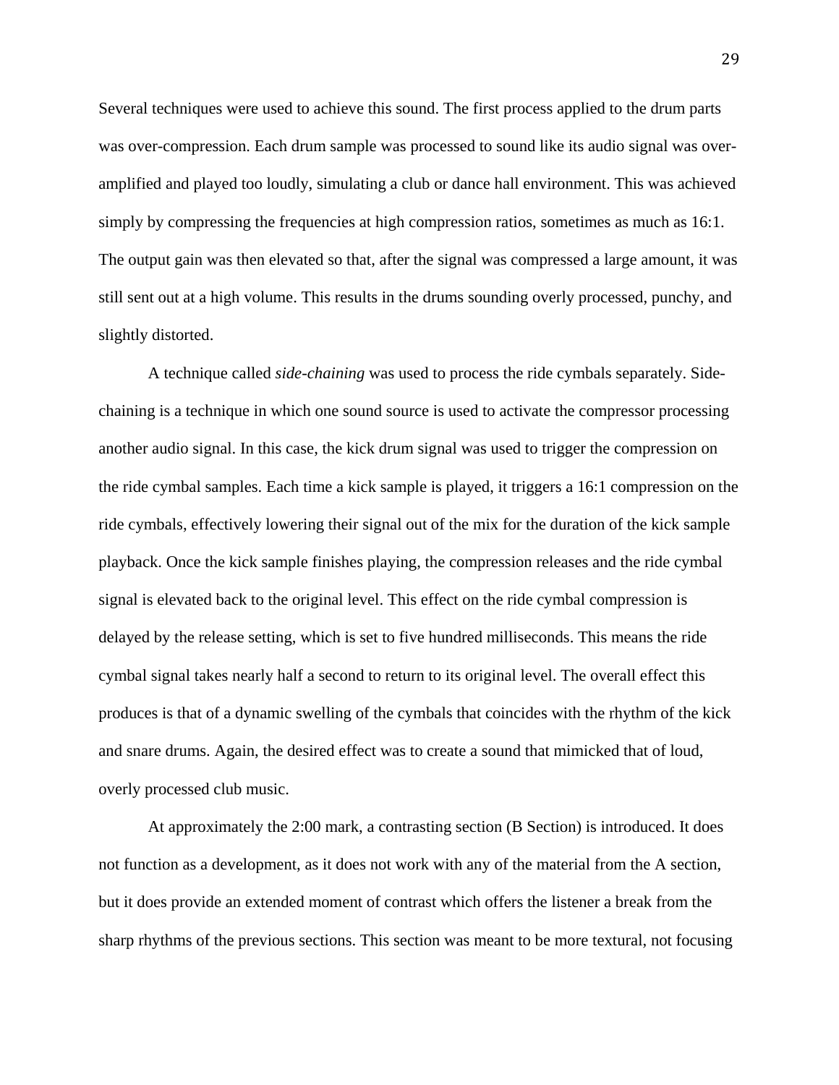Several techniques were used to achieve this sound. The first process applied to the drum parts was over-compression. Each drum sample was processed to sound like its audio signal was overamplified and played too loudly, simulating a club or dance hall environment. This was achieved simply by compressing the frequencies at high compression ratios, sometimes as much as 16:1. The output gain was then elevated so that, after the signal was compressed a large amount, it was still sent out at a high volume. This results in the drums sounding overly processed, punchy, and slightly distorted.

 A technique called *side-chaining* was used to process the ride cymbals separately. Sidechaining is a technique in which one sound source is used to activate the compressor processing another audio signal. In this case, the kick drum signal was used to trigger the compression on the ride cymbal samples. Each time a kick sample is played, it triggers a 16:1 compression on the ride cymbals, effectively lowering their signal out of the mix for the duration of the kick sample playback. Once the kick sample finishes playing, the compression releases and the ride cymbal signal is elevated back to the original level. This effect on the ride cymbal compression is delayed by the release setting, which is set to five hundred milliseconds. This means the ride cymbal signal takes nearly half a second to return to its original level. The overall effect this produces is that of a dynamic swelling of the cymbals that coincides with the rhythm of the kick and snare drums. Again, the desired effect was to create a sound that mimicked that of loud, overly processed club music.

 At approximately the 2:00 mark, a contrasting section (B Section) is introduced. It does not function as a development, as it does not work with any of the material from the A section, but it does provide an extended moment of contrast which offers the listener a break from the sharp rhythms of the previous sections. This section was meant to be more textural, not focusing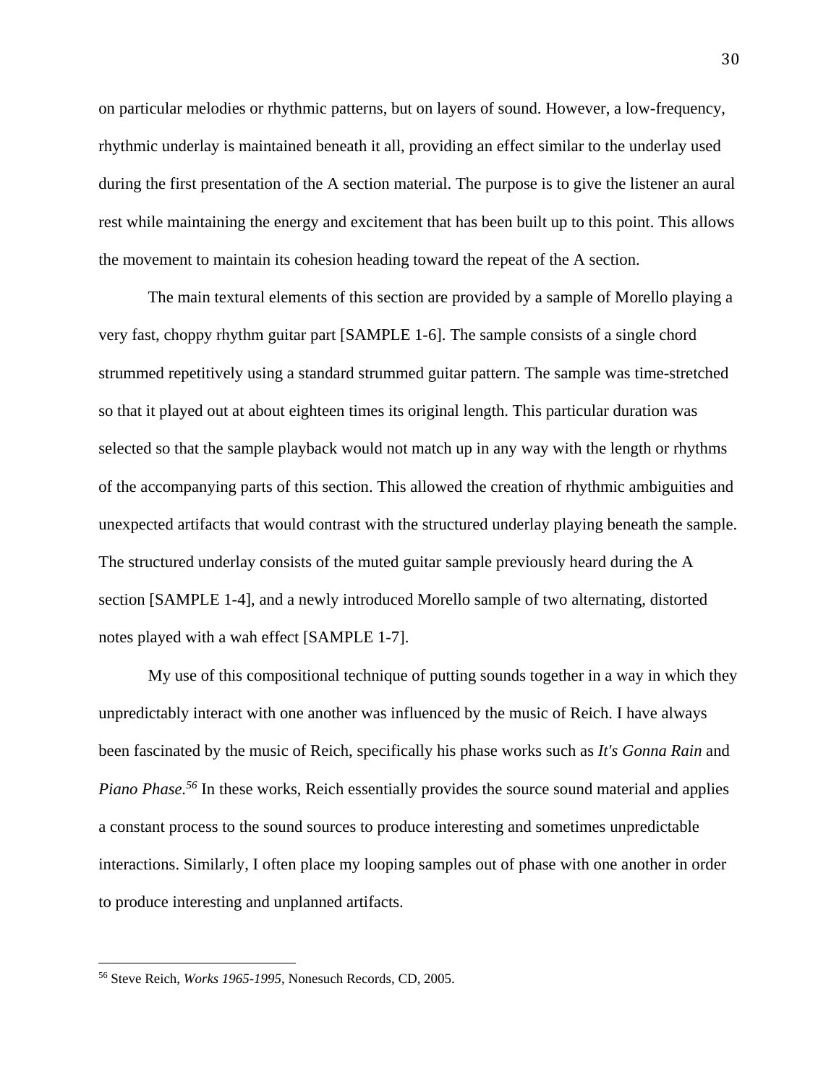on particular melodies or rhythmic patterns, but on layers of sound. However, a low-frequency, rhythmic underlay is maintained beneath it all, providing an effect similar to the underlay used during the first presentation of the A section material. The purpose is to give the listener an aural rest while maintaining the energy and excitement that has been built up to this point. This allows the movement to maintain its cohesion heading toward the repeat of the A section.

 The main textural elements of this section are provided by a sample of Morello playing a very fast, choppy rhythm guitar part [SAMPLE 1-6]. The sample consists of a single chord strummed repetitively using a standard strummed guitar pattern. The sample was time-stretched so that it played out at about eighteen times its original length. This particular duration was selected so that the sample playback would not match up in any way with the length or rhythms of the accompanying parts of this section. This allowed the creation of rhythmic ambiguities and unexpected artifacts that would contrast with the structured underlay playing beneath the sample. The structured underlay consists of the muted guitar sample previously heard during the A section [SAMPLE 1-4], and a newly introduced Morello sample of two alternating, distorted notes played with a wah effect [SAMPLE 1-7].

 My use of this compositional technique of putting sounds together in a way in which they unpredictably interact with one another was influenced by the music of Reich. I have always been fascinated by the music of Reich, specifically his phase works such as *It's Gonna Rain* and *Piano Phase.56* In these works, Reich essentially provides the source sound material and applies a constant process to the sound sources to produce interesting and sometimes unpredictable interactions. Similarly, I often place my looping samples out of phase with one another in order to produce interesting and unplanned artifacts.

<sup>56</sup> Steve Reich, *Works 1965-1995*, Nonesuch Records, CD, 2005.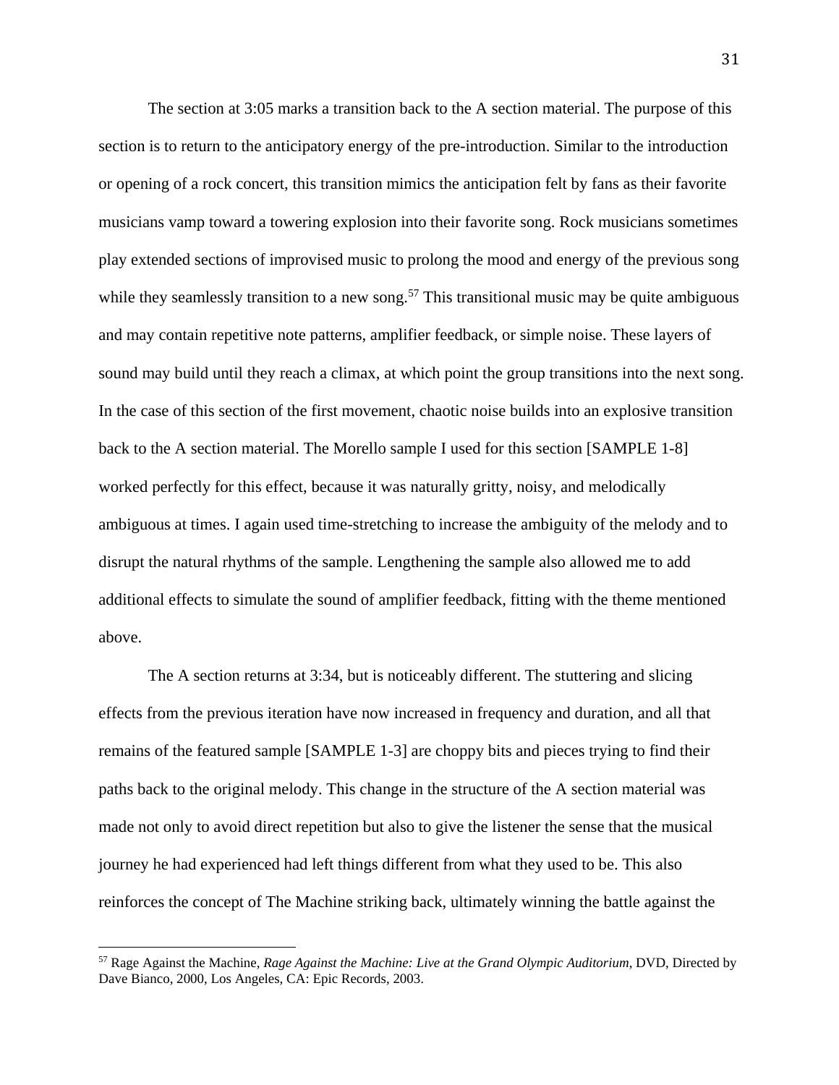The section at 3:05 marks a transition back to the A section material. The purpose of this section is to return to the anticipatory energy of the pre-introduction. Similar to the introduction or opening of a rock concert, this transition mimics the anticipation felt by fans as their favorite musicians vamp toward a towering explosion into their favorite song. Rock musicians sometimes play extended sections of improvised music to prolong the mood and energy of the previous song while they seamlessly transition to a new song.<sup>57</sup> This transitional music may be quite ambiguous and may contain repetitive note patterns, amplifier feedback, or simple noise. These layers of sound may build until they reach a climax, at which point the group transitions into the next song. In the case of this section of the first movement, chaotic noise builds into an explosive transition back to the A section material. The Morello sample I used for this section [SAMPLE 1-8] worked perfectly for this effect, because it was naturally gritty, noisy, and melodically ambiguous at times. I again used time-stretching to increase the ambiguity of the melody and to disrupt the natural rhythms of the sample. Lengthening the sample also allowed me to add additional effects to simulate the sound of amplifier feedback, fitting with the theme mentioned above.

 The A section returns at 3:34, but is noticeably different. The stuttering and slicing effects from the previous iteration have now increased in frequency and duration, and all that remains of the featured sample [SAMPLE 1-3] are choppy bits and pieces trying to find their paths back to the original melody. This change in the structure of the A section material was made not only to avoid direct repetition but also to give the listener the sense that the musical journey he had experienced had left things different from what they used to be. This also reinforces the concept of The Machine striking back, ultimately winning the battle against the

<sup>57</sup> Rage Against the Machine, *Rage Against the Machine: Live at the Grand Olympic Auditorium*, DVD, Directed by Dave Bianco, 2000, Los Angeles, CA: Epic Records, 2003.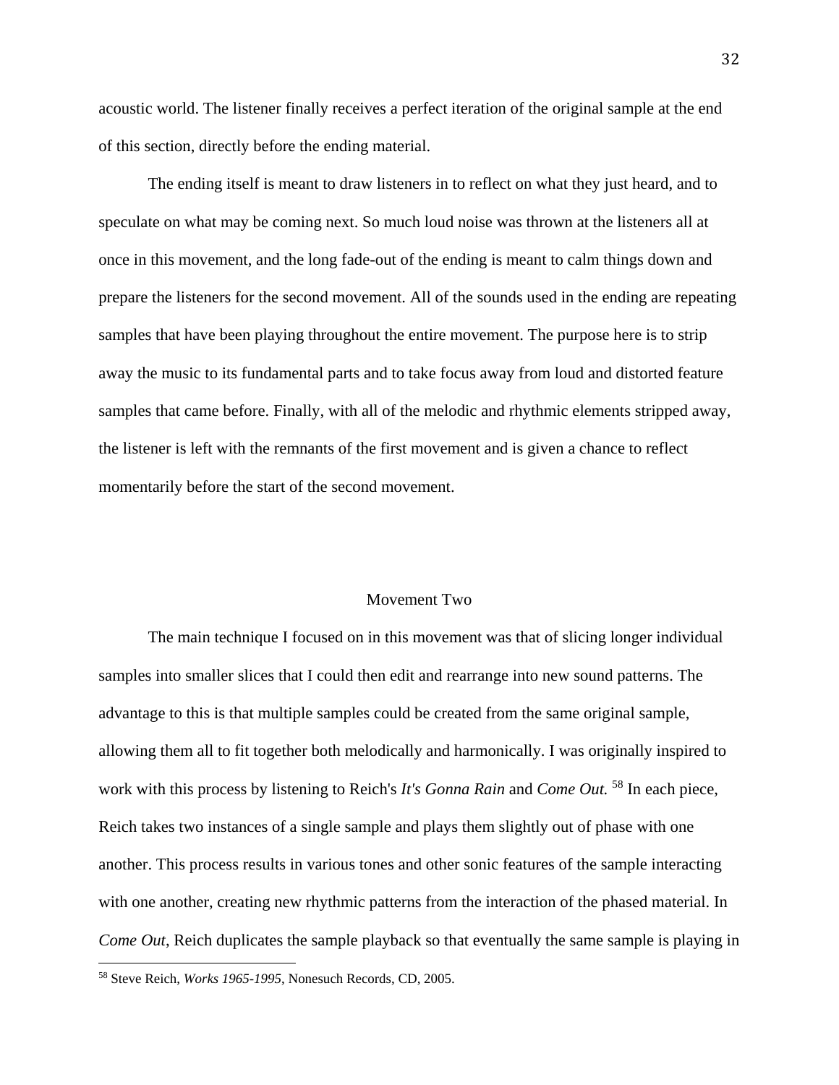acoustic world. The listener finally receives a perfect iteration of the original sample at the end of this section, directly before the ending material.

 The ending itself is meant to draw listeners in to reflect on what they just heard, and to speculate on what may be coming next. So much loud noise was thrown at the listeners all at once in this movement, and the long fade-out of the ending is meant to calm things down and prepare the listeners for the second movement. All of the sounds used in the ending are repeating samples that have been playing throughout the entire movement. The purpose here is to strip away the music to its fundamental parts and to take focus away from loud and distorted feature samples that came before. Finally, with all of the melodic and rhythmic elements stripped away, the listener is left with the remnants of the first movement and is given a chance to reflect momentarily before the start of the second movement.

#### Movement Two

 The main technique I focused on in this movement was that of slicing longer individual samples into smaller slices that I could then edit and rearrange into new sound patterns. The advantage to this is that multiple samples could be created from the same original sample, allowing them all to fit together both melodically and harmonically. I was originally inspired to work with this process by listening to Reich's *It's Gonna Rain* and *Come Out.* <sup>58</sup> In each piece, Reich takes two instances of a single sample and plays them slightly out of phase with one another. This process results in various tones and other sonic features of the sample interacting with one another, creating new rhythmic patterns from the interaction of the phased material. In *Come Out*, Reich duplicates the sample playback so that eventually the same sample is playing in

<sup>58</sup> Steve Reich, *Works 1965-1995*, Nonesuch Records, CD, 2005.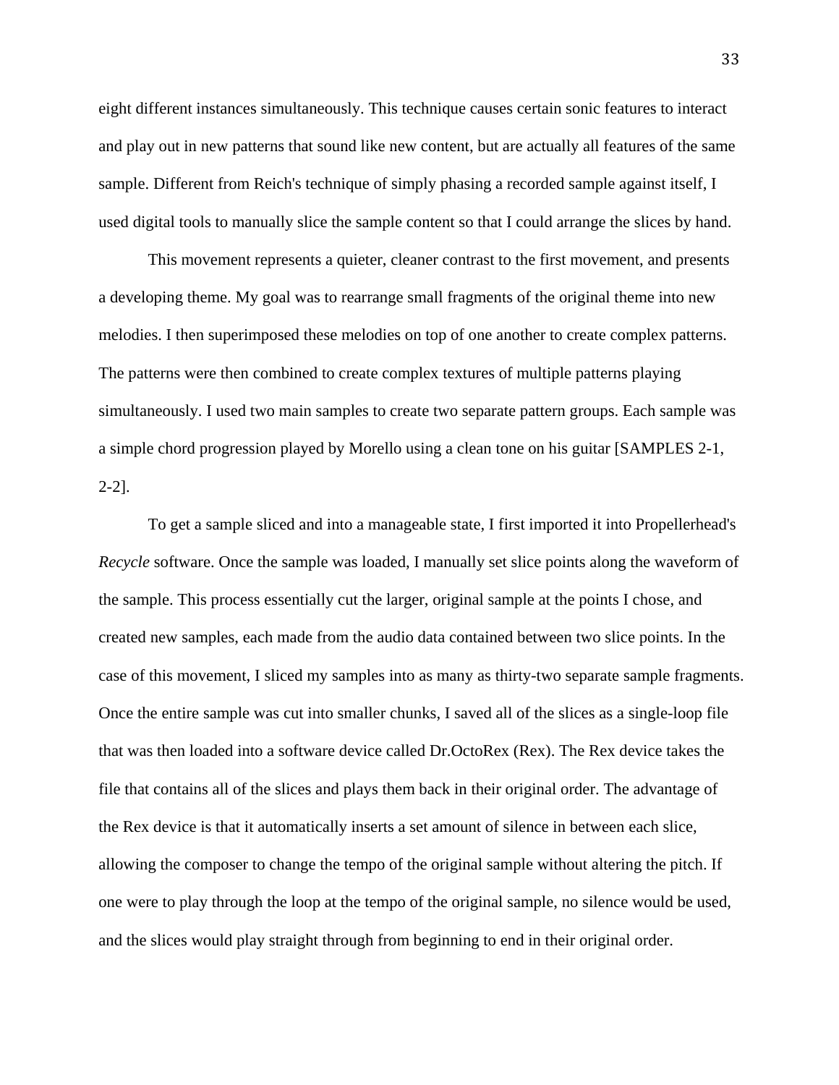eight different instances simultaneously. This technique causes certain sonic features to interact and play out in new patterns that sound like new content, but are actually all features of the same sample. Different from Reich's technique of simply phasing a recorded sample against itself, I used digital tools to manually slice the sample content so that I could arrange the slices by hand.

 This movement represents a quieter, cleaner contrast to the first movement, and presents a developing theme. My goal was to rearrange small fragments of the original theme into new melodies. I then superimposed these melodies on top of one another to create complex patterns. The patterns were then combined to create complex textures of multiple patterns playing simultaneously. I used two main samples to create two separate pattern groups. Each sample was a simple chord progression played by Morello using a clean tone on his guitar [SAMPLES 2-1, 2-2].

 To get a sample sliced and into a manageable state, I first imported it into Propellerhead's *Recycle* software. Once the sample was loaded, I manually set slice points along the waveform of the sample. This process essentially cut the larger, original sample at the points I chose, and created new samples, each made from the audio data contained between two slice points. In the case of this movement, I sliced my samples into as many as thirty-two separate sample fragments. Once the entire sample was cut into smaller chunks, I saved all of the slices as a single-loop file that was then loaded into a software device called Dr.OctoRex (Rex). The Rex device takes the file that contains all of the slices and plays them back in their original order. The advantage of the Rex device is that it automatically inserts a set amount of silence in between each slice, allowing the composer to change the tempo of the original sample without altering the pitch. If one were to play through the loop at the tempo of the original sample, no silence would be used, and the slices would play straight through from beginning to end in their original order.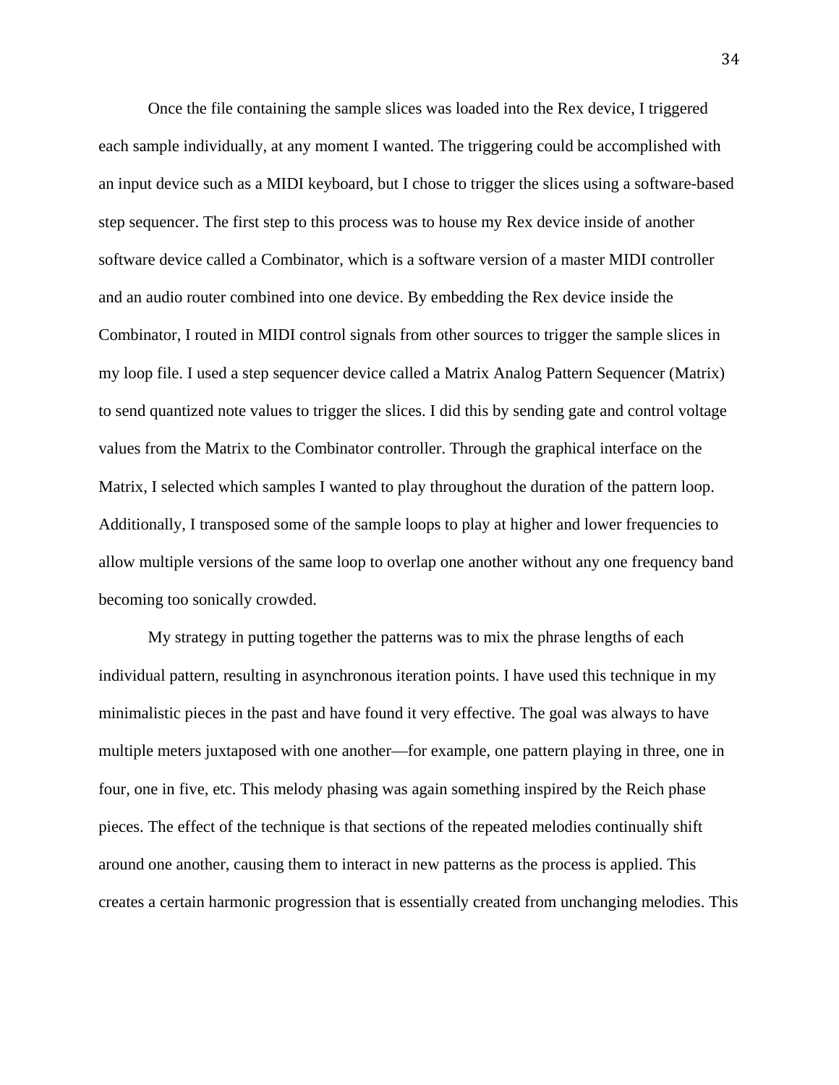Once the file containing the sample slices was loaded into the Rex device, I triggered each sample individually, at any moment I wanted. The triggering could be accomplished with an input device such as a MIDI keyboard, but I chose to trigger the slices using a software-based step sequencer. The first step to this process was to house my Rex device inside of another software device called a Combinator, which is a software version of a master MIDI controller and an audio router combined into one device. By embedding the Rex device inside the Combinator, I routed in MIDI control signals from other sources to trigger the sample slices in my loop file. I used a step sequencer device called a Matrix Analog Pattern Sequencer (Matrix) to send quantized note values to trigger the slices. I did this by sending gate and control voltage values from the Matrix to the Combinator controller. Through the graphical interface on the Matrix, I selected which samples I wanted to play throughout the duration of the pattern loop. Additionally, I transposed some of the sample loops to play at higher and lower frequencies to allow multiple versions of the same loop to overlap one another without any one frequency band becoming too sonically crowded.

 My strategy in putting together the patterns was to mix the phrase lengths of each individual pattern, resulting in asynchronous iteration points. I have used this technique in my minimalistic pieces in the past and have found it very effective. The goal was always to have multiple meters juxtaposed with one another—for example, one pattern playing in three, one in four, one in five, etc. This melody phasing was again something inspired by the Reich phase pieces. The effect of the technique is that sections of the repeated melodies continually shift around one another, causing them to interact in new patterns as the process is applied. This creates a certain harmonic progression that is essentially created from unchanging melodies. This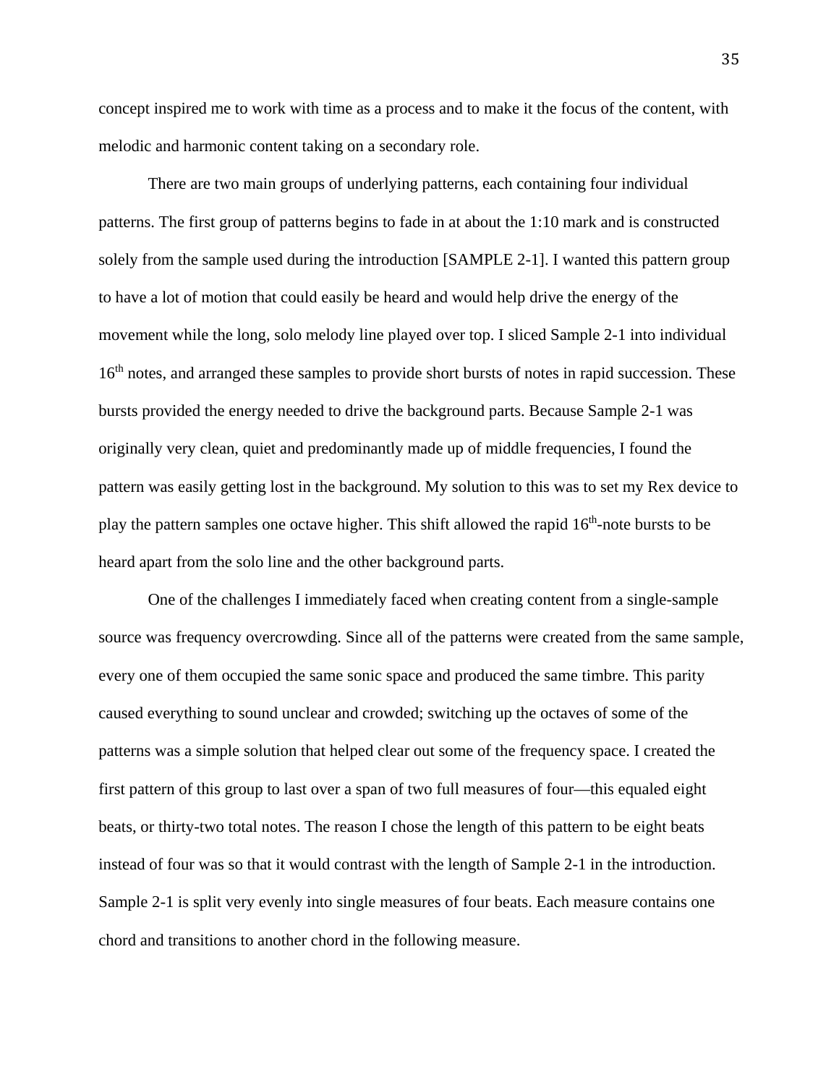concept inspired me to work with time as a process and to make it the focus of the content, with melodic and harmonic content taking on a secondary role.

 There are two main groups of underlying patterns, each containing four individual patterns. The first group of patterns begins to fade in at about the 1:10 mark and is constructed solely from the sample used during the introduction [SAMPLE 2-1]. I wanted this pattern group to have a lot of motion that could easily be heard and would help drive the energy of the movement while the long, solo melody line played over top. I sliced Sample 2-1 into individual 16<sup>th</sup> notes, and arranged these samples to provide short bursts of notes in rapid succession. These bursts provided the energy needed to drive the background parts. Because Sample 2-1 was originally very clean, quiet and predominantly made up of middle frequencies, I found the pattern was easily getting lost in the background. My solution to this was to set my Rex device to play the pattern samples one octave higher. This shift allowed the rapid  $16<sup>th</sup>$ -note bursts to be heard apart from the solo line and the other background parts.

 One of the challenges I immediately faced when creating content from a single-sample source was frequency overcrowding. Since all of the patterns were created from the same sample, every one of them occupied the same sonic space and produced the same timbre. This parity caused everything to sound unclear and crowded; switching up the octaves of some of the patterns was a simple solution that helped clear out some of the frequency space. I created the first pattern of this group to last over a span of two full measures of four—this equaled eight beats, or thirty-two total notes. The reason I chose the length of this pattern to be eight beats instead of four was so that it would contrast with the length of Sample 2-1 in the introduction. Sample 2-1 is split very evenly into single measures of four beats. Each measure contains one chord and transitions to another chord in the following measure.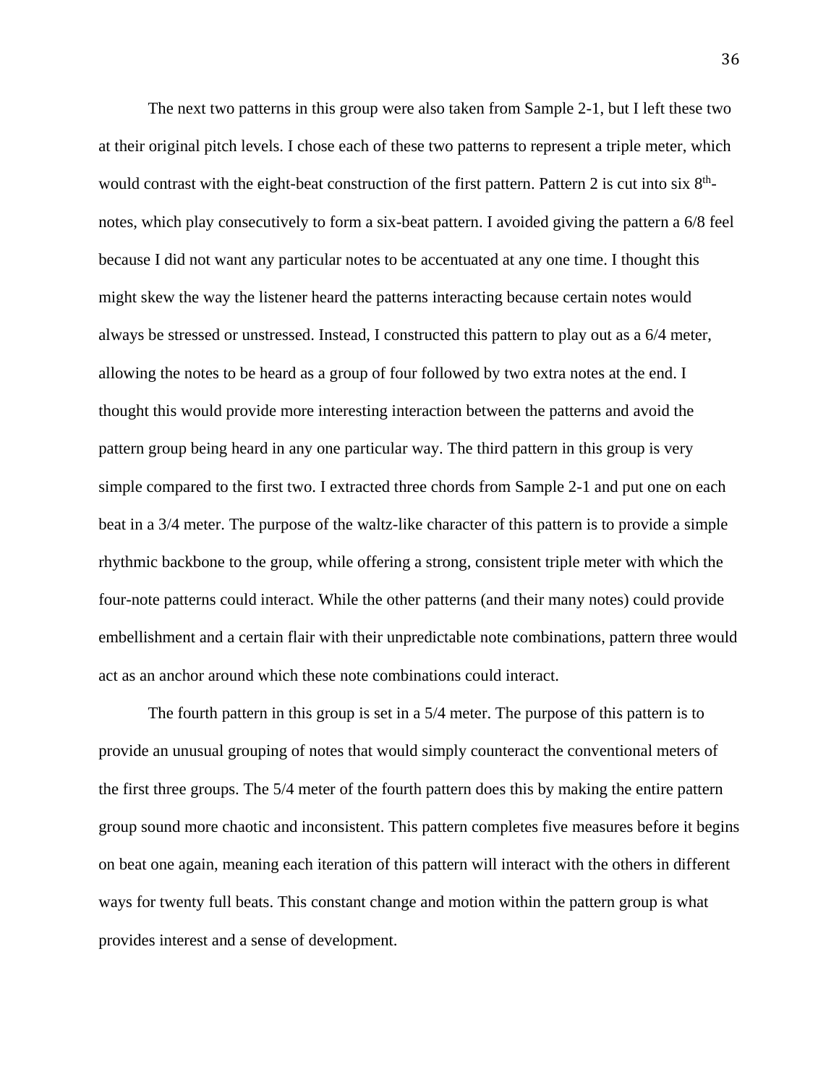The next two patterns in this group were also taken from Sample 2-1, but I left these two at their original pitch levels. I chose each of these two patterns to represent a triple meter, which would contrast with the eight-beat construction of the first pattern. Pattern 2 is cut into six  $8<sup>th</sup>$ notes, which play consecutively to form a six-beat pattern. I avoided giving the pattern a 6/8 feel because I did not want any particular notes to be accentuated at any one time. I thought this might skew the way the listener heard the patterns interacting because certain notes would always be stressed or unstressed. Instead, I constructed this pattern to play out as a 6/4 meter, allowing the notes to be heard as a group of four followed by two extra notes at the end. I thought this would provide more interesting interaction between the patterns and avoid the pattern group being heard in any one particular way. The third pattern in this group is very simple compared to the first two. I extracted three chords from Sample 2-1 and put one on each beat in a 3/4 meter. The purpose of the waltz-like character of this pattern is to provide a simple rhythmic backbone to the group, while offering a strong, consistent triple meter with which the four-note patterns could interact. While the other patterns (and their many notes) could provide embellishment and a certain flair with their unpredictable note combinations, pattern three would act as an anchor around which these note combinations could interact.

 The fourth pattern in this group is set in a 5/4 meter. The purpose of this pattern is to provide an unusual grouping of notes that would simply counteract the conventional meters of the first three groups. The 5/4 meter of the fourth pattern does this by making the entire pattern group sound more chaotic and inconsistent. This pattern completes five measures before it begins on beat one again, meaning each iteration of this pattern will interact with the others in different ways for twenty full beats. This constant change and motion within the pattern group is what provides interest and a sense of development.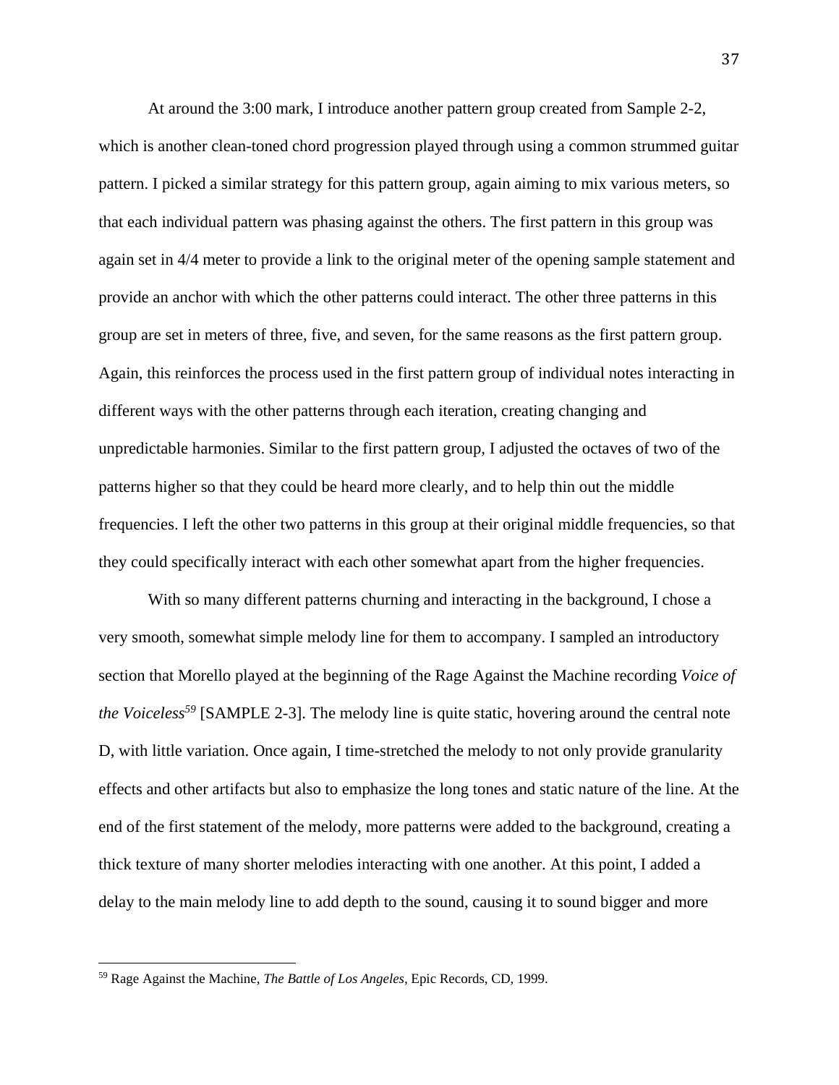At around the 3:00 mark, I introduce another pattern group created from Sample 2-2, which is another clean-toned chord progression played through using a common strummed guitar pattern. I picked a similar strategy for this pattern group, again aiming to mix various meters, so that each individual pattern was phasing against the others. The first pattern in this group was again set in 4/4 meter to provide a link to the original meter of the opening sample statement and provide an anchor with which the other patterns could interact. The other three patterns in this group are set in meters of three, five, and seven, for the same reasons as the first pattern group. Again, this reinforces the process used in the first pattern group of individual notes interacting in different ways with the other patterns through each iteration, creating changing and unpredictable harmonies. Similar to the first pattern group, I adjusted the octaves of two of the patterns higher so that they could be heard more clearly, and to help thin out the middle frequencies. I left the other two patterns in this group at their original middle frequencies, so that they could specifically interact with each other somewhat apart from the higher frequencies.

 With so many different patterns churning and interacting in the background, I chose a very smooth, somewhat simple melody line for them to accompany. I sampled an introductory section that Morello played at the beginning of the Rage Against the Machine recording *Voice of the Voiceless*<sup>59</sup> [SAMPLE 2-3]. The melody line is quite static, hovering around the central note D, with little variation. Once again, I time-stretched the melody to not only provide granularity effects and other artifacts but also to emphasize the long tones and static nature of the line. At the end of the first statement of the melody, more patterns were added to the background, creating a thick texture of many shorter melodies interacting with one another. At this point, I added a delay to the main melody line to add depth to the sound, causing it to sound bigger and more

<sup>59</sup> Rage Against the Machine, *The Battle of Los Angeles,* Epic Records, CD, 1999.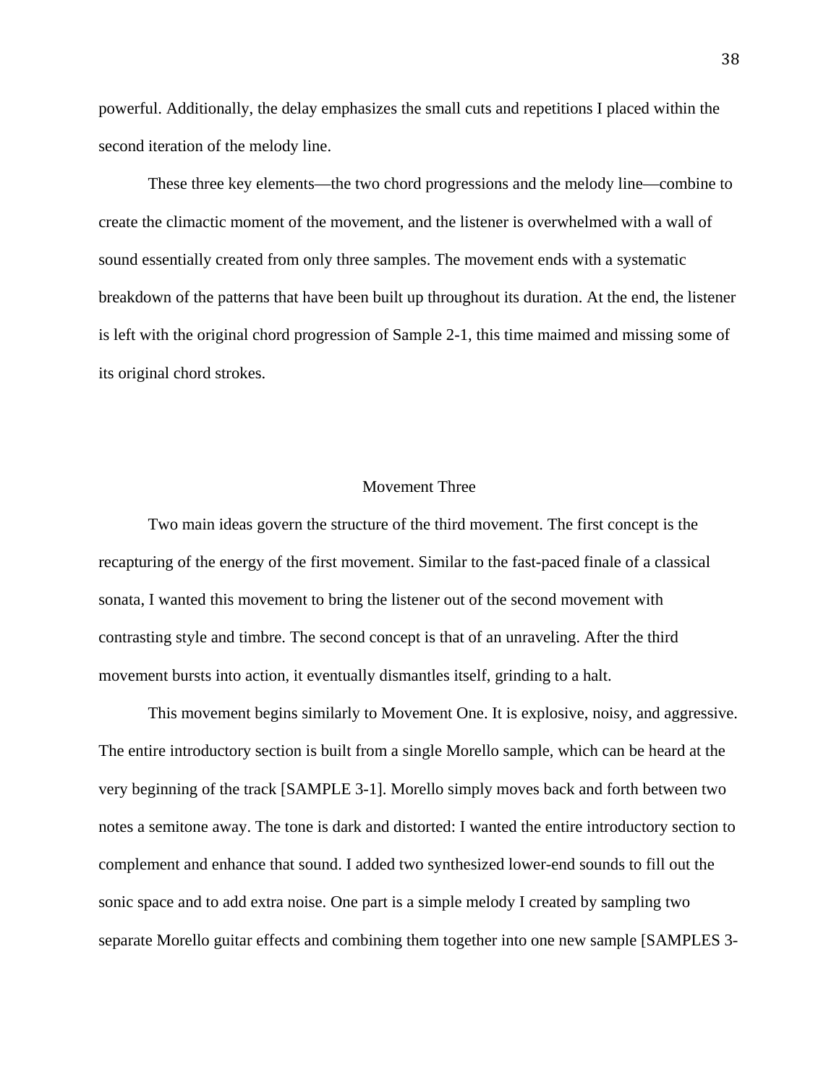powerful. Additionally, the delay emphasizes the small cuts and repetitions I placed within the second iteration of the melody line.

 These three key elements—the two chord progressions and the melody line—combine to create the climactic moment of the movement, and the listener is overwhelmed with a wall of sound essentially created from only three samples. The movement ends with a systematic breakdown of the patterns that have been built up throughout its duration. At the end, the listener is left with the original chord progression of Sample 2-1, this time maimed and missing some of its original chord strokes.

#### Movement Three

Two main ideas govern the structure of the third movement. The first concept is the recapturing of the energy of the first movement. Similar to the fast-paced finale of a classical sonata, I wanted this movement to bring the listener out of the second movement with contrasting style and timbre. The second concept is that of an unraveling. After the third movement bursts into action, it eventually dismantles itself, grinding to a halt.

 This movement begins similarly to Movement One. It is explosive, noisy, and aggressive. The entire introductory section is built from a single Morello sample, which can be heard at the very beginning of the track [SAMPLE 3-1]. Morello simply moves back and forth between two notes a semitone away. The tone is dark and distorted: I wanted the entire introductory section to complement and enhance that sound. I added two synthesized lower-end sounds to fill out the sonic space and to add extra noise. One part is a simple melody I created by sampling two separate Morello guitar effects and combining them together into one new sample [SAMPLES 3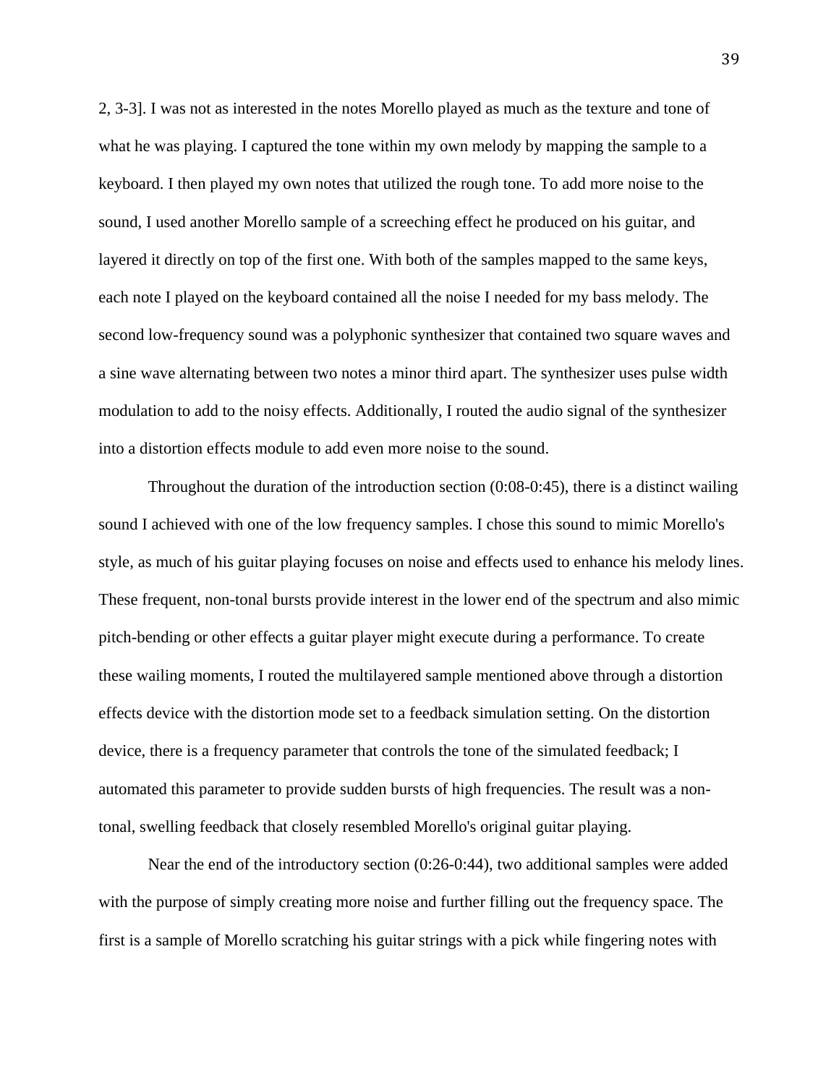2, 3-3]. I was not as interested in the notes Morello played as much as the texture and tone of what he was playing. I captured the tone within my own melody by mapping the sample to a keyboard. I then played my own notes that utilized the rough tone. To add more noise to the sound, I used another Morello sample of a screeching effect he produced on his guitar, and layered it directly on top of the first one. With both of the samples mapped to the same keys, each note I played on the keyboard contained all the noise I needed for my bass melody. The second low-frequency sound was a polyphonic synthesizer that contained two square waves and a sine wave alternating between two notes a minor third apart. The synthesizer uses pulse width modulation to add to the noisy effects. Additionally, I routed the audio signal of the synthesizer into a distortion effects module to add even more noise to the sound.

 Throughout the duration of the introduction section (0:08-0:45), there is a distinct wailing sound I achieved with one of the low frequency samples. I chose this sound to mimic Morello's style, as much of his guitar playing focuses on noise and effects used to enhance his melody lines. These frequent, non-tonal bursts provide interest in the lower end of the spectrum and also mimic pitch-bending or other effects a guitar player might execute during a performance. To create these wailing moments, I routed the multilayered sample mentioned above through a distortion effects device with the distortion mode set to a feedback simulation setting. On the distortion device, there is a frequency parameter that controls the tone of the simulated feedback; I automated this parameter to provide sudden bursts of high frequencies. The result was a nontonal, swelling feedback that closely resembled Morello's original guitar playing.

 Near the end of the introductory section (0:26-0:44), two additional samples were added with the purpose of simply creating more noise and further filling out the frequency space. The first is a sample of Morello scratching his guitar strings with a pick while fingering notes with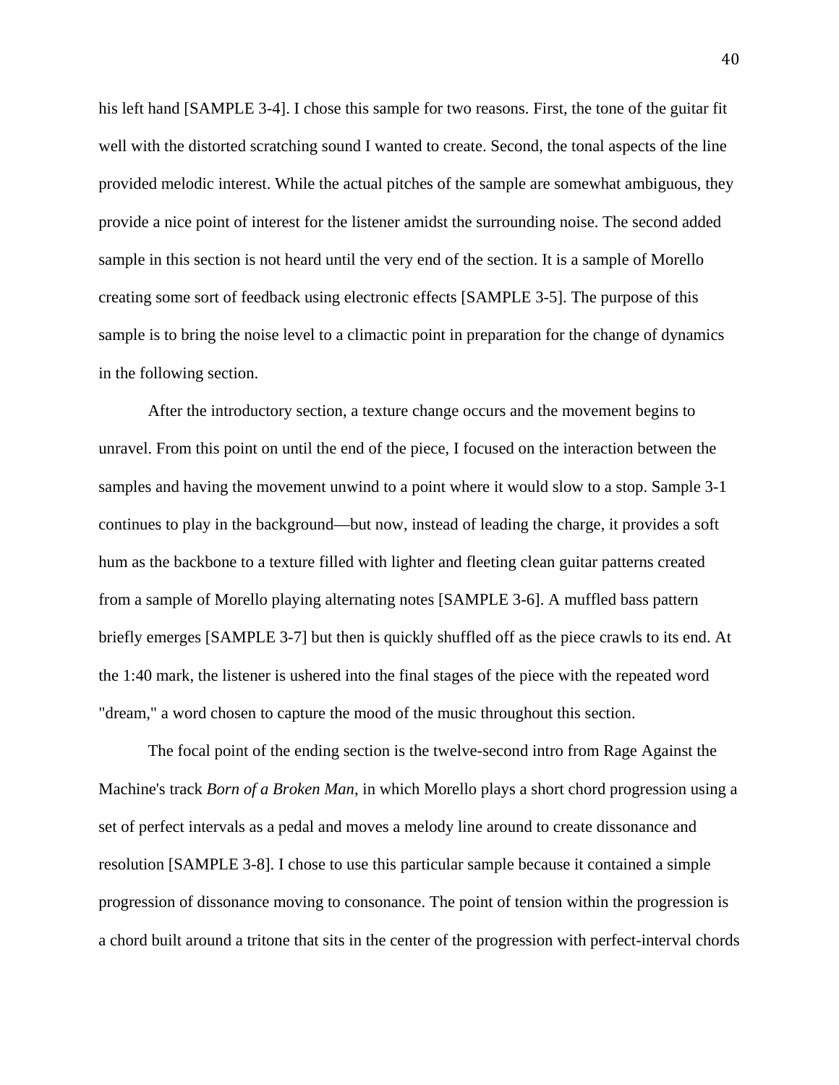his left hand [SAMPLE 3-4]. I chose this sample for two reasons. First, the tone of the guitar fit well with the distorted scratching sound I wanted to create. Second, the tonal aspects of the line provided melodic interest. While the actual pitches of the sample are somewhat ambiguous, they provide a nice point of interest for the listener amidst the surrounding noise. The second added sample in this section is not heard until the very end of the section. It is a sample of Morello creating some sort of feedback using electronic effects [SAMPLE 3-5]. The purpose of this sample is to bring the noise level to a climactic point in preparation for the change of dynamics in the following section.

 After the introductory section, a texture change occurs and the movement begins to unravel. From this point on until the end of the piece, I focused on the interaction between the samples and having the movement unwind to a point where it would slow to a stop. Sample 3-1 continues to play in the background—but now, instead of leading the charge, it provides a soft hum as the backbone to a texture filled with lighter and fleeting clean guitar patterns created from a sample of Morello playing alternating notes [SAMPLE 3-6]. A muffled bass pattern briefly emerges [SAMPLE 3-7] but then is quickly shuffled off as the piece crawls to its end. At the 1:40 mark, the listener is ushered into the final stages of the piece with the repeated word "dream," a word chosen to capture the mood of the music throughout this section.

 The focal point of the ending section is the twelve-second intro from Rage Against the Machine's track *Born of a Broken Man*, in which Morello plays a short chord progression using a set of perfect intervals as a pedal and moves a melody line around to create dissonance and resolution [SAMPLE 3-8]. I chose to use this particular sample because it contained a simple progression of dissonance moving to consonance. The point of tension within the progression is a chord built around a tritone that sits in the center of the progression with perfect-interval chords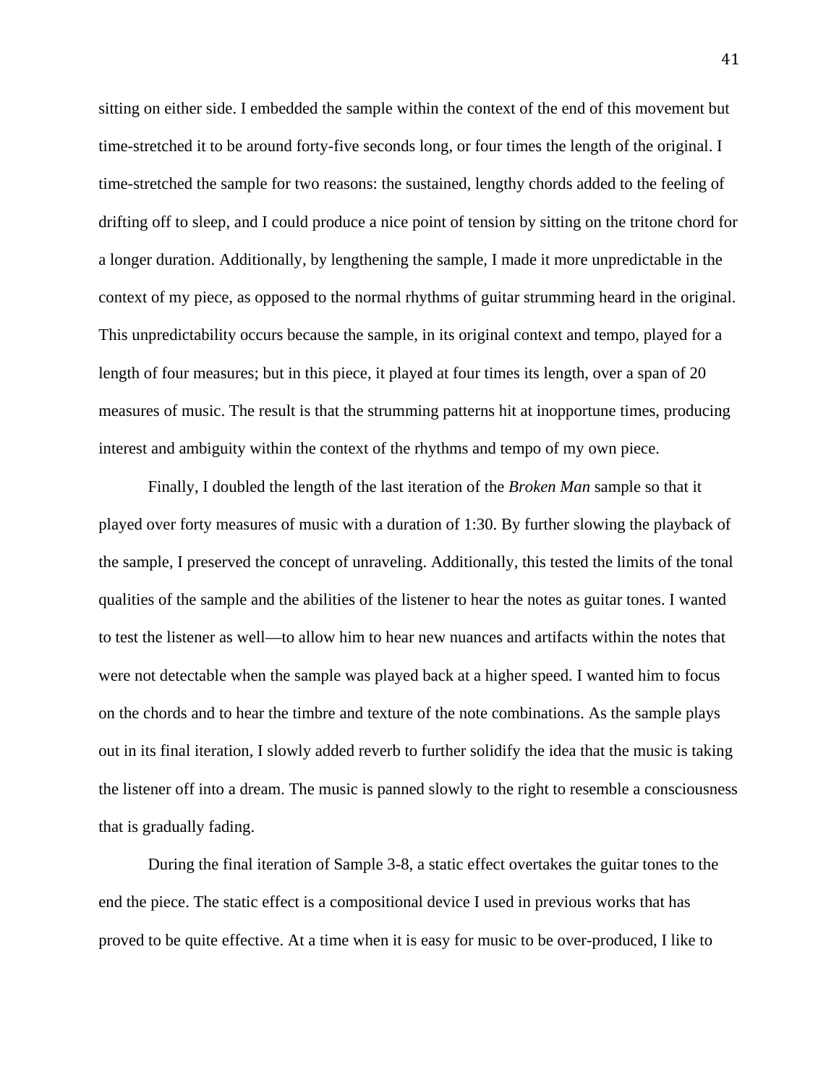sitting on either side. I embedded the sample within the context of the end of this movement but time-stretched it to be around forty-five seconds long, or four times the length of the original. I time-stretched the sample for two reasons: the sustained, lengthy chords added to the feeling of drifting off to sleep, and I could produce a nice point of tension by sitting on the tritone chord for a longer duration. Additionally, by lengthening the sample, I made it more unpredictable in the context of my piece, as opposed to the normal rhythms of guitar strumming heard in the original. This unpredictability occurs because the sample, in its original context and tempo, played for a length of four measures; but in this piece, it played at four times its length, over a span of 20 measures of music. The result is that the strumming patterns hit at inopportune times, producing interest and ambiguity within the context of the rhythms and tempo of my own piece.

 Finally, I doubled the length of the last iteration of the *Broken Man* sample so that it played over forty measures of music with a duration of 1:30. By further slowing the playback of the sample, I preserved the concept of unraveling. Additionally, this tested the limits of the tonal qualities of the sample and the abilities of the listener to hear the notes as guitar tones. I wanted to test the listener as well—to allow him to hear new nuances and artifacts within the notes that were not detectable when the sample was played back at a higher speed. I wanted him to focus on the chords and to hear the timbre and texture of the note combinations. As the sample plays out in its final iteration, I slowly added reverb to further solidify the idea that the music is taking the listener off into a dream. The music is panned slowly to the right to resemble a consciousness that is gradually fading.

 During the final iteration of Sample 3-8, a static effect overtakes the guitar tones to the end the piece. The static effect is a compositional device I used in previous works that has proved to be quite effective. At a time when it is easy for music to be over-produced, I like to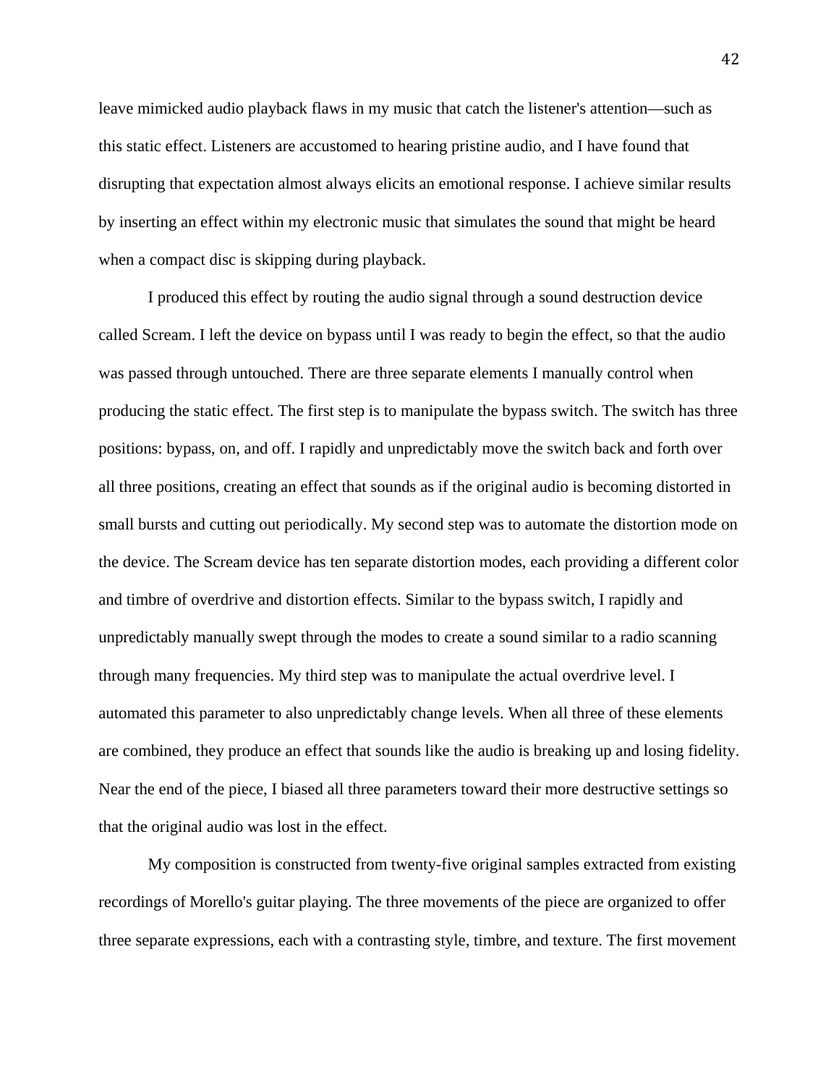leave mimicked audio playback flaws in my music that catch the listener's attention—such as this static effect. Listeners are accustomed to hearing pristine audio, and I have found that disrupting that expectation almost always elicits an emotional response. I achieve similar results by inserting an effect within my electronic music that simulates the sound that might be heard when a compact disc is skipping during playback.

 I produced this effect by routing the audio signal through a sound destruction device called Scream. I left the device on bypass until I was ready to begin the effect, so that the audio was passed through untouched. There are three separate elements I manually control when producing the static effect. The first step is to manipulate the bypass switch. The switch has three positions: bypass, on, and off. I rapidly and unpredictably move the switch back and forth over all three positions, creating an effect that sounds as if the original audio is becoming distorted in small bursts and cutting out periodically. My second step was to automate the distortion mode on the device. The Scream device has ten separate distortion modes, each providing a different color and timbre of overdrive and distortion effects. Similar to the bypass switch, I rapidly and unpredictably manually swept through the modes to create a sound similar to a radio scanning through many frequencies. My third step was to manipulate the actual overdrive level. I automated this parameter to also unpredictably change levels. When all three of these elements are combined, they produce an effect that sounds like the audio is breaking up and losing fidelity. Near the end of the piece, I biased all three parameters toward their more destructive settings so that the original audio was lost in the effect.

 My composition is constructed from twenty-five original samples extracted from existing recordings of Morello's guitar playing. The three movements of the piece are organized to offer three separate expressions, each with a contrasting style, timbre, and texture. The first movement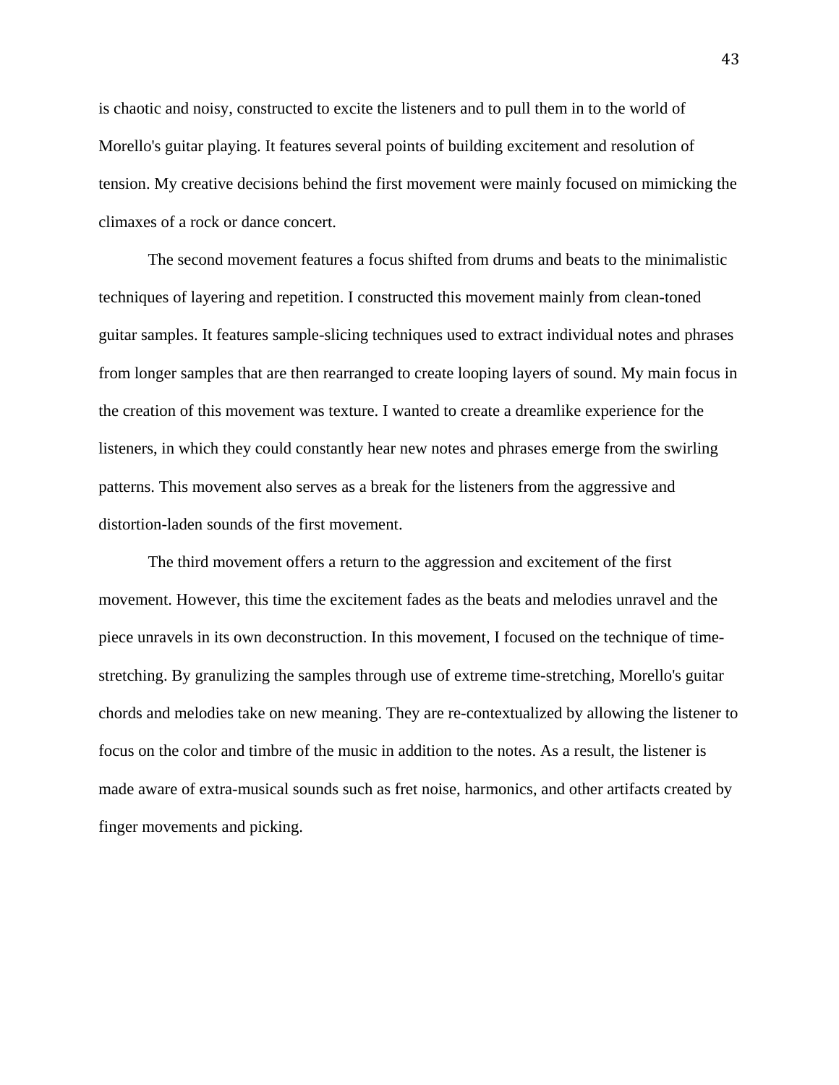is chaotic and noisy, constructed to excite the listeners and to pull them in to the world of Morello's guitar playing. It features several points of building excitement and resolution of tension. My creative decisions behind the first movement were mainly focused on mimicking the climaxes of a rock or dance concert.

 The second movement features a focus shifted from drums and beats to the minimalistic techniques of layering and repetition. I constructed this movement mainly from clean-toned guitar samples. It features sample-slicing techniques used to extract individual notes and phrases from longer samples that are then rearranged to create looping layers of sound. My main focus in the creation of this movement was texture. I wanted to create a dreamlike experience for the listeners, in which they could constantly hear new notes and phrases emerge from the swirling patterns. This movement also serves as a break for the listeners from the aggressive and distortion-laden sounds of the first movement.

 The third movement offers a return to the aggression and excitement of the first movement. However, this time the excitement fades as the beats and melodies unravel and the piece unravels in its own deconstruction. In this movement, I focused on the technique of timestretching. By granulizing the samples through use of extreme time-stretching, Morello's guitar chords and melodies take on new meaning. They are re-contextualized by allowing the listener to focus on the color and timbre of the music in addition to the notes. As a result, the listener is made aware of extra-musical sounds such as fret noise, harmonics, and other artifacts created by finger movements and picking.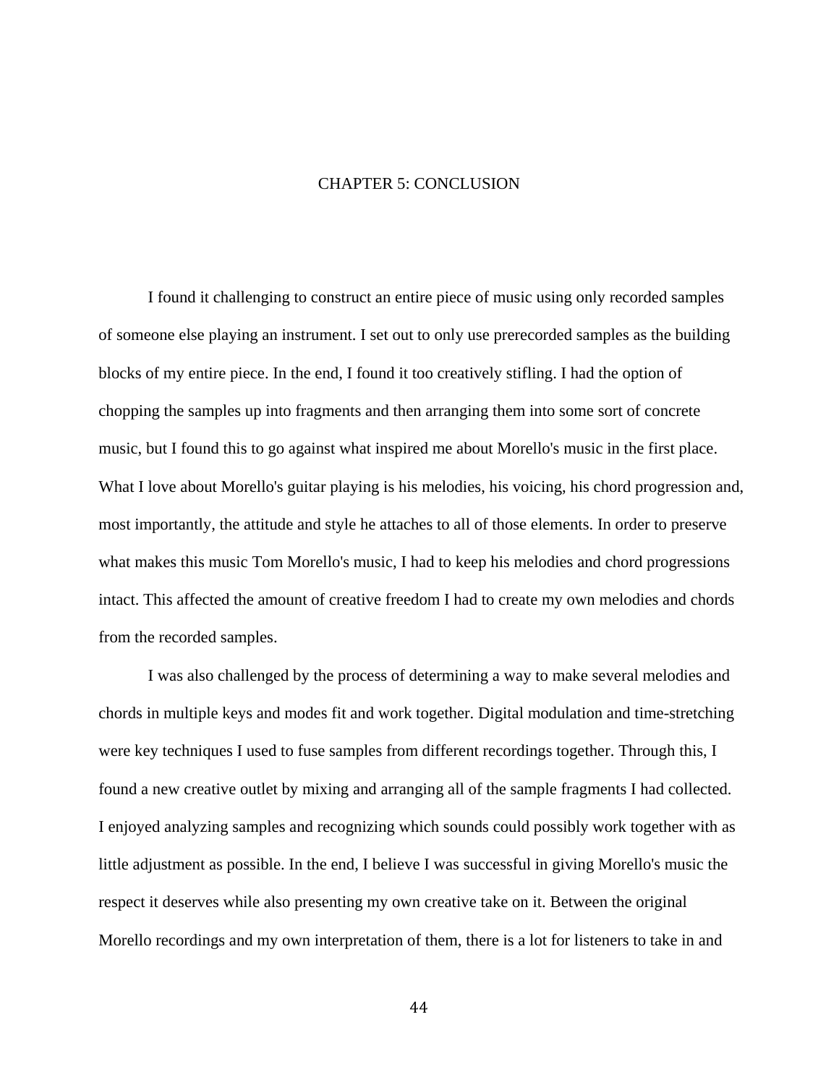### CHAPTER 5: CONCLUSION

 I found it challenging to construct an entire piece of music using only recorded samples of someone else playing an instrument. I set out to only use prerecorded samples as the building blocks of my entire piece. In the end, I found it too creatively stifling. I had the option of chopping the samples up into fragments and then arranging them into some sort of concrete music, but I found this to go against what inspired me about Morello's music in the first place. What I love about Morello's guitar playing is his melodies, his voicing, his chord progression and, most importantly, the attitude and style he attaches to all of those elements. In order to preserve what makes this music Tom Morello's music, I had to keep his melodies and chord progressions intact. This affected the amount of creative freedom I had to create my own melodies and chords from the recorded samples.

 I was also challenged by the process of determining a way to make several melodies and chords in multiple keys and modes fit and work together. Digital modulation and time-stretching were key techniques I used to fuse samples from different recordings together. Through this, I found a new creative outlet by mixing and arranging all of the sample fragments I had collected. I enjoyed analyzing samples and recognizing which sounds could possibly work together with as little adjustment as possible. In the end, I believe I was successful in giving Morello's music the respect it deserves while also presenting my own creative take on it. Between the original Morello recordings and my own interpretation of them, there is a lot for listeners to take in and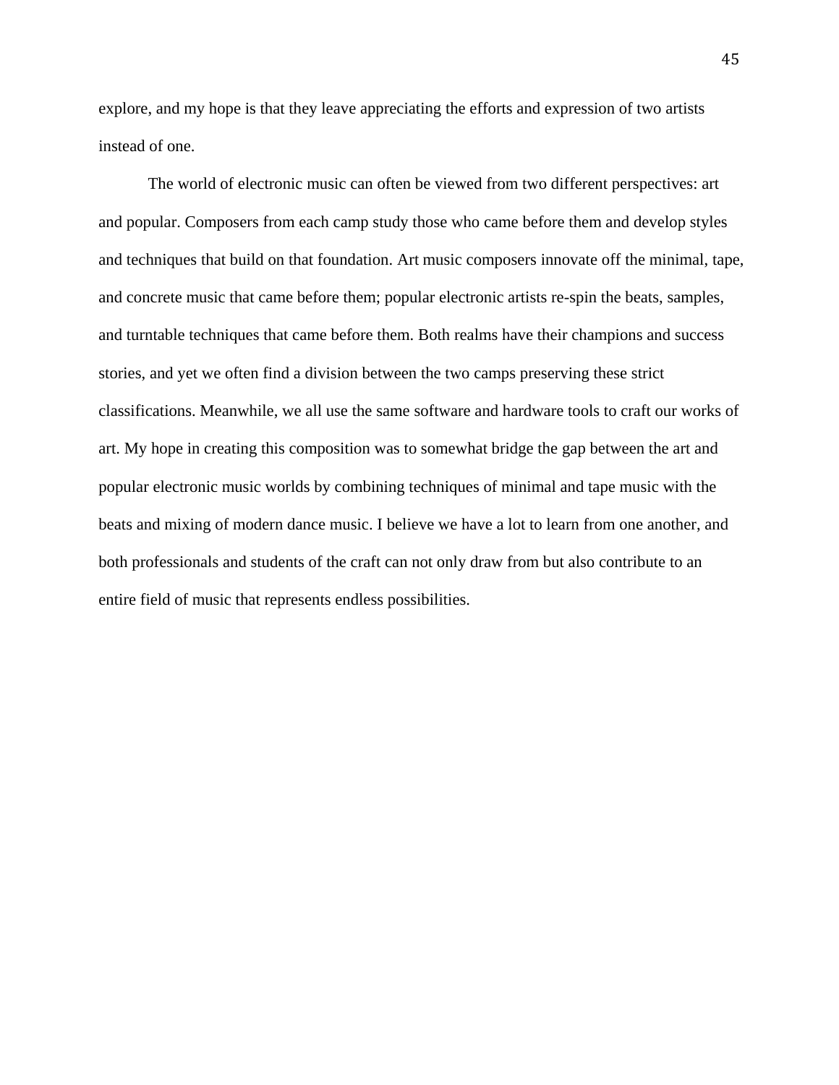explore, and my hope is that they leave appreciating the efforts and expression of two artists instead of one.

 The world of electronic music can often be viewed from two different perspectives: art and popular. Composers from each camp study those who came before them and develop styles and techniques that build on that foundation. Art music composers innovate off the minimal, tape, and concrete music that came before them; popular electronic artists re-spin the beats, samples, and turntable techniques that came before them. Both realms have their champions and success stories, and yet we often find a division between the two camps preserving these strict classifications. Meanwhile, we all use the same software and hardware tools to craft our works of art. My hope in creating this composition was to somewhat bridge the gap between the art and popular electronic music worlds by combining techniques of minimal and tape music with the beats and mixing of modern dance music. I believe we have a lot to learn from one another, and both professionals and students of the craft can not only draw from but also contribute to an entire field of music that represents endless possibilities.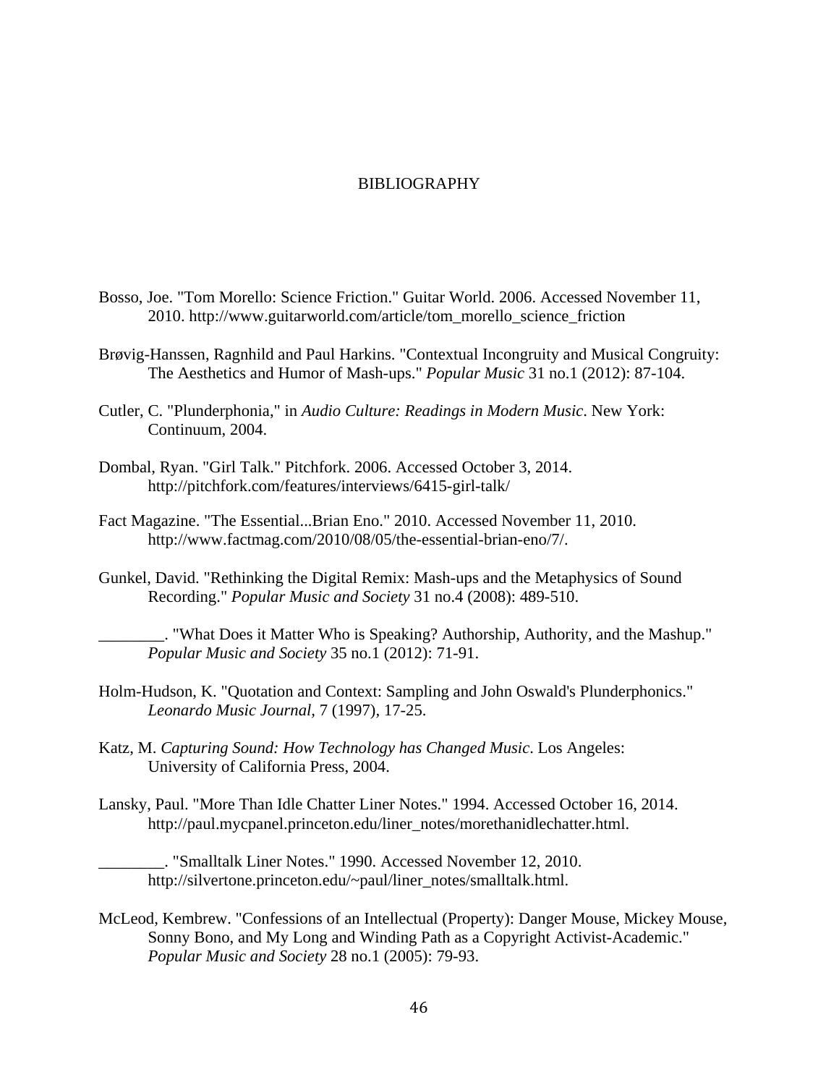### BIBLIOGRAPHY

- Bosso, Joe. "Tom Morello: Science Friction." Guitar World. 2006. Accessed November 11, 2010. http://www.guitarworld.com/article/tom\_morello\_science\_friction
- Brøvig-Hanssen, Ragnhild and Paul Harkins. "Contextual Incongruity and Musical Congruity: The Aesthetics and Humor of Mash-ups." *Popular Music* 31 no.1 (2012): 87-104.
- Cutler, C. "Plunderphonia," in *Audio Culture: Readings in Modern Music*. New York: Continuum, 2004.
- Dombal, Ryan. "Girl Talk." Pitchfork. 2006. Accessed October 3, 2014. http://pitchfork.com/features/interviews/6415-girl-talk/
- Fact Magazine. "The Essential...Brian Eno." 2010. Accessed November 11, 2010. http://www.factmag.com/2010/08/05/the-essential-brian-eno/7/.
- Gunkel, David. "Rethinking the Digital Remix: Mash-ups and the Metaphysics of Sound Recording." *Popular Music and Society* 31 no.4 (2008): 489-510.

\_\_\_\_\_\_\_\_. "What Does it Matter Who is Speaking? Authorship, Authority, and the Mashup." *Popular Music and Society* 35 no.1 (2012): 71-91.

- Holm-Hudson, K. "Quotation and Context: Sampling and John Oswald's Plunderphonics." *Leonardo Music Journal,* 7 (1997)*,* 17-25.
- Katz, M. *Capturing Sound: How Technology has Changed Music*. Los Angeles: University of California Press, 2004.
- Lansky, Paul. "More Than Idle Chatter Liner Notes." 1994. Accessed October 16, 2014. http://paul.mycpanel.princeton.edu/liner\_notes/morethanidlechatter.html.

\_\_\_\_\_\_\_\_. "Smalltalk Liner Notes." 1990. Accessed November 12, 2010. http://silvertone.princeton.edu/~paul/liner\_notes/smalltalk.html.

McLeod, Kembrew. "Confessions of an Intellectual (Property): Danger Mouse, Mickey Mouse, Sonny Bono, and My Long and Winding Path as a Copyright Activist-Academic." *Popular Music and Society* 28 no.1 (2005): 79-93.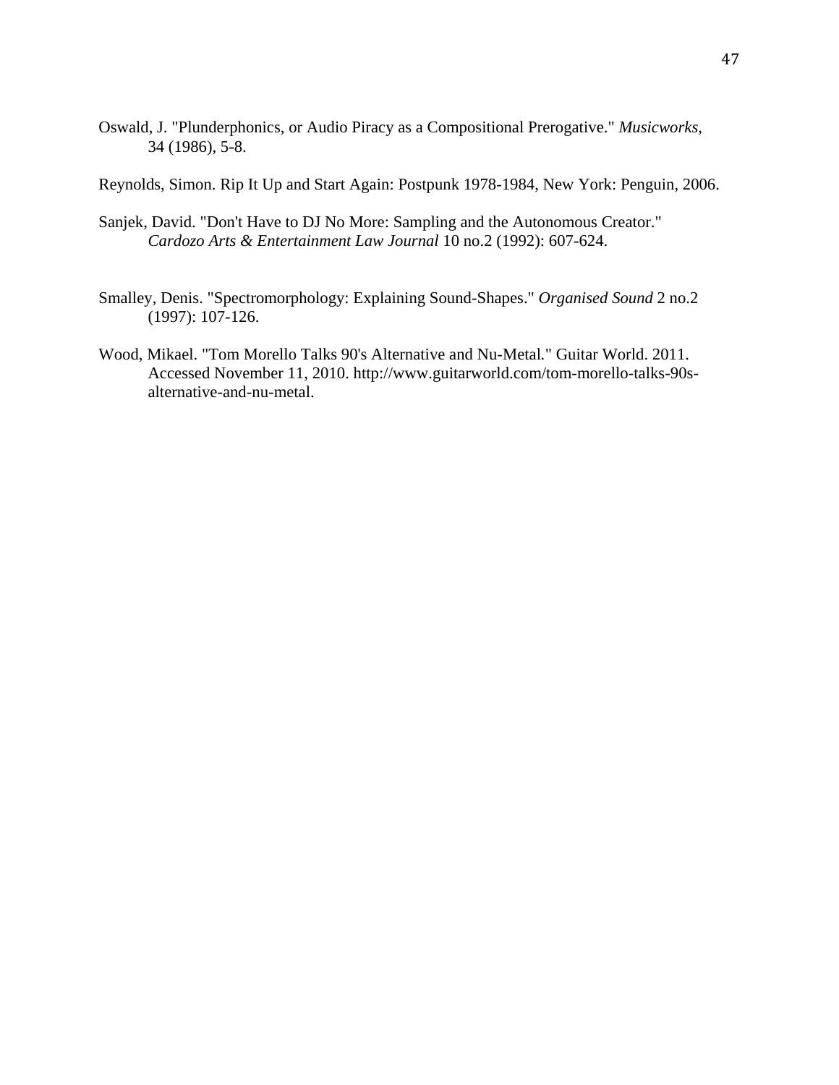Oswald, J. "Plunderphonics, or Audio Piracy as a Compositional Prerogative." *Musicworks,*  34 (1986)*,* 5-8.

Reynolds, Simon. Rip It Up and Start Again: Postpunk 1978-1984, New York: Penguin, 2006.

- Sanjek, David. "Don't Have to DJ No More: Sampling and the Autonomous Creator." *Cardozo Arts & Entertainment Law Journal* 10 no.2 (1992): 607-624.
- Smalley, Denis. "Spectromorphology: Explaining Sound-Shapes." *Organised Sound* 2 no.2 (1997): 107-126.
- Wood, Mikael. "Tom Morello Talks 90's Alternative and Nu-Metal*.*" Guitar World. 2011. Accessed November 11, 2010. http://www.guitarworld.com/tom-morello-talks-90s alternative-and-nu-metal.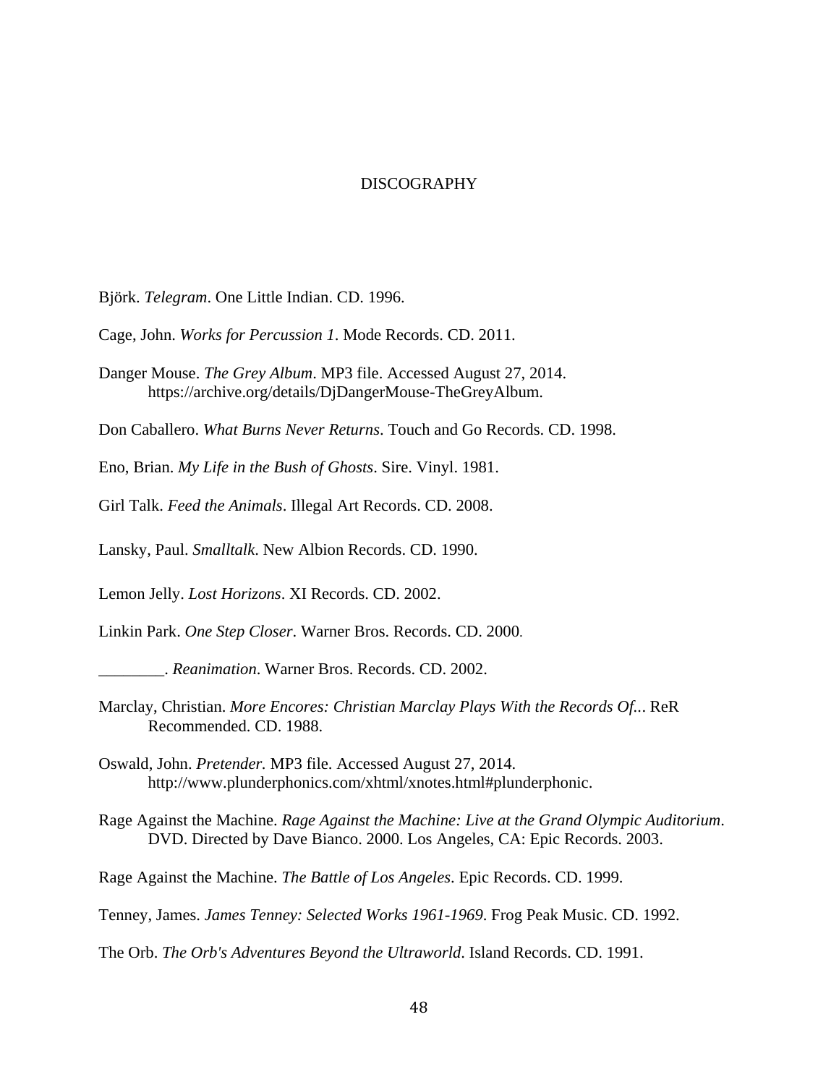### DISCOGRAPHY

- Björk. *Telegram*. One Little Indian. CD. 1996.
- Cage, John. *Works for Percussion 1*. Mode Records. CD. 2011.
- Danger Mouse. *The Grey Album*. MP3 file. Accessed August 27, 2014. https://archive.org/details/DjDangerMouse-TheGreyAlbum.
- Don Caballero. *What Burns Never Returns*. Touch and Go Records. CD. 1998.
- Eno, Brian. *My Life in the Bush of Ghosts*. Sire. Vinyl. 1981.
- Girl Talk. *Feed the Animals*. Illegal Art Records. CD. 2008.
- Lansky, Paul. *Smalltalk*. New Albion Records. CD. 1990.
- Lemon Jelly. *Lost Horizons*. XI Records. CD. 2002.
- Linkin Park. *One Step Closer*. Warner Bros. Records. CD. 2000.
- \_\_\_\_\_\_\_\_. *Reanimation*. Warner Bros. Records. CD. 2002.
- Marclay, Christian. *More Encores: Christian Marclay Plays With the Records Of..*. ReR Recommended. CD. 1988.
- Oswald, John. *Pretender.* MP3 file. Accessed August 27, 2014. http://www.plunderphonics.com/xhtml/xnotes.html#plunderphonic.
- Rage Against the Machine. *Rage Against the Machine: Live at the Grand Olympic Auditorium*. DVD. Directed by Dave Bianco. 2000. Los Angeles, CA: Epic Records. 2003.
- Rage Against the Machine. *The Battle of Los Angeles*. Epic Records. CD. 1999.
- Tenney, James. *James Tenney: Selected Works 1961-1969*. Frog Peak Music. CD. 1992.
- The Orb. *The Orb's Adventures Beyond the Ultraworld*. Island Records. CD. 1991.